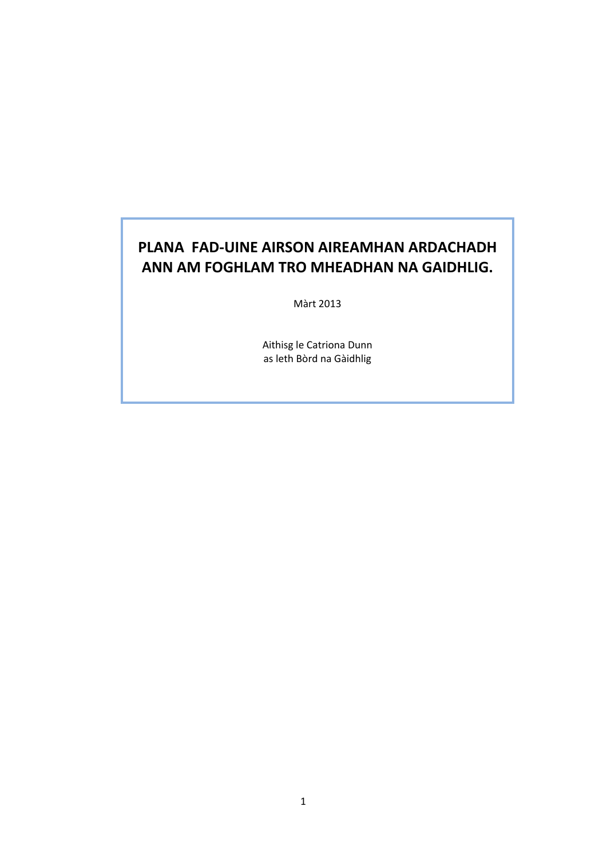# **PLANA FAD‐UINE AIRSON AIREAMHAN ARDACHADH ANN AM FOGHLAM TRO MHEADHAN NA GAIDHLIG.**

Màrt 2013

Aithisg le Catriona Dunn as leth Bòrd na Gàidhlig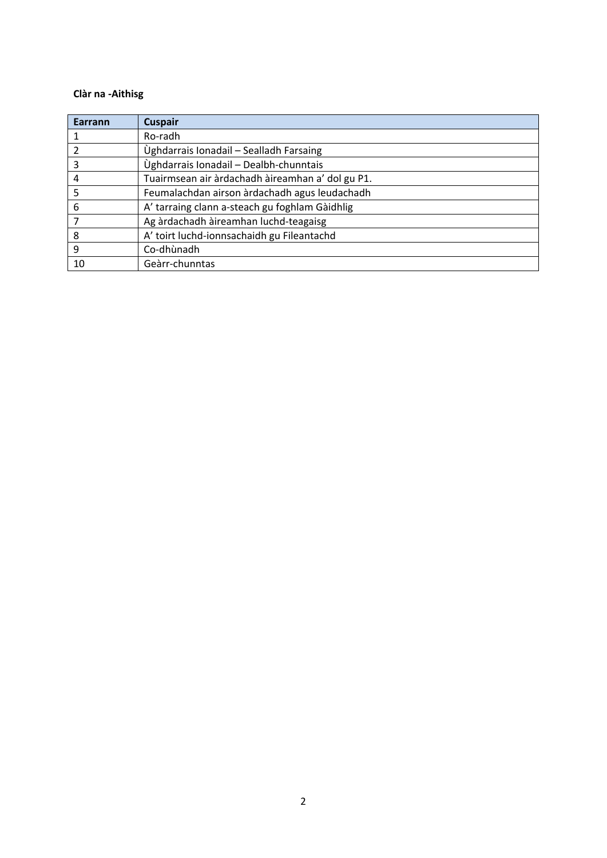# **Clàr na ‐Aithisg**

| Earrann | <b>Cuspair</b>                                   |
|---------|--------------------------------------------------|
|         | Ro-radh                                          |
|         | Ùghdarrais Ionadail - Sealladh Farsaing          |
| 3       | Ùghdarrais Ionadail - Dealbh-chunntais           |
|         | Tuairmsean air àrdachadh àireamhan a' dol gu P1. |
| 5       | Feumalachdan airson àrdachadh agus leudachadh    |
| 6       | A' tarraing clann a-steach gu foghlam Gàidhlig   |
|         | Ag àrdachadh àireamhan luchd-teagaisg            |
| 8       | A' toirt luchd-ionnsachaidh gu Fileantachd       |
| 9       | Co-dhùnadh                                       |
| 10      | Geàrr-chunntas                                   |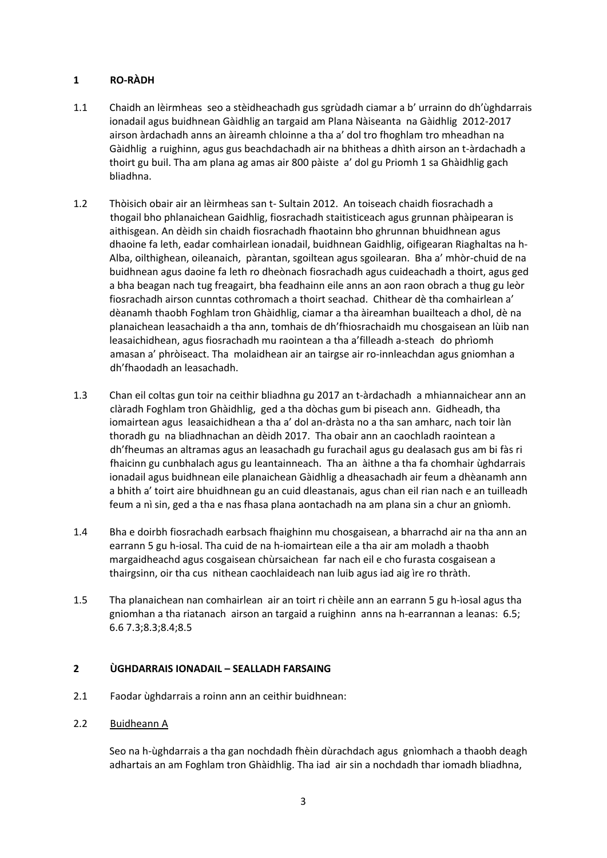# **1 RO‐RÀDH**

- 1.1 Chaidh an lèirmheas seo a stèidheachadh gus sgrùdadh ciamar a b' urrainn do dh'ùghdarrais ionadail agus buidhnean Gàidhlig an targaid am Plana Nàiseanta na Gàidhlig 2012‐2017 airson àrdachadh anns an àireamh chloinne a tha a' dol tro fhoghlam tro mheadhan na Gàidhlig a ruighinn, agus gus beachdachadh air na bhitheas a dhìth airson an t‐àrdachadh a thoirt gu buil. Tha am plana ag amas air 800 pàiste a' dol gu Priomh 1 sa Ghàidhlig gach bliadhna.
- 1.2 Thòisich obair air an lèirmheas san t- Sultain 2012. An toiseach chaidh fiosrachadh a thogail bho phlanaichean Gaidhlig, fiosrachadh staitisticeach agus grunnan phàipearan is aithisgean. An dèidh sin chaidh fiosrachadh fhaotainn bho ghrunnan bhuidhnean agus dhaoine fa leth, eadar comhairlean ionadail, buidhnean Gaidhlig, oifigearan Riaghaltas na h‐ Alba, oilthighean, oileanaich, pàrantan, sgoiltean agus sgoilearan. Bha a' mhòr‐chuid de na buidhnean agus daoine fa leth ro dheònach fiosrachadh agus cuideachadh a thoirt, agus ged a bha beagan nach tug freagairt, bha feadhainn eile anns an aon raon obrach a thug gu leòr fiosrachadh airson cunntas cothromach a thoirt seachad. Chithear dè tha comhairlean a' dèanamh thaobh Foghlam tron Ghàidhlig, ciamar a tha àireamhan buailteach a dhol, dè na planaichean leasachaidh a tha ann, tomhais de dh'fhiosrachaidh mu chosgaisean an lùib nan leasaichidhean, agus fiosrachadh mu raointean a tha a'filleadh a‐steach do phrìomh amasan a' phròiseact. Tha molaidhean air an tairgse air ro‐innleachdan agus gniomhan a dh'fhaodadh an leasachadh.
- 1.3 Chan eil coltas gun toir na ceithir bliadhna gu 2017 an t‐àrdachadh a mhiannaichear ann an clàradh Foghlam tron Ghàidhlig, ged a tha dòchas gum bi piseach ann. Gidheadh, tha iomairtean agus leasaichidhean a tha a' dol an‐dràsta no a tha san amharc, nach toir làn thoradh gu na bliadhnachan an dèidh 2017. Tha obair ann an caochladh raointean a dh'fheumas an altramas agus an leasachadh gu furachail agus gu dealasach gus am bi fàs ri fhaicinn gu cunbhalach agus gu leantainneach. Tha an àithne a tha fa chomhair ùghdarrais ionadail agus buidhnean eile planaichean Gàidhlig a dheasachadh air feum a dhèanamh ann a bhith a' toirt aire bhuidhnean gu an cuid dleastanais, agus chan eil rian nach e an tuilleadh feum a nì sin, ged a tha e nas fhasa plana aontachadh na am plana sin a chur an gnìomh.
- 1.4 Bha e doirbh fiosrachadh earbsach fhaighinn mu chosgaisean, a bharrachd air na tha ann an earrann 5 gu h‐iosal. Tha cuid de na h‐iomairtean eile a tha air am moladh a thaobh margaidheachd agus cosgaisean chùrsaichean far nach eil e cho furasta cosgaisean a thairgsinn, oir tha cus nithean caochlaideach nan luib agus iad aig ìre ro thràth.
- 1.5 Tha planaichean nan comhairlean air an toirt ri chèile ann an earrann 5 gu h‐ìosal agus tha gniomhan a tha riatanach airson an targaid a ruighinn anns na h‐earrannan a leanas: 6.5; 6.6 7.3;8.3;8.4;8.5

# **2 ÙGHDARRAIS IONADAIL – SEALLADH FARSAING**

- 2.1 Faodar ùghdarrais a roinn ann an ceithir buidhnean:
- 2.2 Buidheann A

Seo na h‐ùghdarrais a tha gan nochdadh fhèin dùrachdach agus gnìomhach a thaobh deagh adhartais an am Foghlam tron Ghàidhlig. Tha iad air sin a nochdadh thar iomadh bliadhna,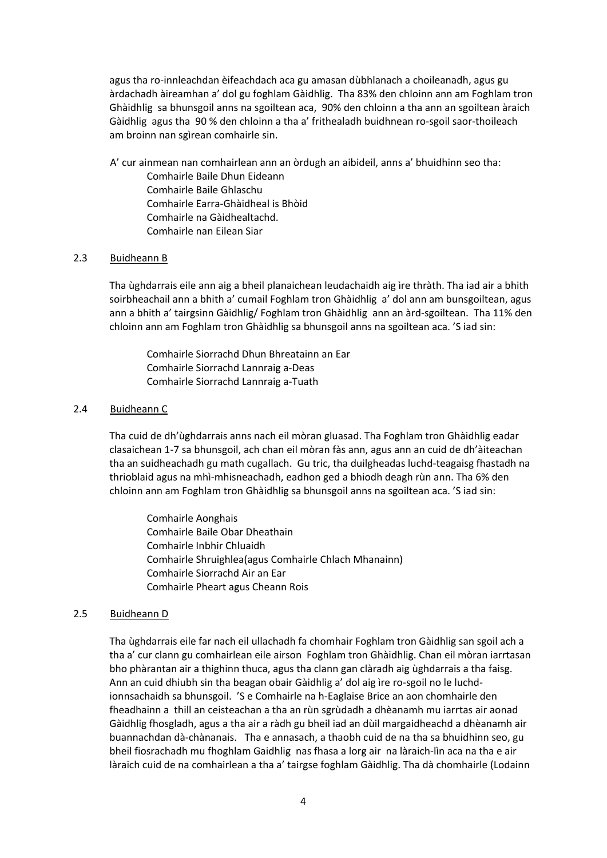agus tha ro‐innleachdan èifeachdach aca gu amasan dùbhlanach a choileanadh, agus gu àrdachadh àireamhan a' dol gu foghlam Gàidhlig. Tha 83% den chloinn ann am Foghlam tron Ghàidhlig sa bhunsgoil anns na sgoiltean aca, 90% den chloinn a tha ann an sgoiltean àraich Gàidhlig agus tha 90 % den chloinn a tha a' frithealadh buidhnean ro-sgoil saor-thoileach am broinn nan sgìrean comhairle sin.

A' cur ainmean nan comhairlean ann an òrdugh an aibideil, anns a' bhuidhinn seo tha: Comhairle Baile Dhun Eideann Comhairle Baile Ghlaschu Comhairle Earra‐Ghàidheal is Bhòid Comhairle na Gàidhealtachd. Comhairle nan Eilean Siar

## 2.3 Buidheann B

Tha ùghdarrais eile ann aig a bheil planaichean leudachaidh aig ìre thràth. Tha iad air a bhith soirbheachail ann a bhith a' cumail Foghlam tron Ghàidhlig a' dol ann am bunsgoiltean, agus ann a bhith a' tairgsinn Gàidhlig/ Foghlam tron Ghàidhlig ann an àrd‐sgoiltean. Tha 11% den chloinn ann am Foghlam tron Ghàidhlig sa bhunsgoil anns na sgoiltean aca. 'S iad sin:

Comhairle Siorrachd Dhun Bhreatainn an Ear Comhairle Siorrachd Lannraig a‐Deas Comhairle Siorrachd Lannraig a‐Tuath

#### 2.4 Buidheann C

Tha cuid de dh'ùghdarrais anns nach eil mòran gluasad. Tha Foghlam tron Ghàidhlig eadar clasaichean 1‐7 sa bhunsgoil, ach chan eil mòran fàs ann, agus ann an cuid de dh'àiteachan tha an suidheachadh gu math cugallach. Gu tric, tha duilgheadas luchd‐teagaisg fhastadh na thrioblaid agus na mhì‐mhisneachadh, eadhon ged a bhiodh deagh rùn ann. Tha 6% den chloinn ann am Foghlam tron Ghàidhlig sa bhunsgoil anns na sgoiltean aca. 'S iad sin:

Comhairle Aonghais Comhairle Baile Obar Dheathain Comhairle Inbhir Chluaidh Comhairle Shruighlea(agus Comhairle Chlach Mhanainn) Comhairle Siorrachd Air an Ear Comhairle Pheart agus Cheann Rois

# 2.5 Buidheann D

Tha ùghdarrais eile far nach eil ullachadh fa chomhair Foghlam tron Gàidhlig san sgoil ach a tha a' cur clann gu comhairlean eile airson Foghlam tron Ghàidhlig. Chan eil mòran iarrtasan bho phàrantan air a thighinn thuca, agus tha clann gan clàradh aig ùghdarrais a tha faisg. Ann an cuid dhiubh sin tha beagan obair Gàidhlig a' dol aig ìre ro‐sgoil no le luchd‐ ionnsachaidh sa bhunsgoil. 'S e Comhairle na h‐Eaglaise Brice an aon chomhairle den fheadhainn a thill an ceisteachan a tha an rùn sgrùdadh a dhèanamh mu iarrtas air aonad Gàidhlig fhosgladh, agus a tha air a ràdh gu bheil iad an dùil margaidheachd a dhèanamh air buannachdan dà‐chànanais. Tha e annasach, a thaobh cuid de na tha sa bhuidhinn seo, gu bheil fiosrachadh mu fhoghlam Gaidhlig nas fhasa a lorg air na làraich‐lìn aca na tha e air làraich cuid de na comhairlean a tha a' tairgse foghlam Gàidhlig. Tha dà chomhairle (Lodainn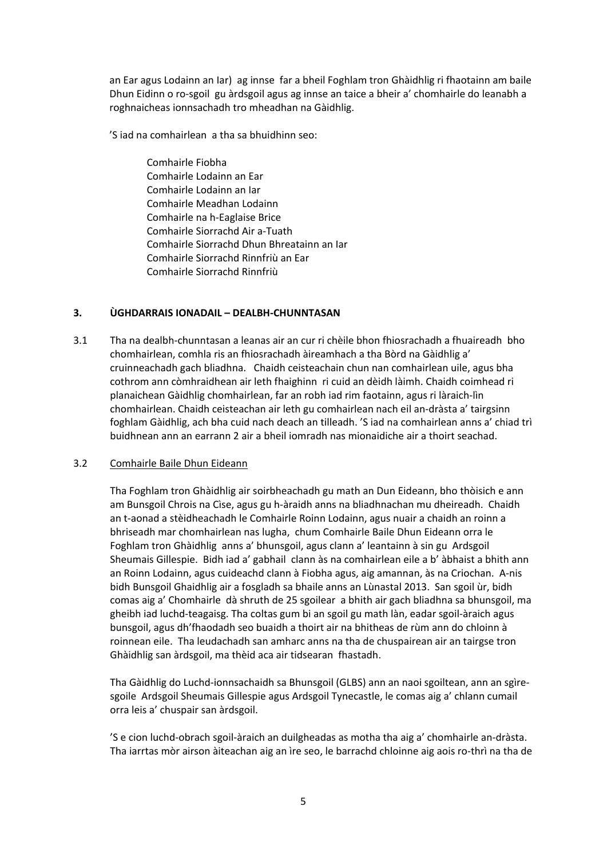an Ear agus Lodainn an Iar) ag innse far a bheil Foghlam tron Ghàidhlig ri fhaotainn am baile Dhun Eidinn o ro‐sgoil gu àrdsgoil agus ag innse an taice a bheir a' chomhairle do leanabh a roghnaicheas ionnsachadh tro mheadhan na Gàidhlig.

'S iad na comhairlean a tha sa bhuidhinn seo:

 Comhairle Fiobha Comhairle Lodainn an Ear Comhairle Lodainn an Iar Comhairle Meadhan Lodainn Comhairle na h‐Eaglaise Brice Comhairle Siorrachd Air a‐Tuath Comhairle Siorrachd Dhun Bhreatainn an Iar Comhairle Siorrachd Rinnfriù an Ear Comhairle Siorrachd Rinnfriù

# **3. ÙGHDARRAIS IONADAIL – DEALBH‐CHUNNTASAN**

3.1 Tha na dealbh‐chunntasan a leanas air an cur ri chèile bhon fhiosrachadh a fhuaireadh bho chomhairlean, comhla ris an fhiosrachadh àireamhach a tha Bòrd na Gàidhlig a' cruinneachadh gach bliadhna. Chaidh ceisteachain chun nan comhairlean uile, agus bha cothrom ann còmhraidhean air leth fhaighinn ri cuid an dèidh làimh. Chaidh coimhead ri planaichean Gàidhlig chomhairlean, far an robh iad rim faotainn, agus ri làraich‐lìn chomhairlean. Chaidh ceisteachan air leth gu comhairlean nach eil an‐dràsta a' tairgsinn foghlam Gàidhlig, ach bha cuid nach deach an tilleadh. 'S iad na comhairlean anns a' chiad trì buidhnean ann an earrann 2 air a bheil iomradh nas mionaidiche air a thoirt seachad.

# 3.2 Comhairle Baile Dhun Eideann

Tha Foghlam tron Ghàidhlig air soirbheachadh gu math an Dun Eideann, bho thòisich e ann am Bunsgoil Chrois na Cìse, agus gu h‐àraidh anns na bliadhnachan mu dheireadh. Chaidh an t-aonad a stèidheachadh le Comhairle Roinn Lodainn, agus nuair a chaidh an roinn a bhriseadh mar chomhairlean nas lugha, chum Comhairle Baile Dhun Eideann orra le Foghlam tron Ghàidhlig anns a' bhunsgoil, agus clann a' leantainn à sin gu Ardsgoil Sheumais Gillespie. Bidh iad a' gabhail clann às na comhairlean eile a b' àbhaist a bhith ann an Roinn Lodainn, agus cuideachd clann à Fiobha agus, aig amannan, às na Criochan. A‐nis bidh Bunsgoil Ghaidhlig air a fosgladh sa bhaile anns an Lùnastal 2013. San sgoil ùr, bidh comas aig a' Chomhairle dà shruth de 25 sgoilear a bhith air gach bliadhna sa bhunsgoil, ma gheibh iad luchd‐teagaisg. Tha coltas gum bi an sgoil gu math làn, eadar sgoil‐àraich agus bunsgoil, agus dh'fhaodadh seo buaidh a thoirt air na bhitheas de rùm ann do chloinn à roinnean eile. Tha leudachadh san amharc anns na tha de chuspairean air an tairgse tron Ghàidhlig san àrdsgoil, ma thèid aca air tidsearan fhastadh.

Tha Gàidhlig do Luchd‐ionnsachaidh sa Bhunsgoil (GLBS) ann an naoi sgoiltean, ann an sgìre‐ sgoile Ardsgoil Sheumais Gillespie agus Ardsgoil Tynecastle, le comas aig a' chlann cumail orra leis a' chuspair san àrdsgoil.

'S e cion luchd‐obrach sgoil‐àraich an duilgheadas as motha tha aig a' chomhairle an‐dràsta. Tha iarrtas mòr airson àiteachan aig an ìre seo, le barrachd chloinne aig aois ro‐thrì na tha de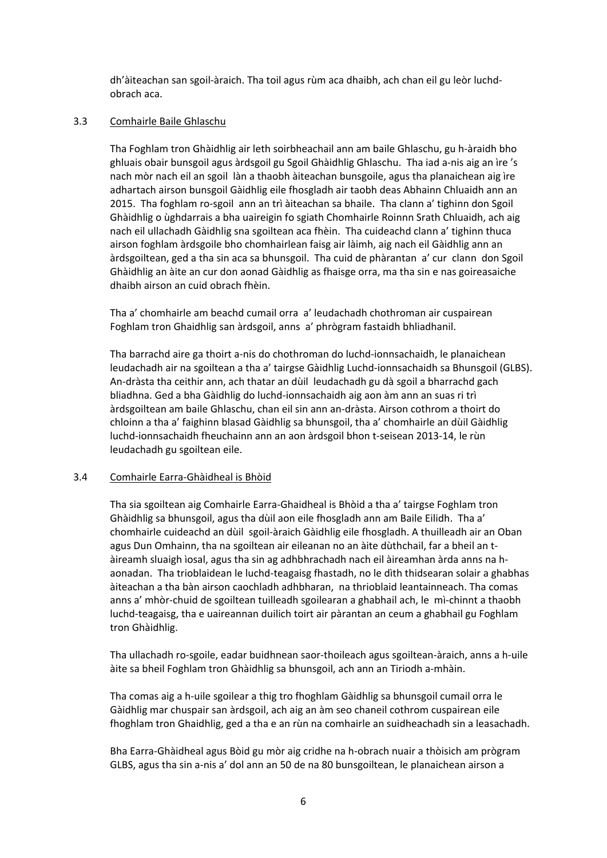dh'àiteachan san sgoil‐àraich. Tha toil agus rùm aca dhaibh, ach chan eil gu leòr luchd‐ obrach aca.

## 3.3 Comhairle Baile Ghlaschu

Tha Foghlam tron Ghàidhlig air leth soirbheachail ann am baile Ghlaschu, gu h‐àraidh bho ghluais obair bunsgoil agus àrdsgoil gu Sgoil Ghàidhlig Ghlaschu. Tha iad a‐nis aig an ìre 's nach mòr nach eil an sgoil làn a thaobh àiteachan bunsgoile, agus tha planaichean aig ìre adhartach airson bunsgoil Gàidhlig eile fhosgladh air taobh deas Abhainn Chluaidh ann an 2015. Tha foghlam ro‐sgoil ann an trì àiteachan sa bhaile. Tha clann a' tighinn don Sgoil Ghàidhlig o ùghdarrais a bha uaireigin fo sgiath Chomhairle Roinnn Srath Chluaidh, ach aig nach eil ullachadh Gàidhlig sna sgoiltean aca fhèin. Tha cuideachd clann a' tighinn thuca airson foghlam àrdsgoile bho chomhairlean faisg air làimh, aig nach eil Gàidhlig ann an àrdsgoiltean, ged a tha sin aca sa bhunsgoil. Tha cuid de phàrantan a' cur clann don Sgoil Ghàidhlig an àite an cur don aonad Gàidhlig as fhaisge orra, ma tha sin e nas goireasaiche dhaibh airson an cuid obrach fhèin.

Tha a' chomhairle am beachd cumail orra a' leudachadh chothroman air cuspairean Foghlam tron Ghaidhlig san àrdsgoil, anns a' phrògram fastaidh bhliadhanil.

Tha barrachd aire ga thoirt a‐nis do chothroman do luchd‐ionnsachaidh, le planaichean leudachadh air na sgoiltean a tha a' tairgse Gàidhlig Luchd‐ionnsachaidh sa Bhunsgoil (GLBS). An‐dràsta tha ceithir ann, ach thatar an dùil leudachadh gu dà sgoil a bharrachd gach bliadhna. Ged a bha Gàidhlig do luchd‐ionnsachaidh aig aon àm ann an suas ri trì àrdsgoiltean am baile Ghlaschu, chan eil sin ann an‐dràsta. Airson cothrom a thoirt do chloinn a tha a' faighinn blasad Gàidhlig sa bhunsgoil, tha a' chomhairle an dùil Gàidhlig luchd‐ionnsachaidh fheuchainn ann an aon àrdsgoil bhon t‐seisean 2013‐14, le rùn leudachadh gu sgoiltean eile.

# 3.4 Comhairle Earra‐Ghàidheal is Bhòid

Tha sia sgoiltean aig Comhairle Earra‐Ghaidheal is Bhòid a tha a' tairgse Foghlam tron Ghàidhlig sa bhunsgoil, agus tha dùil aon eile fhosgladh ann am Baile Eilidh. Tha a' chomhairle cuideachd an dùil sgoil‐àraich Gàidhlig eile fhosgladh. A thuilleadh air an Oban agus Dun Omhainn, tha na sgoiltean air eileanan no an àite dùthchail, far a bheil an t‐ àireamh sluaigh ìosal, agus tha sin ag adhbhrachadh nach eil àireamhan àrda anns na h‐ aonadan. Tha trioblaidean le luchd‐teagaisg fhastadh, no le dìth thidsearan solair a ghabhas àiteachan a tha bàn airson caochladh adhbharan, na thrioblaid leantainneach. Tha comas anns a' mhòr‐chuid de sgoiltean tuilleadh sgoilearan a ghabhail ach, le mì‐chinnt a thaobh luchd‐teagaisg, tha e uaireannan duilich toirt air pàrantan an ceum a ghabhail gu Foghlam tron Ghàidhlig.

Tha ullachadh ro‐sgoile, eadar buidhnean saor‐thoileach agus sgoiltean‐àraich, anns a h‐uile àite sa bheil Foghlam tron Ghàidhlig sa bhunsgoil, ach ann an Tiriodh a‐mhàin.

Tha comas aig a h-uile sgoilear a thig tro fhoghlam Gàidhlig sa bhunsgoil cumail orra le Gàidhlig mar chuspair san àrdsgoil, ach aig an àm seo chaneil cothrom cuspairean eile fhoghlam tron Ghaidhlig, ged a tha e an rùn na comhairle an suidheachadh sin a leasachadh.

Bha Earra‐Ghàidheal agus Bòid gu mòr aig cridhe na h‐obrach nuair a thòisich am prògram GLBS, agus tha sin a‐nis a' dol ann an 50 de na 80 bunsgoiltean, le planaichean airson a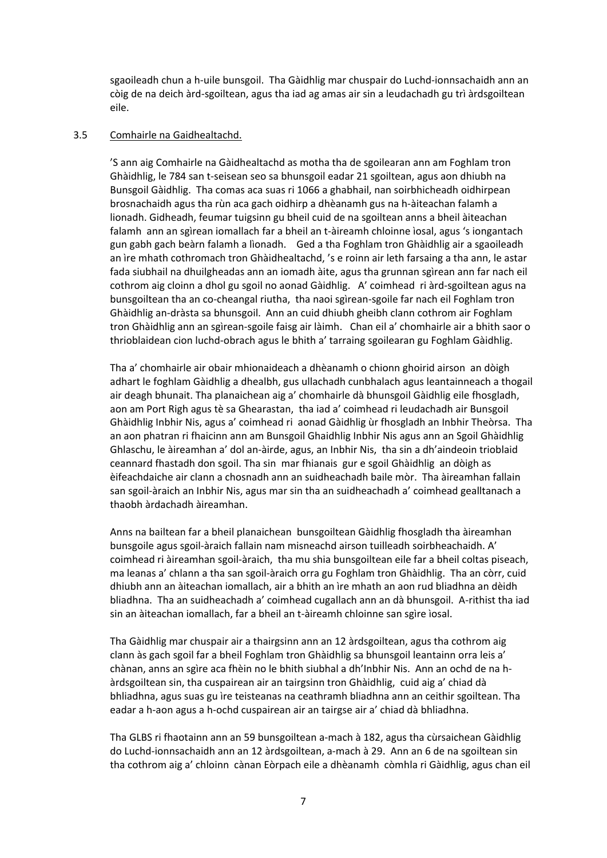sgaoileadh chun a h-uile bunsgoil. Tha Gàidhlig mar chuspair do Luchd-ionnsachaidh ann an còig de na deich àrd‐sgoiltean, agus tha iad ag amas air sin a leudachadh gu trì àrdsgoiltean eile.

## 3.5 Comhairle na Gaidhealtachd.

'S ann aig Comhairle na Gàidhealtachd as motha tha de sgoilearan ann am Foghlam tron Ghàidhlig, le 784 san t‐seisean seo sa bhunsgoil eadar 21 sgoiltean, agus aon dhiubh na Bunsgoil Gàidhlig. Tha comas aca suas ri 1066 a ghabhail, nan soirbhicheadh oidhirpean brosnachaidh agus tha rùn aca gach oidhirp a dhèanamh gus na h‐àiteachan falamh a lionadh. Gidheadh, feumar tuigsinn gu bheil cuid de na sgoiltean anns a bheil àiteachan falamh ann an sgìrean iomallach far a bheil an t‐àireamh chloinne ìosal, agus 's iongantach gun gabh gach beàrn falamh a lìonadh. Ged a tha Foghlam tron Ghàidhlig air a sgaoileadh an ìre mhath cothromach tron Ghàidhealtachd, 's e roinn air leth farsaing a tha ann, le astar fada siubhail na dhuilgheadas ann an iomadh àite, agus tha grunnan sgìrean ann far nach eil cothrom aig cloinn a dhol gu sgoil no aonad Gàidhlig. A' coimhead ri àrd‐sgoiltean agus na bunsgoiltean tha an co‐cheangal riutha, tha naoi sgìrean‐sgoile far nach eil Foghlam tron Ghàidhlig an‐dràsta sa bhunsgoil. Ann an cuid dhiubh gheibh clann cothrom air Foghlam tron Ghàidhlig ann an sgìrean‐sgoile faisg air làimh. Chan eil a' chomhairle air a bhith saor o thrioblaidean cion luchd‐obrach agus le bhith a' tarraing sgoilearan gu Foghlam Gàidhlig.

Tha a' chomhairle air obair mhionaideach a dhèanamh o chionn ghoirid airson an dòigh adhart le foghlam Gàidhlig a dhealbh, gus ullachadh cunbhalach agus leantainneach a thogail air deagh bhunait. Tha planaichean aig a' chomhairle dà bhunsgoil Gàidhlig eile fhosgladh, aon am Port Righ agus tè sa Ghearastan, tha iad a' coimhead ri leudachadh air Bunsgoil Ghàidhlig Inbhir Nis, agus a' coimhead ri aonad Gàidhlig ùr fhosgladh an Inbhir Theòrsa. Tha an aon phatran ri fhaicinn ann am Bunsgoil Ghaidhlig Inbhir Nis agus ann an Sgoil Ghàidhlig Ghlaschu, le àireamhan a' dol an‐àirde, agus, an Inbhir Nis, tha sin a dh'aindeoin trioblaid ceannard fhastadh don sgoil. Tha sin mar fhianais gur e sgoil Ghàidhlig an dòigh as èifeachdaiche air clann a chosnadh ann an suidheachadh baile mòr. Tha àireamhan fallain san sgoil‐àraich an Inbhir Nis, agus mar sin tha an suidheachadh a' coimhead gealltanach a thaobh àrdachadh àireamhan.

Anns na bailtean far a bheil planaichean bunsgoiltean Gàidhlig fhosgladh tha àireamhan bunsgoile agus sgoil‐àraich fallain nam misneachd airson tuilleadh soirbheachaidh. A' coimhead ri àireamhan sgoil‐àraich, tha mu shia bunsgoiltean eile far a bheil coltas piseach, ma leanas a' chlann a tha san sgoil‐àraich orra gu Foghlam tron Ghàidhlig. Tha an còrr, cuid dhiubh ann an àiteachan iomallach, air a bhith an ìre mhath an aon rud bliadhna an dèidh bliadhna. Tha an suidheachadh a' coimhead cugallach ann an dà bhunsgoil. A‐rithist tha iad sin an àiteachan iomallach, far a bheil an t‐àireamh chloinne san sgìre ìosal.

Tha Gàidhlig mar chuspair air a thairgsinn ann an 12 àrdsgoiltean, agus tha cothrom aig clann às gach sgoil far a bheil Foghlam tron Ghàidhlig sa bhunsgoil leantainn orra leis a' chànan, anns an sgìre aca fhèin no le bhith siubhal a dh'Inbhir Nis. Ann an ochd de na h‐ àrdsgoiltean sin, tha cuspairean air an tairgsinn tron Ghàidhlig, cuid aig a' chiad dà bhliadhna, agus suas gu ìre teisteanas na ceathramh bliadhna ann an ceithir sgoiltean. Tha eadar a h‐aon agus a h‐ochd cuspairean air an tairgse air a' chiad dà bhliadhna.

Tha GLBS ri fhaotainn ann an 59 bunsgoiltean a‐mach à 182, agus tha cùrsaichean Gàidhlig do Luchd-ionnsachaidh ann an 12 àrdsgoiltean, a-mach à 29. Ann an 6 de na sgoiltean sin tha cothrom aig a' chloinn cànan Eòrpach eile a dhèanamh còmhla ri Gàidhlig, agus chan eil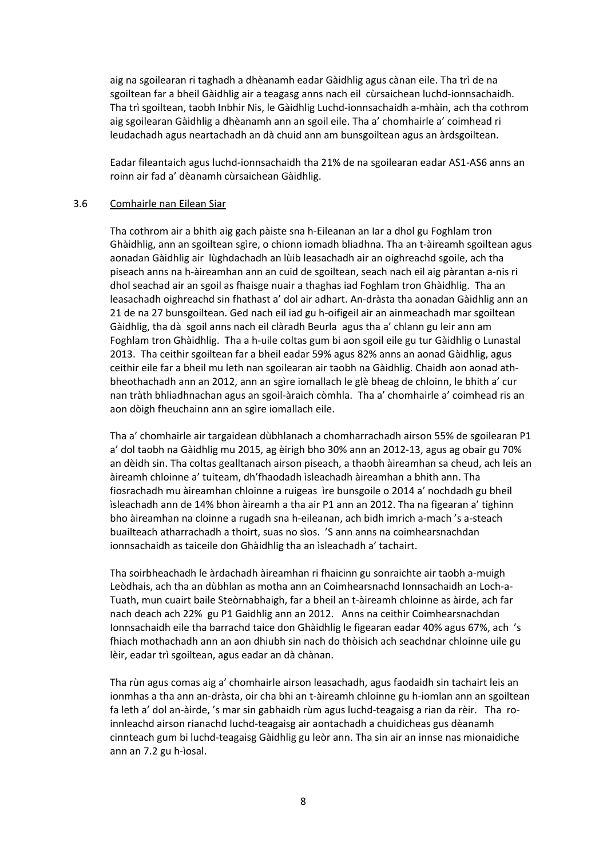aig na sgoilearan ri taghadh a dhèanamh eadar Gàidhlig agus cànan eile. Tha trì de na sgoiltean far a bheil Gàidhlig air a teagasg anns nach eil cùrsaichean luchd‐ionnsachaidh. Tha trì sgoiltean, taobh Inbhir Nis, le Gàidhlig Luchd‐ionnsachaidh a‐mhàin, ach tha cothrom aig sgoilearan Gàidhlig a dhèanamh ann an sgoil eile. Tha a' chomhairle a' coimhead ri leudachadh agus neartachadh an dà chuid ann am bunsgoiltean agus an àrdsgoiltean.

Eadar fileantaich agus luchd‐ionnsachaidh tha 21% de na sgoilearan eadar AS1‐AS6 anns an roinn air fad a' dèanamh cùrsaichean Gàidhlig.

#### 3.6 Comhairle nan Eilean Siar

Tha cothrom air a bhith aig gach pàiste sna h‐Eileanan an Iar a dhol gu Foghlam tron Ghàidhlig, ann an sgoiltean sgìre, o chionn iomadh bliadhna. Tha an t‐àireamh sgoiltean agus aonadan Gàidhlig air lùghdachadh an lùib leasachadh air an oighreachd sgoile, ach tha piseach anns na h‐àireamhan ann an cuid de sgoiltean, seach nach eil aig pàrantan a‐nis ri dhol seachad air an sgoil as fhaisge nuair a thaghas iad Foghlam tron Ghàidhlig. Tha an leasachadh oighreachd sin fhathast a' dol air adhart. An‐dràsta tha aonadan Gàidhlig ann an 21 de na 27 bunsgoiltean. Ged nach eil iad gu h‐oifigeil air an ainmeachadh mar sgoiltean Gàidhlig, tha dà sgoil anns nach eil clàradh Beurla agus tha a' chlann gu leir ann am Foghlam tron Ghàidhlig. Tha a h‐uile coltas gum bi aon sgoil eile gu tur Gàidhlig o Lunastal 2013. Tha ceithir sgoiltean far a bheil eadar 59% agus 82% anns an aonad Gàidhlig, agus ceithir eile far a bheil mu leth nan sgoilearan air taobh na Gàidhlig. Chaidh aon aonad ath‐ bheothachadh ann an 2012, ann an sgìre iomallach le glè bheag de chloinn, le bhith a' cur nan tràth bhliadhnachan agus an sgoil‐àraich còmhla. Tha a' chomhairle a' coimhead ris an aon dòigh fheuchainn ann an sgìre iomallach eile.

Tha a' chomhairle air targaidean dùbhlanach a chomharrachadh airson 55% de sgoilearan P1 a' dol taobh na Gàidhlig mu 2015, ag èirigh bho 30% ann an 2012‐13, agus ag obair gu 70% an dèidh sin. Tha coltas gealltanach airson piseach, a thaobh àireamhan sa cheud, ach leis an àireamh chloinne a' tuiteam, dh'fhaodadh ìsleachadh àireamhan a bhith ann. Tha fiosrachadh mu àireamhan chloinne a ruigeas ìre bunsgoile o 2014 a' nochdadh gu bheil ìsleachadh ann de 14% bhon àireamh a tha air P1 ann an 2012. Tha na figearan a' tighinn bho àireamhan na cloinne a rugadh sna h‐eileanan, ach bidh imrich a‐mach 's a‐steach buailteach atharrachadh a thoirt, suas no sìos. 'S ann anns na coimhearsnachdan ionnsachaidh as taiceile don Ghàidhlig tha an ìsleachadh a' tachairt.

Tha soirbheachadh le àrdachadh àireamhan ri fhaicinn gu sonraichte air taobh a‐muigh Leòdhais, ach tha an dùbhlan as motha ann an Coimhearsnachd Ionnsachaidh an Loch‐a‐ Tuath, mun cuairt baile Steòrnabhaigh, far a bheil an t‐àireamh chloinne as àirde, ach far nach deach ach 22% gu P1 Gaidhlig ann an 2012. Anns na ceithir Coimhearsnachdan Ionnsachaidh eile tha barrachd taice don Ghàidhlig le figearan eadar 40% agus 67%, ach 's fhiach mothachadh ann an aon dhiubh sin nach do thòisich ach seachdnar chloinne uile gu lèir, eadar trì sgoiltean, agus eadar an dà chànan.

Tha rùn agus comas aig a' chomhairle airson leasachadh, agus faodaidh sin tachairt leis an ionmhas a tha ann an‐dràsta, oir cha bhi an t‐àireamh chloinne gu h‐iomlan ann an sgoiltean fa leth a' dol an-àirde, 's mar sin gabhaidh rùm agus luchd-teagaisg a rian da rèir. Tha roinnleachd airson rianachd luchd‐teagaisg air aontachadh a chuidicheas gus dèanamh cinnteach gum bi luchd‐teagaisg Gàidhlig gu leòr ann. Tha sin air an innse nas mionaidiche ann an 7.2 gu h‐ìosal.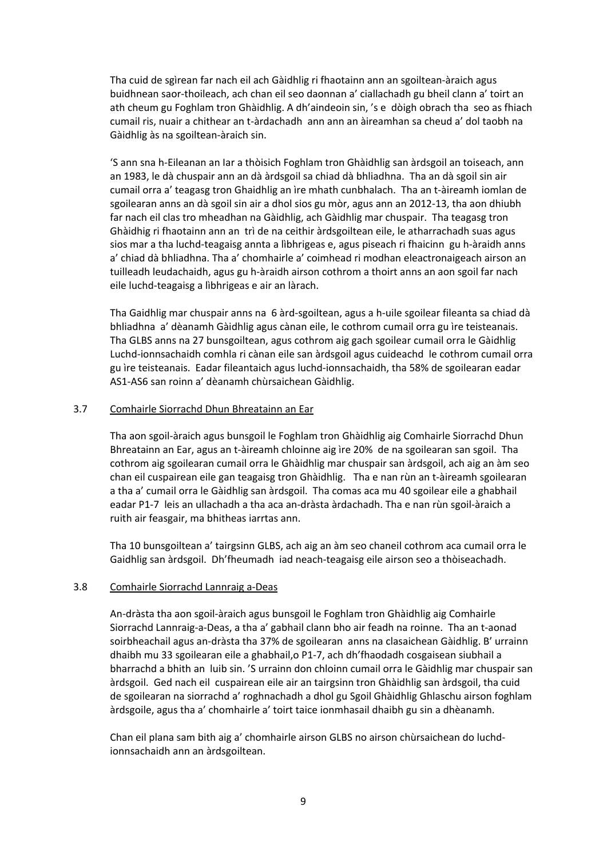Tha cuid de sgìrean far nach eil ach Gàidhlig ri fhaotainn ann an sgoiltean‐àraich agus buidhnean saor‐thoileach, ach chan eil seo daonnan a' ciallachadh gu bheil clann a' toirt an ath cheum gu Foghlam tron Ghàidhlig. A dh'aindeoin sin, 's e dòigh obrach tha seo as fhiach cumail ris, nuair a chithear an t‐àrdachadh ann ann an àireamhan sa cheud a' dol taobh na Gàidhlig às na sgoiltean‐àraich sin.

'S ann sna h‐Eileanan an Iar a thòisich Foghlam tron Ghàidhlig san àrdsgoil an toiseach, ann an 1983, le dà chuspair ann an dà àrdsgoil sa chiad dà bhliadhna. Tha an dà sgoil sin air cumail orra a' teagasg tron Ghaidhlig an ìre mhath cunbhalach. Tha an t‐àireamh iomlan de sgoilearan anns an dà sgoil sin air a dhol sios gu mòr, agus ann an 2012‐13, tha aon dhiubh far nach eil clas tro mheadhan na Gàidhlig, ach Gàidhlig mar chuspair. Tha teagasg tron Ghàidhig ri fhaotainn ann an trì de na ceithir àrdsgoiltean eile, le atharrachadh suas agus sios mar a tha luchd-teagaisg annta a lìbhrigeas e, agus piseach ri fhaicinn gu h-àraidh anns a' chiad dà bhliadhna. Tha a' chomhairle a' coimhead ri modhan eleactronaigeach airson an tuilleadh leudachaidh, agus gu h‐àraidh airson cothrom a thoirt anns an aon sgoil far nach eile luchd‐teagaisg a lìbhrigeas e air an làrach.

Tha Gaidhlig mar chuspair anns na 6 àrd‐sgoiltean, agus a h‐uile sgoilear fileanta sa chiad dà bhliadhna a' dèanamh Gàidhlig agus cànan eile, le cothrom cumail orra gu ìre teisteanais. Tha GLBS anns na 27 bunsgoiltean, agus cothrom aig gach sgoilear cumail orra le Gàidhlig Luchd‐ionnsachaidh comhla ri cànan eile san àrdsgoil agus cuideachd le cothrom cumail orra gu ìre teisteanais. Eadar fileantaich agus luchd‐ionnsachaidh, tha 58% de sgoilearan eadar AS1‐AS6 san roinn a' dèanamh chùrsaichean Gàidhlig.

# 3.7 Comhairle Siorrachd Dhun Bhreatainn an Ear

Tha aon sgoil‐àraich agus bunsgoil le Foghlam tron Ghàidhlig aig Comhairle Siorrachd Dhun Bhreatainn an Ear, agus an t‐àireamh chloinne aig ìre 20% de na sgoilearan san sgoil. Tha cothrom aig sgoilearan cumail orra le Ghàidhlig mar chuspair san àrdsgoil, ach aig an àm seo chan eil cuspairean eile gan teagaisg tron Ghàidhlig. Tha e nan rùn an t‐àireamh sgoilearan a tha a' cumail orra le Gàidhlig san àrdsgoil. Tha comas aca mu 40 sgoilear eile a ghabhail eadar P1‐7 leis an ullachadh a tha aca an‐dràsta àrdachadh. Tha e nan rùn sgoil‐àraich a ruith air feasgair, ma bhitheas iarrtas ann.

Tha 10 bunsgoiltean a' tairgsinn GLBS, ach aig an àm seo chaneil cothrom aca cumail orra le Gaidhlig san àrdsgoil. Dh'fheumadh iad neach‐teagaisg eile airson seo a thòiseachadh.

#### 3.8 Comhairle Siorrachd Lannraig a‐Deas

An‐dràsta tha aon sgoil‐àraich agus bunsgoil le Foghlam tron Ghàidhlig aig Comhairle Siorrachd Lannraig‐a‐Deas, a tha a' gabhail clann bho air feadh na roinne. Tha an t‐aonad soirbheachail agus an‐dràsta tha 37% de sgoilearan anns na clasaichean Gàidhlig. B' urrainn dhaibh mu 33 sgoilearan eile a ghabhail,o P1‐7, ach dh'fhaodadh cosgaisean siubhail a bharrachd a bhith an luib sin. 'S urrainn don chloinn cumail orra le Gàidhlig mar chuspair san àrdsgoil. Ged nach eil cuspairean eile air an tairgsinn tron Ghàidhlig san àrdsgoil, tha cuid de sgoilearan na siorrachd a' roghnachadh a dhol gu Sgoil Ghàidhlig Ghlaschu airson foghlam àrdsgoile, agus tha a' chomhairle a' toirt taice ionmhasail dhaibh gu sin a dhèanamh.

Chan eil plana sam bith aig a' chomhairle airson GLBS no airson chùrsaichean do luchd‐ ionnsachaidh ann an àrdsgoiltean.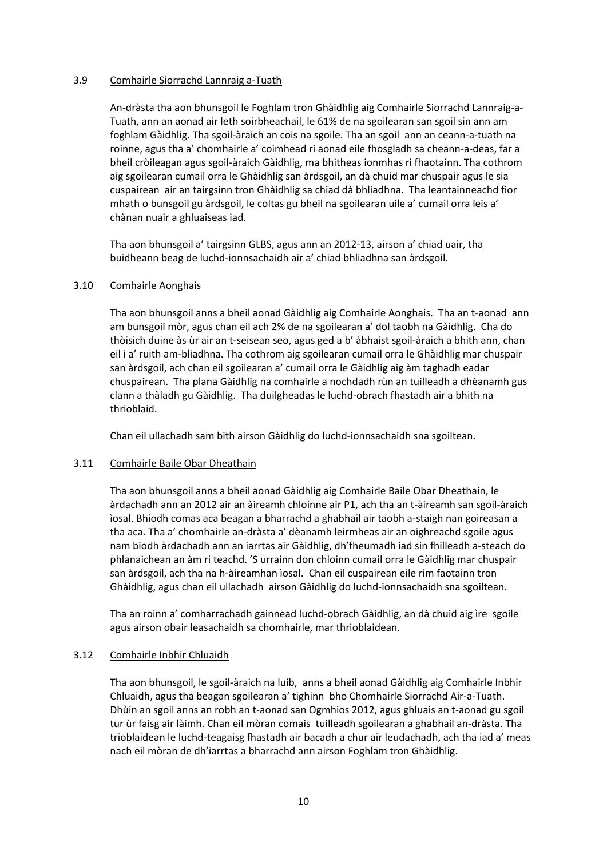# 3.9 Comhairle Siorrachd Lannraig a‐Tuath

An‐dràsta tha aon bhunsgoil le Foghlam tron Ghàidhlig aig Comhairle Siorrachd Lannraig‐a‐ Tuath, ann an aonad air leth soirbheachail, le 61% de na sgoilearan san sgoil sin ann am foghlam Gàidhlig. Tha sgoil‐àraich an cois na sgoile. Tha an sgoil ann an ceann‐a‐tuath na roinne, agus tha a' chomhairle a' coimhead ri aonad eile fhosgladh sa cheann‐a‐deas, far a bheil cròileagan agus sgoil‐àraich Gàidhlig, ma bhitheas ionmhas ri fhaotainn. Tha cothrom aig sgoilearan cumail orra le Ghàidhlig san àrdsgoil, an dà chuid mar chuspair agus le sia cuspairean air an tairgsinn tron Ghàidhlig sa chiad dà bhliadhna. Tha leantainneachd fior mhath o bunsgoil gu àrdsgoil, le coltas gu bheil na sgoilearan uile a' cumail orra leis a' chànan nuair a ghluaiseas iad.

Tha aon bhunsgoil a' tairgsinn GLBS, agus ann an 2012‐13, airson a' chiad uair, tha buidheann beag de luchd‐ionnsachaidh air a' chiad bhliadhna san àrdsgoil.

# 3.10 Comhairle Aonghais

Tha aon bhunsgoil anns a bheil aonad Gàidhlig aig Comhairle Aonghais. Tha an t‐aonad ann am bunsgoil mòr, agus chan eil ach 2% de na sgoilearan a' dol taobh na Gàidhlig. Cha do thòisich duine às ùr air an t‐seisean seo, agus ged a b' àbhaist sgoil‐àraich a bhith ann, chan eil i a' ruith am‐bliadhna. Tha cothrom aig sgoilearan cumail orra le Ghàidhlig mar chuspair san àrdsgoil, ach chan eil sgoilearan a' cumail orra le Gàidhlig aig àm taghadh eadar chuspairean. Tha plana Gàidhlig na comhairle a nochdadh rùn an tuilleadh a dhèanamh gus clann a thàladh gu Gàidhlig. Tha duilgheadas le luchd‐obrach fhastadh air a bhith na thrioblaid.

Chan eil ullachadh sam bith airson Gàidhlig do luchd‐ionnsachaidh sna sgoiltean.

# 3.11 Comhairle Baile Obar Dheathain

Tha aon bhunsgoil anns a bheil aonad Gàidhlig aig Comhairle Baile Obar Dheathain, le àrdachadh ann an 2012 air an àireamh chloinne air P1, ach tha an t‐àireamh san sgoil‐àraich ìosal. Bhiodh comas aca beagan a bharrachd a ghabhail air taobh a‐staigh nan goireasan a tha aca. Tha a' chomhairle an‐dràsta a' dèanamh leirmheas air an oighreachd sgoile agus nam biodh àrdachadh ann an iarrtas air Gàidhlig, dh'fheumadh iad sin fhilleadh a‐steach do phlanaichean an àm ri teachd. 'S urrainn don chloinn cumail orra le Gàidhlig mar chuspair san àrdsgoil, ach tha na h‐àireamhan ìosal. Chan eil cuspairean eile rim faotainn tron Ghàidhlig, agus chan eil ullachadh airson Gàidhlig do luchd‐ionnsachaidh sna sgoiltean.

Tha an roinn a' comharrachadh gainnead luchd‐obrach Gàidhlig, an dà chuid aig ìre sgoile agus airson obair leasachaidh sa chomhairle, mar thrioblaidean.

# 3.12 Comhairle Inbhir Chluaidh

Tha aon bhunsgoil, le sgoil‐àraich na luib, anns a bheil aonad Gàidhlig aig Comhairle Inbhir Chluaidh, agus tha beagan sgoilearan a' tighinn bho Chomhairle Siorrachd Air‐a‐Tuath. Dhùin an sgoil anns an robh an t‐aonad san Ogmhios 2012, agus ghluais an t‐aonad gu sgoil tur ùr faisg air làimh. Chan eil mòran comais tuilleadh sgoilearan a ghabhail an‐dràsta. Tha trioblaidean le luchd‐teagaisg fhastadh air bacadh a chur air leudachadh, ach tha iad a' meas nach eil mòran de dh'iarrtas a bharrachd ann airson Foghlam tron Ghàidhlig.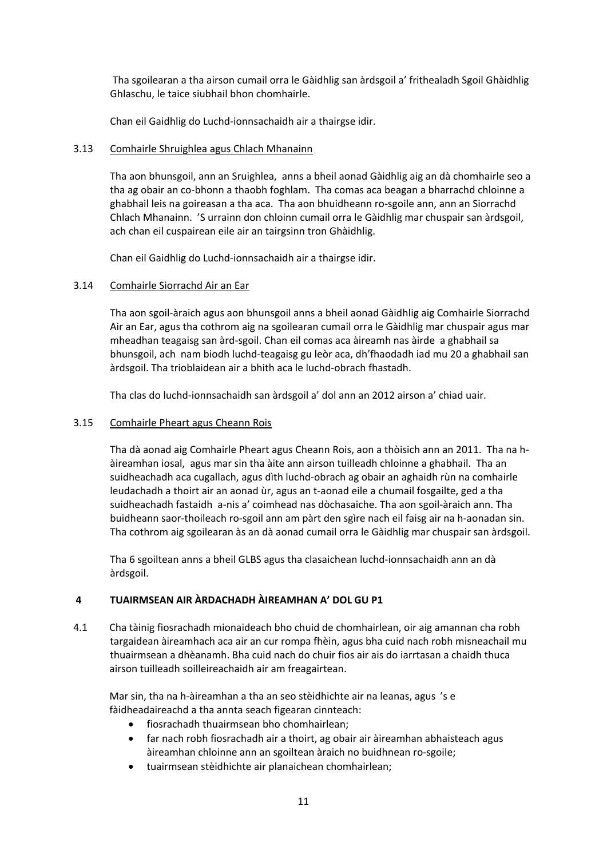Tha sgoilearan a tha airson cumail orra le Gàidhlig san àrdsgoil a' frithealadh Sgoil Ghàidhlig Ghlaschu, le taice siubhail bhon chomhairle.

Chan eil Gaidhlig do Luchd‐ionnsachaidh air a thairgse idir.

# 3.13 Comhairle Shruighlea agus Chlach Mhanainn

Tha aon bhunsgoil, ann an Sruighlea, anns a bheil aonad Gàidhlig aig an dà chomhairle seo a tha ag obair an co‐bhonn a thaobh foghlam. Tha comas aca beagan a bharrachd chloinne a ghabhail leis na goireasan a tha aca. Tha aon bhuidheann ro-sgoile ann, ann an Siorrachd Chlach Mhanainn. 'S urrainn don chloinn cumail orra le Gàidhlig mar chuspair san àrdsgoil, ach chan eil cuspairean eile air an tairgsinn tron Ghàidhlig.

Chan eil Gaidhlig do Luchd‐ionnsachaidh air a thairgse idir.

# 3.14 Comhairle Siorrachd Air an Ear

Tha aon sgoil‐àraich agus aon bhunsgoil anns a bheil aonad Gàidhlig aig Comhairle Siorrachd Air an Ear, agus tha cothrom aig na sgoilearan cumail orra le Gàidhlig mar chuspair agus mar mheadhan teagaisg san àrd‐sgoil. Chan eil comas aca àireamh nas àirde a ghabhail sa bhunsgoil, ach nam biodh luchd‐teagaisg gu leòr aca, dh'fhaodadh iad mu 20 a ghabhail san àrdsgoil. Tha trioblaidean air a bhith aca le luchd‐obrach fhastadh.

Tha clas do luchd‐ionnsachaidh san àrdsgoil a' dol ann an 2012 airson a' chiad uair.

# 3.15 Comhairle Pheart agus Cheann Rois

Tha dà aonad aig Comhairle Pheart agus Cheann Rois, aon a thòisich ann an 2011. Tha na h‐ àireamhan iosal, agus mar sin tha àite ann airson tuilleadh chloinne a ghabhail. Tha an suidheachadh aca cugallach, agus dìth luchd‐obrach ag obair an aghaidh rùn na comhairle leudachadh a thoirt air an aonad ùr, agus an t‐aonad eile a chumail fosgailte, ged a tha suidheachadh fastaidh a‐nis a' coimhead nas dòchasaiche. Tha aon sgoil‐àraich ann. Tha buidheann saor‐thoileach ro‐sgoil ann am pàrt den sgìre nach eil faisg air na h‐aonadan sin. Tha cothrom aig sgoilearan às an dà aonad cumail orra le Gàidhlig mar chuspair san àrdsgoil.

Tha 6 sgoiltean anns a bheil GLBS agus tha clasaichean luchd‐ionnsachaidh ann an dà àrdsgoil.

# **4 TUAIRMSEAN AIR ÀRDACHADH ÀIREAMHAN A' DOL GU P1**

4.1 Cha tàinig fiosrachadh mionaideach bho chuid de chomhairlean, oir aig amannan cha robh targaidean àireamhach aca air an cur rompa fhèin, agus bha cuid nach robh misneachail mu thuairmsean a dhèanamh. Bha cuid nach do chuir fios air ais do iarrtasan a chaidh thuca airson tuilleadh soilleireachaidh air am freagairtean.

 Mar sin, tha na h‐àireamhan a tha an seo stèidhichte air na leanas, agus 's e fàidheadaireachd a tha annta seach figearan cinnteach:

- fiosrachadh thuairmsean bho chomhairlean;
- far nach robh fiosrachadh air a thoirt, ag obair air àireamhan abhaisteach agus àireamhan chloinne ann an sgoiltean àraich no buidhnean ro‐sgoile;
- tuairmsean stèidhichte air planaichean chomhairlean;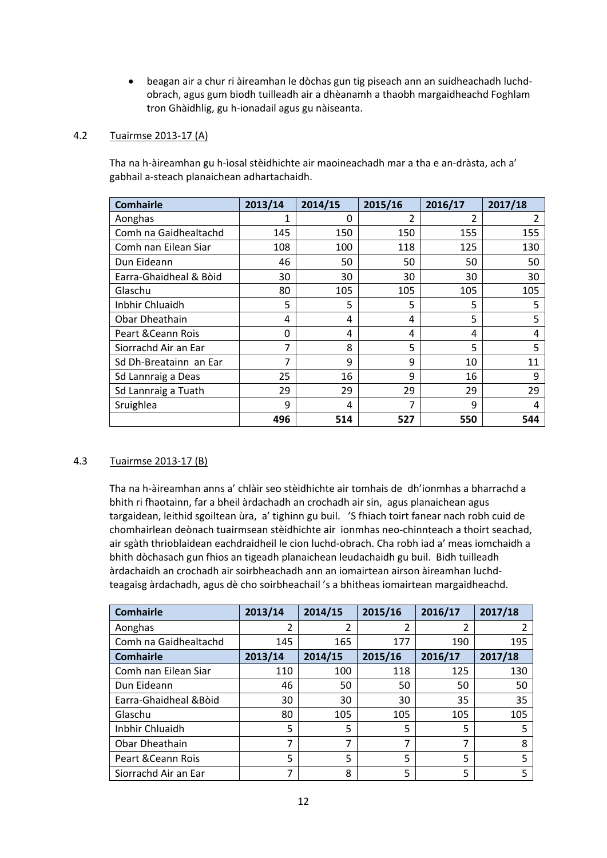beagan air a chur ri àireamhan le dòchas gun tig piseach ann an suidheachadh luchd‐ obrach, agus gum biodh tuilleadh air a dhèanamh a thaobh margaidheachd Foghlam tron Ghàidhlig, gu h‐ionadail agus gu nàiseanta.

# 4.2 Tuairmse 2013‐17 (A)

 Tha na h‐àireamhan gu h‐ìosal stèidhichte air maoineachadh mar a tha e an‐dràsta, ach a' gabhail a‐steach planaichean adhartachaidh.

| <b>Comhairle</b>       | 2013/14 | 2014/15 | 2015/16 | 2016/17 | 2017/18 |
|------------------------|---------|---------|---------|---------|---------|
| Aonghas                | 1       | 0       | 2       | 2       | 2       |
| Comh na Gaidhealtachd  | 145     | 150     | 150     | 155     | 155     |
| Comh nan Eilean Siar   | 108     | 100     | 118     | 125     | 130     |
| Dun Eideann            | 46      | 50      | 50      | 50      | 50      |
| Earra-Ghaidheal & Bòid | 30      | 30      | 30      | 30      | 30      |
| Glaschu                | 80      | 105     | 105     | 105     | 105     |
| Inbhir Chluaidh        | 5       | 5       | 5       | 5       | 5       |
| Obar Dheathain         | 4       | 4       | 4       | 5       | 5       |
| Peart & Ceann Rois     | 0       | 4       | 4       | 4       | 4       |
| Siorrachd Air an Ear   | 7       | 8       | 5       | 5       | 5       |
| Sd Dh-Breatainn an Ear | 7       | 9       | 9       | 10      | 11      |
| Sd Lannraig a Deas     | 25      | 16      | 9       | 16      | 9       |
| Sd Lannraig a Tuath    | 29      | 29      | 29      | 29      | 29      |
| Sruighlea              | 9       | 4       | 7       | 9       | 4       |
|                        | 496     | 514     | 527     | 550     | 544     |

# 4.3 Tuairmse 2013‐17 (B)

 Tha na h‐àireamhan anns a' chlàir seo stèidhichte air tomhais de dh'ionmhas a bharrachd a bhith ri fhaotainn, far a bheil àrdachadh an crochadh air sin, agus planaichean agus targaidean, leithid sgoiltean ùra, a' tighinn gu buil. 'S fhiach toirt fanear nach robh cuid de chomhairlean deònach tuairmsean stèidhichte air ionmhas neo‐chinnteach a thoirt seachad, air sgàth thrioblaidean eachdraidheil le cion luchd‐obrach. Cha robh iad a' meas iomchaidh a bhith dòchasach gun fhios an tigeadh planaichean leudachaidh gu buil. Bidh tuilleadh àrdachaidh an crochadh air soirbheachadh ann an iomairtean airson àireamhan luchd‐ teagaisg àrdachadh, agus dè cho soirbheachail 's a bhitheas iomairtean margaidheachd.

| <b>Comhairle</b>       | 2013/14 | 2014/15 | 2015/16 | 2016/17 | 2017/18 |
|------------------------|---------|---------|---------|---------|---------|
| Aonghas                | 2       | 2       | 2       |         |         |
| Comh na Gaidhealtachd  | 145     | 165     | 177     | 190     | 195     |
| <b>Comhairle</b>       | 2013/14 | 2014/15 | 2015/16 | 2016/17 | 2017/18 |
| Comh nan Eilean Siar   | 110     | 100     | 118     | 125     | 130     |
| Dun Eideann            | 46      | 50      | 50      | 50      | 50      |
| Earra-Ghaidheal & Boid | 30      | 30      | 30      | 35      | 35      |
| Glaschu                | 80      | 105     | 105     | 105     | 105     |
| Inbhir Chluaidh        | 5       | 5       | 5       | 5       | 5       |
| Obar Dheathain         | 7       | 7       | 7       | 7       | 8       |
| Peart & Ceann Rois     | 5       | 5       | 5       | 5       | 5       |
| Siorrachd Air an Ear   | 7       | 8       | 5       | 5       | 5       |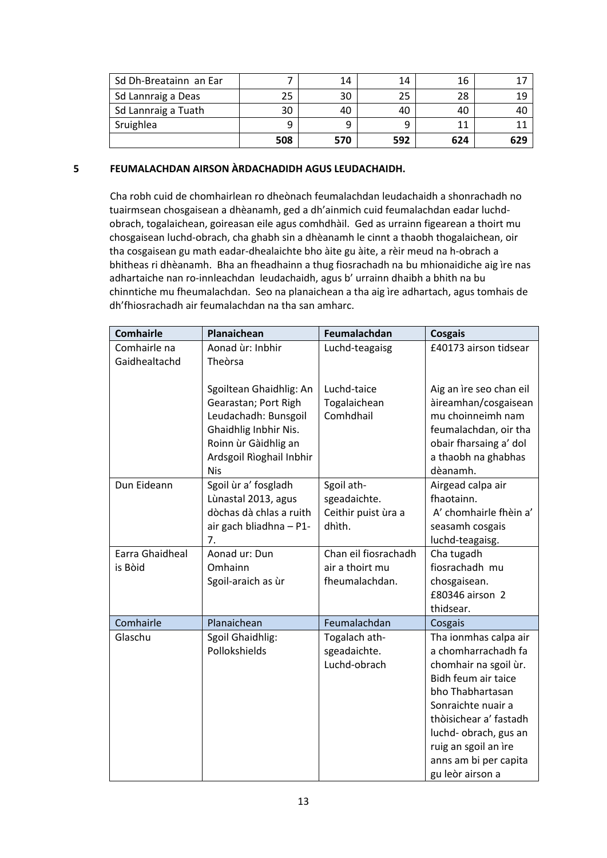| Sd Dh-Breatainn an Ear |     | 14  | 14  | 16  |     |
|------------------------|-----|-----|-----|-----|-----|
| Sd Lannraig a Deas     | 25  | 30  | 25  | 28  | 1 O |
| Sd Lannraig a Tuath    | 30  | 40  | 40  | 40  |     |
| Sruighlea              |     |     |     |     |     |
|                        | 508 | 570 | 592 | 624 | 629 |

# **5 FEUMALACHDAN AIRSON ÀRDACHADIDH AGUS LEUDACHAIDH.**

 Cha robh cuid de chomhairlean ro dheònach feumalachdan leudachaidh a shonrachadh no tuairmsean chosgaisean a dhèanamh, ged a dh'ainmich cuid feumalachdan eadar luchd‐ obrach, togalaichean, goireasan eile agus comhdhàil. Ged as urrainn figearean a thoirt mu chosgaisean luchd‐obrach, cha ghabh sin a dhèanamh le cinnt a thaobh thogalaichean, oir tha cosgaisean gu math eadar‐dhealaichte bho àite gu àite, a rèir meud na h‐obrach a bhitheas ri dhèanamh. Bha an fheadhainn a thug fiosrachadh na bu mhionaidiche aig ìre nas adhartaiche nan ro-innleachdan leudachaidh, agus b' urrainn dhaibh a bhith na bu chinntiche mu fheumalachdan. Seo na planaichean a tha aig ìre adhartach, agus tomhais de dh'fhiosrachadh air feumalachdan na tha san amharc.

| <b>Comhairle</b> | Planaichean                                                                                                                                                        | Feumalachdan                             | Cosgais                                                                                                                                                    |
|------------------|--------------------------------------------------------------------------------------------------------------------------------------------------------------------|------------------------------------------|------------------------------------------------------------------------------------------------------------------------------------------------------------|
| Comhairle na     | Aonad ùr: Inbhir                                                                                                                                                   | Luchd-teagaisg                           | £40173 airson tidsear                                                                                                                                      |
| Gaidhealtachd    | Theòrsa                                                                                                                                                            |                                          |                                                                                                                                                            |
|                  | Sgoiltean Ghaidhlig: An<br>Gearastan; Port Righ<br>Leudachadh: Bunsgoil<br>Ghaidhlig Inbhir Nis.<br>Roinn ùr Gàidhlig an<br>Ardsgoil Rìoghail Inbhir<br><b>Nis</b> | Luchd-taice<br>Togalaichean<br>Comhdhail | Aig an ìre seo chan eil<br>àireamhan/cosgaisean<br>mu choinneimh nam<br>feumalachdan, oir tha<br>obair fharsaing a' dol<br>a thaobh na ghabhas<br>dèanamh. |
| Dun Eideann      | Sgoil ùr a' fosgladh                                                                                                                                               | Sgoil ath-                               | Airgead calpa air                                                                                                                                          |
|                  | Lùnastal 2013, agus                                                                                                                                                | sgeadaichte.                             | fhaotainn.                                                                                                                                                 |
|                  | dòchas dà chlas a ruith                                                                                                                                            | Ceithir puist ùra a                      | A' chomhairle fhèin a'                                                                                                                                     |
|                  | air gach bliadhna - P1-                                                                                                                                            | dhìth.                                   | seasamh cosgais                                                                                                                                            |
|                  | 7.                                                                                                                                                                 |                                          | luchd-teagaisg.                                                                                                                                            |
| Earra Ghaidheal  | Aonad ur: Dun                                                                                                                                                      | Chan eil fiosrachadh                     | Cha tugadh                                                                                                                                                 |
| is Bòid          | Omhainn                                                                                                                                                            | air a thoirt mu                          | fiosrachadh mu                                                                                                                                             |
|                  | Sgoil-araich as ùr                                                                                                                                                 | fheumalachdan.                           | chosgaisean.<br>£80346 airson 2                                                                                                                            |
|                  |                                                                                                                                                                    |                                          | thidsear.                                                                                                                                                  |
| Comhairle        | Planaichean                                                                                                                                                        | Feumalachdan                             | Cosgais                                                                                                                                                    |
| Glaschu          | Sgoil Ghaidhlig:                                                                                                                                                   | Togalach ath-                            | Tha ionmhas calpa air                                                                                                                                      |
|                  | Pollokshields                                                                                                                                                      | sgeadaichte.                             | a chomharrachadh fa                                                                                                                                        |
|                  |                                                                                                                                                                    | Luchd-obrach                             | chomhair na sgoil ùr.                                                                                                                                      |
|                  |                                                                                                                                                                    |                                          | Bidh feum air taice                                                                                                                                        |
|                  |                                                                                                                                                                    |                                          | bho Thabhartasan                                                                                                                                           |
|                  |                                                                                                                                                                    |                                          | Sonraichte nuair a                                                                                                                                         |
|                  |                                                                                                                                                                    |                                          | thòisichear a' fastadh                                                                                                                                     |
|                  |                                                                                                                                                                    |                                          | luchd-obrach, gus an                                                                                                                                       |
|                  |                                                                                                                                                                    |                                          | ruig an sgoil an ìre                                                                                                                                       |
|                  |                                                                                                                                                                    |                                          | anns am bi per capita                                                                                                                                      |
|                  |                                                                                                                                                                    |                                          | gu leòr airson a                                                                                                                                           |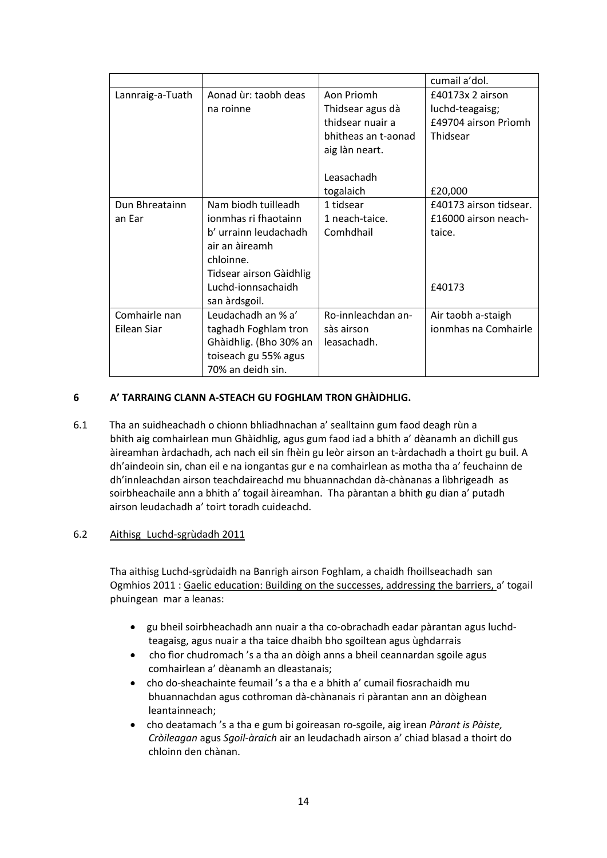|                  |                         |                     | cumail a'dol.          |
|------------------|-------------------------|---------------------|------------------------|
| Lannraig-a-Tuath | Aonad ùr: taobh deas    | Aon Priomh          | £40173x 2 airson       |
|                  | na roinne               | Thidsear agus dà    | luchd-teagaisg;        |
|                  |                         | thidsear nuair a    | £49704 airson Prìomh   |
|                  |                         | bhitheas an t-aonad | Thidsear               |
|                  |                         | aig làn neart.      |                        |
|                  |                         |                     |                        |
|                  |                         | Leasachadh          |                        |
|                  |                         | togalaich           | £20,000                |
| Dun Bhreatainn   | Nam biodh tuilleadh     | 1 tidsear           | £40173 airson tidsear. |
| an Ear           | ionmhas ri fhaotainn    | 1 neach-taice.      | £16000 airson neach-   |
|                  | b' urrainn leudachadh   | Comhdhail           | taice.                 |
|                  | air an àireamh          |                     |                        |
|                  | chloinne.               |                     |                        |
|                  | Tidsear airson Gàidhlig |                     |                        |
|                  | Luchd-ionnsachaidh      |                     | £40173                 |
|                  | san àrdsgoil.           |                     |                        |
| Comhairle nan    | Leudachadh an % a'      | Ro-innleachdan an-  | Air taobh a-staigh     |
| Eilean Siar      | taghadh Foghlam tron    | sàs airson          | ionmhas na Comhairle   |
|                  | Ghàidhlig. (Bho 30% an  | leasachadh.         |                        |
|                  | toiseach gu 55% agus    |                     |                        |
|                  | 70% an deidh sin.       |                     |                        |

# **6 A' TARRAING CLANN A‐STEACH GU FOGHLAM TRON GHÀIDHLIG.**

6.1 Tha an suidheachadh o chionn bhliadhnachan a' sealltainn gum faod deagh rùn a bhith aig comhairlean mun Ghàidhlig, agus gum faod iad a bhith a' dèanamh an dìchill gus àireamhan àrdachadh, ach nach eil sin fhèin gu leòr airson an t‐àrdachadh a thoirt gu buil. A dh'aindeoin sin, chan eil e na iongantas gur e na comhairlean as motha tha a' feuchainn de dh'innleachdan airson teachdaireachd mu bhuannachdan dà‐chànanas a lìbhrigeadh as soirbheachaile ann a bhith a' togail àireamhan. Tha pàrantan a bhith gu dian a' putadh airson leudachadh a' toirt toradh cuideachd.

# 6.2 Aithisg Luchd‐sgrùdadh 2011

Tha aithisg Luchd‐sgrùdaidh na Banrigh airson Foghlam, a chaidh fhoillseachadh san Ogmhios 2011 : Gaelic education: Building on the successes, addressing the barriers, a' togail phuingean mar a leanas:

- gu bheil soirbheachadh ann nuair a tha co-obrachadh eadar pàrantan agus luchdteagaisg, agus nuair a tha taice dhaibh bho sgoiltean agus ùghdarrais
- cho fìor chudromach 's a tha an dòigh anns a bheil ceannardan sgoile agus comhairlean a' dèanamh an dleastanais;
- cho do-sheachainte feumail 's a tha e a bhith a' cumail fiosrachaidh mu bhuannachdan agus cothroman dà‐chànanais ri pàrantan ann an dòighean leantainneach;
- cho deatamach 's a tha e gum bi goireasan ro‐sgoile, aig ìrean *Pàrant is Pàiste, Cròileagan* agus *Sgoil‐àraich* air an leudachadh airson a' chiad blasad a thoirt do chloinn den chànan.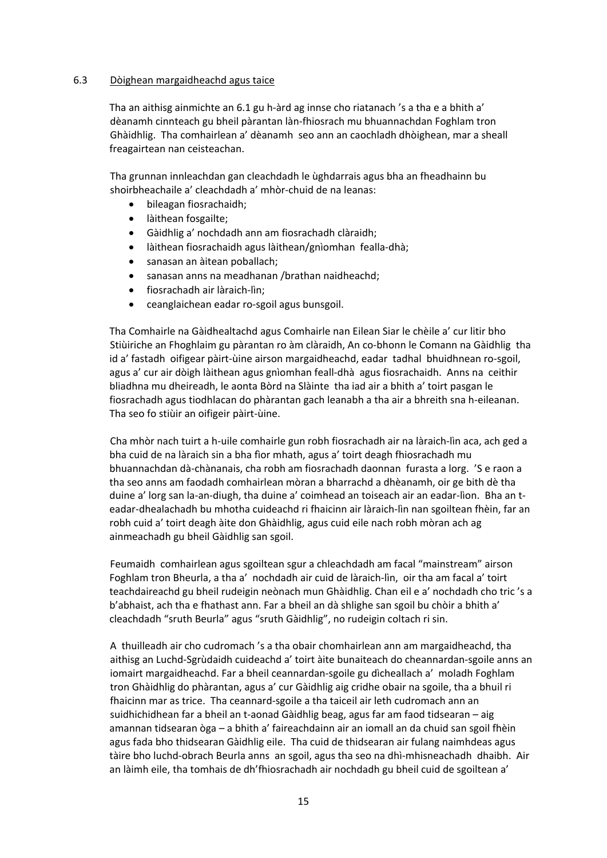## 6.3 Dòighean margaidheachd agus taice

Tha an aithisg ainmichte an 6.1 gu h‐àrd ag innse cho riatanach 's a tha e a bhith a' dèanamh cinnteach gu bheil pàrantan làn‐fhiosrach mu bhuannachdan Foghlam tron Ghàidhlig. Tha comhairlean a' dèanamh seo ann an caochladh dhòighean, mar a sheall freagairtean nan ceisteachan.

Tha grunnan innleachdan gan cleachdadh le ùghdarrais agus bha an fheadhainn bu shoirbheachaile a' cleachdadh a' mhòr‐chuid de na leanas:

- bileagan fiosrachaidh;
- **•** làithean fosgailte;
- Gàidhlig a' nochdadh ann am fiosrachadh clàraidh;
- làithean fiosrachaidh agus làithean/gnìomhan fealla‐dhà;
- sanasan an àitean poballach;
- sanasan anns na meadhanan /brathan naidheachd;
- fiosrachadh air làraich‐lìn;
- ceanglaichean eadar ro-sgoil agus bunsgoil.

 Tha Comhairle na Gàidhealtachd agus Comhairle nan Eilean Siar le chèile a' cur litir bho Stiùiriche an Fhoghlaim gu pàrantan ro àm clàraidh, An co‐bhonn le Comann na Gàidhlig tha id a' fastadh oifigear pàirt‐ùine airson margaidheachd, eadar tadhal bhuidhnean ro‐sgoil, agus a' cur air dòigh làithean agus gnìomhan feall‐dhà agus fiosrachaidh. Anns na ceithir bliadhna mu dheireadh, le aonta Bòrd na Slàinte tha iad air a bhith a' toirt pasgan le fiosrachadh agus tiodhlacan do phàrantan gach leanabh a tha air a bhreith sna h‐eileanan. Tha seo fo stiùir an oifigeir pàirt‐ùine.

 Cha mhòr nach tuirt a h‐uile comhairle gun robh fiosrachadh air na làraich‐lìn aca, ach ged a bha cuid de na làraich sin a bha fìor mhath, agus a' toirt deagh fhiosrachadh mu bhuannachdan dà‐chànanais, cha robh am fiosrachadh daonnan furasta a lorg. 'S e raon a tha seo anns am faodadh comhairlean mòran a bharrachd a dhèanamh, oir ge bith dè tha duine a' lorg san la‐an‐diugh, tha duine a' coimhead an toiseach air an eadar‐lìon. Bha an t‐ eadar‐dhealachadh bu mhotha cuideachd ri fhaicinn air làraich‐lìn nan sgoiltean fhèin, far an robh cuid a' toirt deagh àite don Ghàidhlig, agus cuid eile nach robh mòran ach ag ainmeachadh gu bheil Gàidhlig san sgoil.

 Feumaidh comhairlean agus sgoiltean sgur a chleachdadh am facal "mainstream" airson Foghlam tron Bheurla, a tha a' nochdadh air cuid de làraich‐lìn, oir tha am facal a' toirt teachdaireachd gu bheil rudeigin neònach mun Ghàidhlig. Chan eil e a' nochdadh cho tric 's a b'abhaist, ach tha e fhathast ann. Far a bheil an dà shlighe san sgoil bu chòir a bhith a' cleachdadh "sruth Beurla" agus "sruth Gàidhlig", no rudeigin coltach ri sin.

 A thuilleadh air cho cudromach 's a tha obair chomhairlean ann am margaidheachd, tha aithisg an Luchd‐Sgrùdaidh cuideachd a' toirt àite bunaiteach do cheannardan‐sgoile anns an iomairt margaidheachd. Far a bheil ceannardan‐sgoile gu dìcheallach a' moladh Foghlam tron Ghàidhlig do phàrantan, agus a' cur Gàidhlig aig cridhe obair na sgoile, tha a bhuil ri fhaicinn mar as trice. Tha ceannard‐sgoile a tha taiceil air leth cudromach ann an suidhichidhean far a bheil an t‐aonad Gàidhlig beag, agus far am faod tidsearan – aig amannan tidsearan òga – a bhith a' faireachdainn air an iomall an da chuid san sgoil fhèin agus fada bho thidsearan Gàidhlig eile. Tha cuid de thidsearan air fulang naimhdeas agus tàire bho luchd‐obrach Beurla anns an sgoil, agus tha seo na dhì‐mhisneachadh dhaibh. Air an làimh eile, tha tomhais de dh'fhiosrachadh air nochdadh gu bheil cuid de sgoiltean a'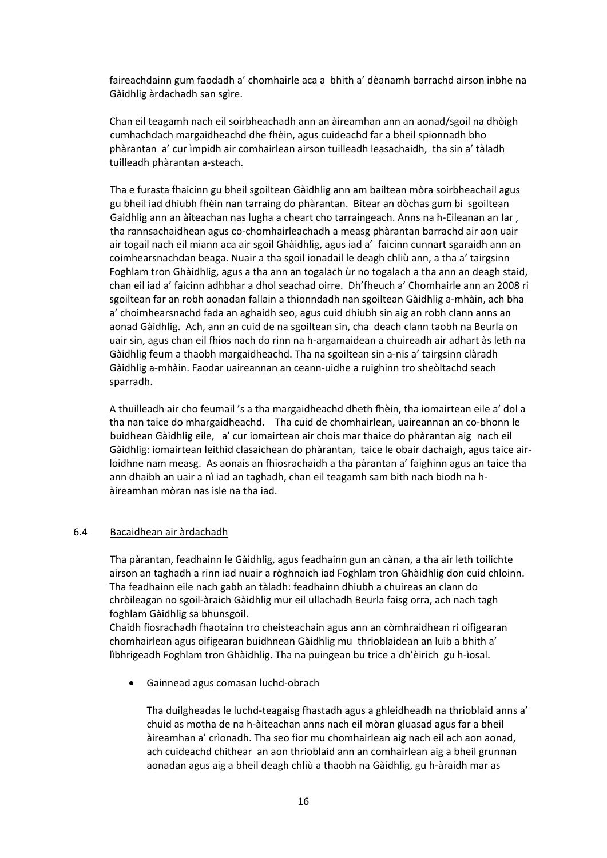faireachdainn gum faodadh a' chomhairle aca a bhith a' dèanamh barrachd airson inbhe na Gàidhlig àrdachadh san sgìre.

 Chan eil teagamh nach eil soirbheachadh ann an àireamhan ann an aonad/sgoil na dhòigh cumhachdach margaidheachd dhe fhèin, agus cuideachd far a bheil spionnadh bho phàrantan a' cur ìmpidh air comhairlean airson tuilleadh leasachaidh, tha sin a' tàladh tuilleadh phàrantan a‐steach.

 Tha e furasta fhaicinn gu bheil sgoiltean Gàidhlig ann am bailtean mòra soirbheachail agus gu bheil iad dhiubh fhèin nan tarraing do phàrantan. Bitear an dòchas gum bi sgoiltean Gaidhlig ann an àiteachan nas lugha a cheart cho tarraingeach. Anns na h-Eileanan an Iar, tha rannsachaidhean agus co‐chomhairleachadh a measg phàrantan barrachd air aon uair air togail nach eil miann aca air sgoil Ghàidhlig, agus iad a' faicinn cunnart sgaraidh ann an coimhearsnachdan beaga. Nuair a tha sgoil ionadail le deagh chliù ann, a tha a' tairgsinn Foghlam tron Ghàidhlig, agus a tha ann an togalach ùr no togalach a tha ann an deagh staid, chan eil iad a' faicinn adhbhar a dhol seachad oirre. Dh'fheuch a' Chomhairle ann an 2008 ri sgoiltean far an robh aonadan fallain a thionndadh nan sgoiltean Gàidhlig a‐mhàin, ach bha a' choimhearsnachd fada an aghaidh seo, agus cuid dhiubh sin aig an robh clann anns an aonad Gàidhlig. Ach, ann an cuid de na sgoiltean sin, cha deach clann taobh na Beurla on uair sin, agus chan eil fhios nach do rinn na h‐argamaidean a chuireadh air adhart às leth na Gàidhlig feum a thaobh margaidheachd. Tha na sgoiltean sin a‐nis a' tairgsinn clàradh Gàidhlig a‐mhàin. Faodar uaireannan an ceann‐uidhe a ruighinn tro sheòltachd seach sparradh.

 A thuilleadh air cho feumail 's a tha margaidheachd dheth fhèin, tha iomairtean eile a' dol a tha nan taice do mhargaidheachd. Tha cuid de chomhairlean, uaireannan an co‐bhonn le buidhean Gàidhlig eile, a' cur iomairtean air chois mar thaice do phàrantan aig nach eil Gàidhlig: iomairtean leithid clasaichean do phàrantan, taice le obair dachaigh, agus taice air‐ loidhne nam measg. As aonais an fhiosrachaidh a tha pàrantan a' faighinn agus an taice tha ann dhaibh an uair a nì iad an taghadh, chan eil teagamh sam bith nach biodh na h‐ àireamhan mòran nas ìsle na tha iad.

#### 6.4 Bacaidhean air àrdachadh

Tha pàrantan, feadhainn le Gàidhlig, agus feadhainn gun an cànan, a tha air leth toilichte airson an taghadh a rinn iad nuair a ròghnaich iad Foghlam tron Ghàidhlig don cuid chloinn. Tha feadhainn eile nach gabh an tàladh: feadhainn dhiubh a chuireas an clann do chròileagan no sgoil‐àraich Gàidhlig mur eil ullachadh Beurla faisg orra, ach nach tagh foghlam Gàidhlig sa bhunsgoil.

Chaidh fiosrachadh fhaotainn tro cheisteachain agus ann an còmhraidhean ri oifigearan chomhairlean agus oifigearan buidhnean Gàidhlig mu thrioblaidean an luib a bhith a' lìbhrigeadh Foghlam tron Ghàidhlig. Tha na puingean bu trice a dh'èirich gu h‐ìosal.

Gainnead agus comasan luchd‐obrach

Tha duilgheadas le luchd‐teagaisg fhastadh agus a ghleidheadh na thrioblaid anns a' chuid as motha de na h‐àiteachan anns nach eil mòran gluasad agus far a bheil àireamhan a' crìonadh. Tha seo fior mu chomhairlean aig nach eil ach aon aonad, ach cuideachd chithear an aon thrioblaid ann an comhairlean aig a bheil grunnan aonadan agus aig a bheil deagh chliù a thaobh na Gàidhlig, gu h‐àraidh mar as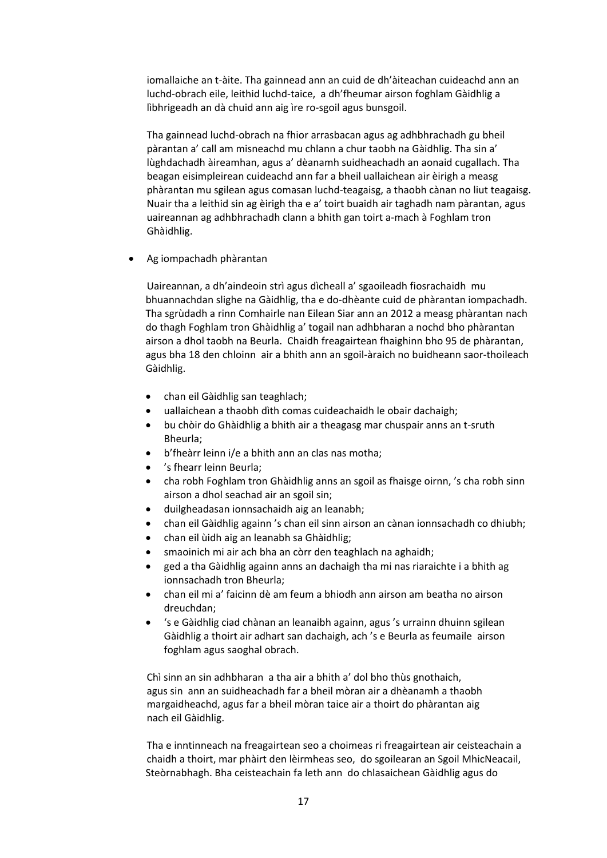iomallaiche an t‐àite. Tha gainnead ann an cuid de dh'àiteachan cuideachd ann an luchd‐obrach eile, leithid luchd‐taice, a dh'fheumar airson foghlam Gàidhlig a lìbhrigeadh an dà chuid ann aig ìre ro‐sgoil agus bunsgoil.

 Tha gainnead luchd‐obrach na fhior arrasbacan agus ag adhbhrachadh gu bheil pàrantan a' call am misneachd mu chlann a chur taobh na Gàidhlig. Tha sin a' lùghdachadh àireamhan, agus a' dèanamh suidheachadh an aonaid cugallach. Tha beagan eisimpleirean cuideachd ann far a bheil uallaichean air èirigh a measg phàrantan mu sgilean agus comasan luchd‐teagaisg, a thaobh cànan no liut teagaisg. Nuair tha a leithid sin ag èirigh tha e a' toirt buaidh air taghadh nam pàrantan, agus uaireannan ag adhbhrachadh clann a bhith gan toirt a‐mach à Foghlam tron Ghàidhlig.

Ag iompachadh phàrantan

 Uaireannan, a dh'aindeoin strì agus dìcheall a' sgaoileadh fiosrachaidh mu bhuannachdan slighe na Gàidhlig, tha e do‐dhèante cuid de phàrantan iompachadh. Tha sgrùdadh a rinn Comhairle nan Eilean Siar ann an 2012 a measg phàrantan nach do thagh Foghlam tron Ghàidhlig a' togail nan adhbharan a nochd bho phàrantan airson a dhol taobh na Beurla. Chaidh freagairtean fhaighinn bho 95 de phàrantan, agus bha 18 den chloinn air a bhith ann an sgoil‐àraich no buidheann saor‐thoileach Gàidhlig.

- chan eil Gàidhlig san teaghlach;
- uallaichean a thaobh dìth comas cuideachaidh le obair dachaigh;
- bu chòir do Ghàidhlig a bhith air a theagasg mar chuspair anns an t‐sruth Bheurla;
- b'fheàrr leinn i/e a bhith ann an clas nas motha;
- 's fhearr leinn Beurla;
- cha robh Foghlam tron Ghàidhlig anns an sgoil as fhaisge oirnn, 's cha robh sinn airson a dhol seachad air an sgoil sin;
- duilgheadasan ionnsachaidh aig an leanabh;
- chan eil Gàidhlig againn 's chan eil sinn airson an cànan ionnsachadh co dhiubh;
- chan eil ùidh aig an leanabh sa Ghàidhlig;
- smaoinich mi air ach bha an còrr den teaghlach na aghaidh;
- ged a tha Gàidhlig againn anns an dachaigh tha mi nas riaraichte i a bhith ag ionnsachadh tron Bheurla;
- chan eil mi a' faicinn dè am feum a bhiodh ann airson am beatha no airson dreuchdan;
- 's e Gàidhlig ciad chànan an leanaibh againn, agus 's urrainn dhuinn sgilean Gàidhlig a thoirt air adhart san dachaigh, ach 's e Beurla as feumaile airson foghlam agus saoghal obrach.

 Chì sinn an sin adhbharan a tha air a bhith a' dol bho thùs gnothaich, agus sin ann an suidheachadh far a bheil mòran air a dhèanamh a thaobh margaidheachd, agus far a bheil mòran taice air a thoirt do phàrantan aig nach eil Gàidhlig.

 Tha e inntinneach na freagairtean seo a choimeas ri freagairtean air ceisteachain a chaidh a thoirt, mar phàirt den lèirmheas seo, do sgoilearan an Sgoil MhicNeacail, Steòrnabhagh. Bha ceisteachain fa leth ann do chlasaichean Gàidhlig agus do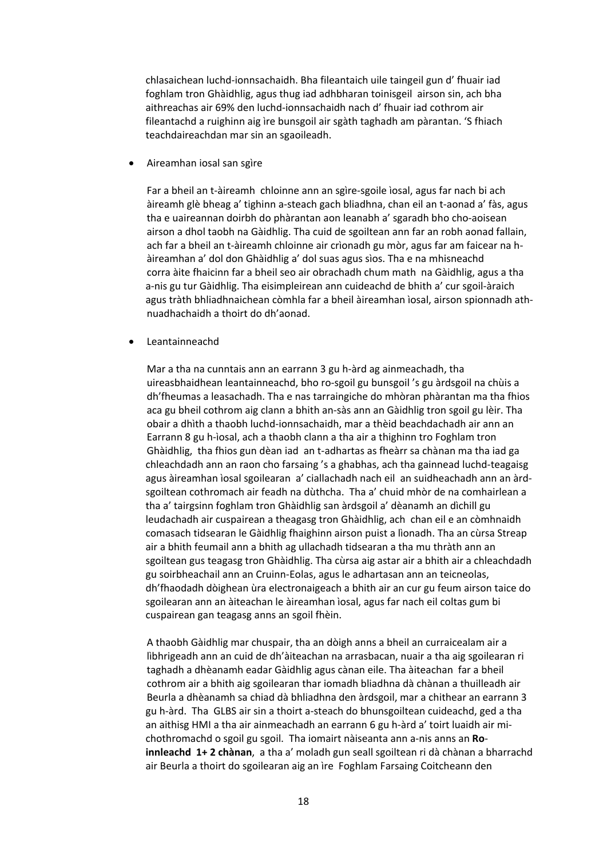chlasaichean luchd‐ionnsachaidh. Bha fileantaich uile taingeil gun d' fhuair iad foghlam tron Ghàidhlig, agus thug iad adhbharan toinisgeil airson sin, ach bha aithreachas air 69% den luchd‐ionnsachaidh nach d' fhuair iad cothrom air fileantachd a ruighinn aig ìre bunsgoil air sgàth taghadh am pàrantan. 'S fhiach teachdaireachdan mar sin an sgaoileadh.

Aireamhan iosal san sgìre

 Far a bheil an t‐àireamh chloinne ann an sgìre‐sgoile ìosal, agus far nach bi ach àireamh glè bheag a' tighinn a‐steach gach bliadhna, chan eil an t‐aonad a' fàs, agus tha e uaireannan doirbh do phàrantan aon leanabh a' sgaradh bho cho‐aoisean airson a dhol taobh na Gàidhlig. Tha cuid de sgoiltean ann far an robh aonad fallain, ach far a bheil an t‐àireamh chloinne air crìonadh gu mòr, agus far am faicear na h‐ àireamhan a' dol don Ghàidhlig a' dol suas agus sìos. Tha e na mhisneachd corra àite fhaicinn far a bheil seo air obrachadh chum math na Gàidhlig, agus a tha a‐nis gu tur Gàidhlig. Tha eisimpleirean ann cuideachd de bhith a' cur sgoil‐àraich agus tràth bhliadhnaichean còmhla far a bheil àireamhan ìosal, airson spionnadh ath‐ nuadhachaidh a thoirt do dh'aonad.

Leantainneachd

 Mar a tha na cunntais ann an earrann 3 gu h‐àrd ag ainmeachadh, tha uireasbhaidhean leantainneachd, bho ro‐sgoil gu bunsgoil 's gu àrdsgoil na chùis a dh'fheumas a leasachadh. Tha e nas tarraingiche do mhòran phàrantan ma tha fhios aca gu bheil cothrom aig clann a bhith an‐sàs ann an Gàidhlig tron sgoil gu lèir. Tha obair a dhìth a thaobh luchd‐ionnsachaidh, mar a thèid beachdachadh air ann an Earrann 8 gu h‐ìosal, ach a thaobh clann a tha air a thighinn tro Foghlam tron Ghàidhlig, tha fhios gun dèan iad an t‐adhartas as fheàrr sa chànan ma tha iad ga chleachdadh ann an raon cho farsaing 's a ghabhas, ach tha gainnead luchd‐teagaisg agus àireamhan ìosal sgoilearan a' ciallachadh nach eil an suidheachadh ann an àrd‐ sgoiltean cothromach air feadh na dùthcha. Tha a' chuid mhòr de na comhairlean a tha a' tairgsinn foghlam tron Ghàidhlig san àrdsgoil a' dèanamh an dìchill gu leudachadh air cuspairean a theagasg tron Ghàidhlig, ach chan eil e an còmhnaidh comasach tidsearan le Gàidhlig fhaighinn airson puist a lìonadh. Tha an cùrsa Streap air a bhith feumail ann a bhith ag ullachadh tidsearan a tha mu thràth ann an sgoiltean gus teagasg tron Ghàidhlig. Tha cùrsa aig astar air a bhith air a chleachdadh gu soirbheachail ann an Cruinn‐Eolas, agus le adhartasan ann an teicneolas, dh'fhaodadh dòighean ùra electronaigeach a bhith air an cur gu feum airson taice do sgoilearan ann an àiteachan le àireamhan ìosal, agus far nach eil coltas gum bi cuspairean gan teagasg anns an sgoil fhèin.

 A thaobh Gàidhlig mar chuspair, tha an dòigh anns a bheil an curraicealam air a lìbhrigeadh ann an cuid de dh'àiteachan na arrasbacan, nuair a tha aig sgoilearan ri taghadh a dhèanamh eadar Gàidhlig agus cànan eile. Tha àiteachan far a bheil cothrom air a bhith aig sgoilearan thar iomadh bliadhna dà chànan a thuilleadh air Beurla a dhèanamh sa chiad dà bhliadhna den àrdsgoil, mar a chithear an earrann 3 gu h‐àrd. Tha GLBS air sin a thoirt a‐steach do bhunsgoiltean cuideachd, ged a tha an aithisg HMI a tha air ainmeachadh an earrann 6 gu h‐àrd a' toirt luaidh air mi‐ chothromachd o sgoil gu sgoil. Tha iomairt nàiseanta ann a‐nis anns an **Ro**‐ **innleachd 1+ 2 chànan**, a tha a' moladh gun seall sgoiltean ri dà chànan a bharrachd air Beurla a thoirt do sgoilearan aig an ìre Foghlam Farsaing Coitcheann den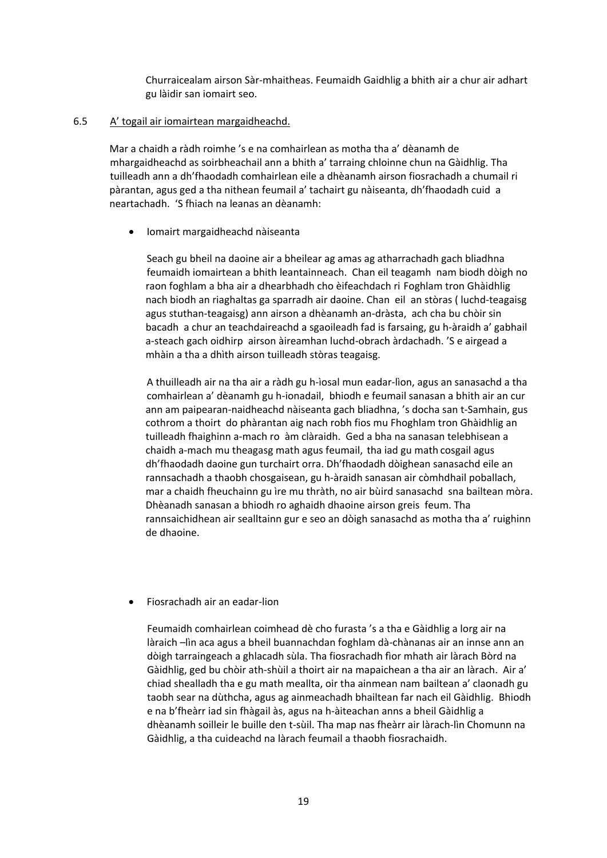Churraicealam airson Sàr‐mhaitheas. Feumaidh Gaidhlig a bhith air a chur air adhart gu làidir san iomairt seo.

## 6.5 A' togail air iomairtean margaidheachd.

 Mar a chaidh a ràdh roimhe 's e na comhairlean as motha tha a' dèanamh de mhargaidheachd as soirbheachail ann a bhith a' tarraing chloinne chun na Gàidhlig. Tha tuilleadh ann a dh'fhaodadh comhairlean eile a dhèanamh airson fiosrachadh a chumail ri pàrantan, agus ged a tha nithean feumail a' tachairt gu nàiseanta, dh'fhaodadh cuid a neartachadh. 'S fhiach na leanas an dèanamh:

## Iomairt margaidheachd nàiseanta

 Seach gu bheil na daoine air a bheilear ag amas ag atharrachadh gach bliadhna feumaidh iomairtean a bhith leantainneach. Chan eil teagamh nam biodh dòigh no raon foghlam a bha air a dhearbhadh cho èifeachdach ri Foghlam tron Ghàidhlig nach biodh an riaghaltas ga sparradh air daoine. Chan eil an stòras ( luchd‐teagaisg agus stuthan‐teagaisg) ann airson a dhèanamh an‐dràsta, ach cha bu chòir sin bacadh a chur an teachdaireachd a sgaoileadh fad is farsaing, gu h‐àraidh a' gabhail a‐steach gach oidhirp airson àireamhan luchd‐obrach àrdachadh. 'S e airgead a mhàin a tha a dhìth airson tuilleadh stòras teagaisg.

 A thuilleadh air na tha air a ràdh gu h‐ìosal mun eadar‐lìon, agus an sanasachd a tha comhairlean a' dèanamh gu h‐ionadail, bhiodh e feumail sanasan a bhith air an cur ann am paipearan‐naidheachd nàiseanta gach bliadhna, 's docha san t‐Samhain, gus cothrom a thoirt do phàrantan aig nach robh fios mu Fhoghlam tron Ghàidhlig an tuilleadh fhaighinn a‐mach ro àm clàraidh. Ged a bha na sanasan telebhisean a chaidh a‐mach mu theagasg math agus feumail, tha iad gu math cosgail agus dh'fhaodadh daoine gun turchairt orra. Dh'fhaodadh dòighean sanasachd eile an rannsachadh a thaobh chosgaisean, gu h‐àraidh sanasan air còmhdhail poballach, mar a chaidh fheuchainn gu ìre mu thràth, no air bùird sanasachd sna bailtean mòra. Dhèanadh sanasan a bhiodh ro aghaidh dhaoine airson greis feum. Tha rannsaichidhean air sealltainn gur e seo an dòigh sanasachd as motha tha a' ruighinn de dhaoine.

Fiosrachadh air an eadar‐lion

Feumaidh comhairlean coimhead dè cho furasta 's a tha e Gàidhlig a lorg air na làraich –lìn aca agus a bheil buannachdan foghlam dà‐chànanas air an innse ann an dòigh tarraingeach a ghlacadh sùla. Tha fiosrachadh fìor mhath air làrach Bòrd na Gàidhlig, ged bu chòir ath-shùil a thoirt air na mapaichean a tha air an làrach. Air a' chiad shealladh tha e gu math meallta, oir tha ainmean nam bailtean a' claonadh gu taobh sear na dùthcha, agus ag ainmeachadh bhailtean far nach eil Gàidhlig. Bhiodh e na b'fheàrr iad sin fhàgail às, agus na h‐àiteachan anns a bheil Gàidhlig a dhèanamh soilleir le buille den t‐sùil. Tha map nas fheàrr air làrach‐lìn Chomunn na Gàidhlig, a tha cuideachd na làrach feumail a thaobh fiosrachaidh.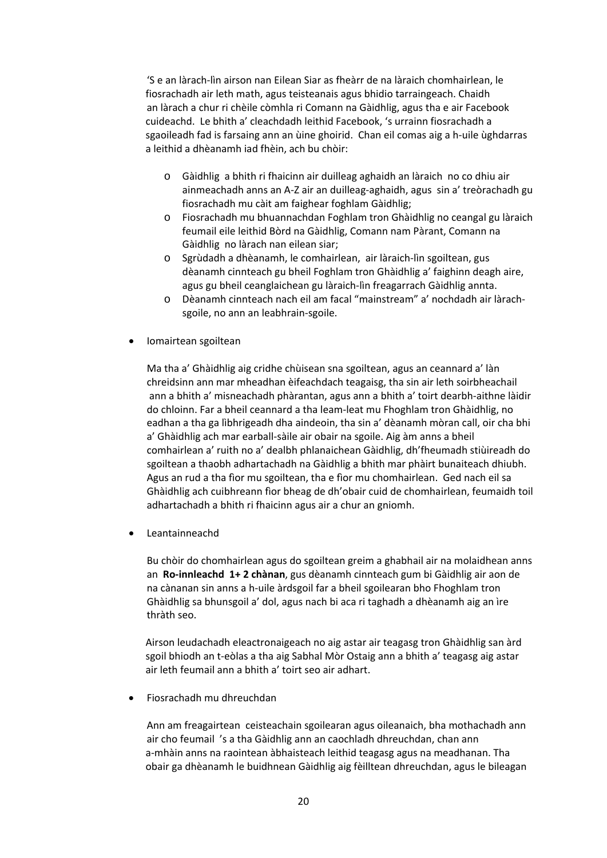'S e an làrach‐lìn airson nan Eilean Siar as fheàrr de na làraich chomhairlean, le fiosrachadh air leth math, agus teisteanais agus bhidio tarraingeach. Chaidh an làrach a chur ri chèile còmhla ri Comann na Gàidhlig, agus tha e air Facebook cuideachd. Le bhith a' cleachdadh leithid Facebook, 's urrainn fiosrachadh a sgaoileadh fad is farsaing ann an ùine ghoirid. Chan eil comas aig a h‐uile ùghdarras a leithid a dhèanamh iad fhèin, ach bu chòir:

- o Gàidhlig a bhith ri fhaicinn air duilleag aghaidh an làraich no co dhiu air ainmeachadh anns an A‐Z air an duilleag‐aghaidh, agus sin a' treòrachadh gu fiosrachadh mu càit am faighear foghlam Gàidhlig;
- o Fiosrachadh mu bhuannachdan Foghlam tron Ghàidhlig no ceangal gu làraich feumail eile leithid Bòrd na Gàidhlig, Comann nam Pàrant, Comann na Gàidhlig no làrach nan eilean siar;
- o Sgrùdadh a dhèanamh, le comhairlean, air làraich‐lìn sgoiltean, gus dèanamh cinnteach gu bheil Foghlam tron Ghàidhlig a' faighinn deagh aire, agus gu bheil ceanglaichean gu làraich‐lìn freagarrach Gàidhlig annta.
- o Dèanamh cinnteach nach eil am facal "mainstream" a' nochdadh air làrach‐ sgoile, no ann an leabhrain‐sgoile.
- Iomairtean sgoiltean

 Ma tha a' Ghàidhlig aig cridhe chùisean sna sgoiltean, agus an ceannard a' làn chreidsinn ann mar mheadhan èifeachdach teagaisg, tha sin air leth soirbheachail ann a bhith a' misneachadh phàrantan, agus ann a bhith a' toirt dearbh‐aithne làidir do chloinn. Far a bheil ceannard a tha leam‐leat mu Fhoghlam tron Ghàidhlig, no eadhan a tha ga lìbhrigeadh dha aindeoin, tha sin a' dèanamh mòran call, oir cha bhi a' Ghàidhlig ach mar earball‐sàile air obair na sgoile. Aig àm anns a bheil comhairlean a' ruith no a' dealbh phlanaichean Gàidhlig, dh'fheumadh stiùireadh do sgoiltean a thaobh adhartachadh na Gàidhlig a bhith mar phàirt bunaiteach dhiubh. Agus an rud a tha fìor mu sgoiltean, tha e fìor mu chomhairlean. Ged nach eil sa Ghàidhlig ach cuibhreann fìor bheag de dh'obair cuid de chomhairlean, feumaidh toil adhartachadh a bhith ri fhaicinn agus air a chur an gniomh.

Leantainneachd

 Bu chòir do chomhairlean agus do sgoiltean greim a ghabhail air na molaidhean anns an **Ro‐innleachd 1+ 2 chànan**, gus dèanamh cinnteach gum bi Gàidhlig air aon de na cànanan sin anns a h‐uile àrdsgoil far a bheil sgoilearan bho Fhoghlam tron Ghàidhlig sa bhunsgoil a' dol, agus nach bi aca ri taghadh a dhèanamh aig an ìre thràth seo.

 Airson leudachadh eleactronaigeach no aig astar air teagasg tron Ghàidhlig san àrd sgoil bhiodh an t‐eòlas a tha aig Sabhal Mòr Ostaig ann a bhith a' teagasg aig astar air leth feumail ann a bhith a' toirt seo air adhart.

Fiosrachadh mu dhreuchdan

 Ann am freagairtean ceisteachain sgoilearan agus oileanaich, bha mothachadh ann air cho feumail 's a tha Gàidhlig ann an caochladh dhreuchdan, chan ann a‐mhàin anns na raointean àbhaisteach leithid teagasg agus na meadhanan. Tha obair ga dhèanamh le buidhnean Gàidhlig aig fèilltean dhreuchdan, agus le bileagan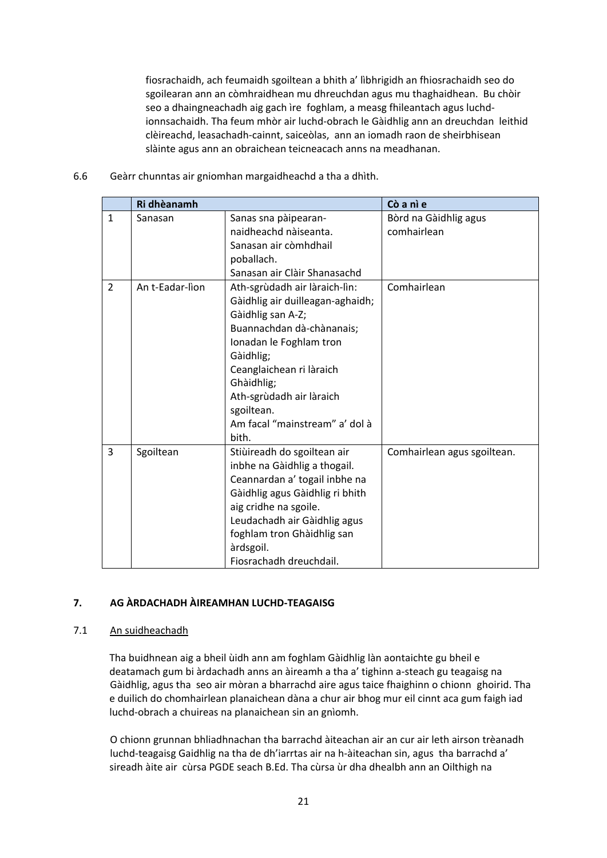fiosrachaidh, ach feumaidh sgoiltean a bhith a' lìbhrigidh an fhiosrachaidh seo do sgoilearan ann an còmhraidhean mu dhreuchdan agus mu thaghaidhean. Bu chòir seo a dhaingneachadh aig gach ìre foghlam, a measg fhileantach agus luchd‐ ionnsachaidh. Tha feum mhòr air luchd‐obrach le Gàidhlig ann an dreuchdan leithid clèireachd, leasachadh‐cainnt, saiceòlas, ann an iomadh raon de sheirbhisean slàinte agus ann an obraichean teicneacach anns na meadhanan.

|                | Ri dhèanamh     |                                                                                                                                                                                                                                                                                            | Cò a nì e                            |
|----------------|-----------------|--------------------------------------------------------------------------------------------------------------------------------------------------------------------------------------------------------------------------------------------------------------------------------------------|--------------------------------------|
| $\mathbf{1}$   | Sanasan         | Sanas sna pàipearan-<br>naidheachd nàiseanta.<br>Sanasan air còmhdhail<br>poballach.<br>Sanasan air Clàir Shanasachd                                                                                                                                                                       | Bòrd na Gàidhlig agus<br>comhairlean |
| $\overline{2}$ | An t-Eadar-lìon | Ath-sgrùdadh air làraich-lìn:<br>Gàidhlig air duilleagan-aghaidh;<br>Gàidhlig san A-Z;<br>Buannachdan dà-chànanais;<br>Ionadan le Foghlam tron<br>Gàidhlig;<br>Ceanglaichean ri làraich<br>Ghàidhlig;<br>Ath-sgrùdadh air làraich<br>sgoiltean.<br>Am facal "mainstream" a' dol à<br>bith. | Comhairlean                          |
| 3              | Sgoiltean       | Stiùireadh do sgoiltean air<br>inbhe na Gàidhlig a thogail.<br>Ceannardan a' togail inbhe na<br>Gàidhlig agus Gàidhlig ri bhith<br>aig cridhe na sgoile.<br>Leudachadh air Gàidhlig agus<br>foghlam tron Ghàidhlig san<br>àrdsgoil.<br>Fiosrachadh dreuchdail.                             | Comhairlean agus sgoiltean.          |

6.6 Geàrr chunntas air gniomhan margaidheachd a tha a dhìth.

# **7. AG ÀRDACHADH ÀIREAMHAN LUCHD‐TEAGAISG**

# 7.1 An suidheachadh

 Tha buidhnean aig a bheil ùidh ann am foghlam Gàidhlig làn aontaichte gu bheil e deatamach gum bi àrdachadh anns an àireamh a tha a' tighinn a‐steach gu teagaisg na Gàidhlig, agus tha seo air mòran a bharrachd aire agus taice fhaighinn o chionn ghoirid. Tha e duilich do chomhairlean planaichean dàna a chur air bhog mur eil cinnt aca gum faigh iad luchd‐obrach a chuireas na planaichean sin an gnìomh.

 O chionn grunnan bhliadhnachan tha barrachd àiteachan air an cur air leth airson trèanadh luchd‐teagaisg Gaidhlig na tha de dh'iarrtas air na h‐àiteachan sin, agus tha barrachd a' sireadh àite air cùrsa PGDE seach B.Ed. Tha cùrsa ùr dha dhealbh ann an Oilthigh na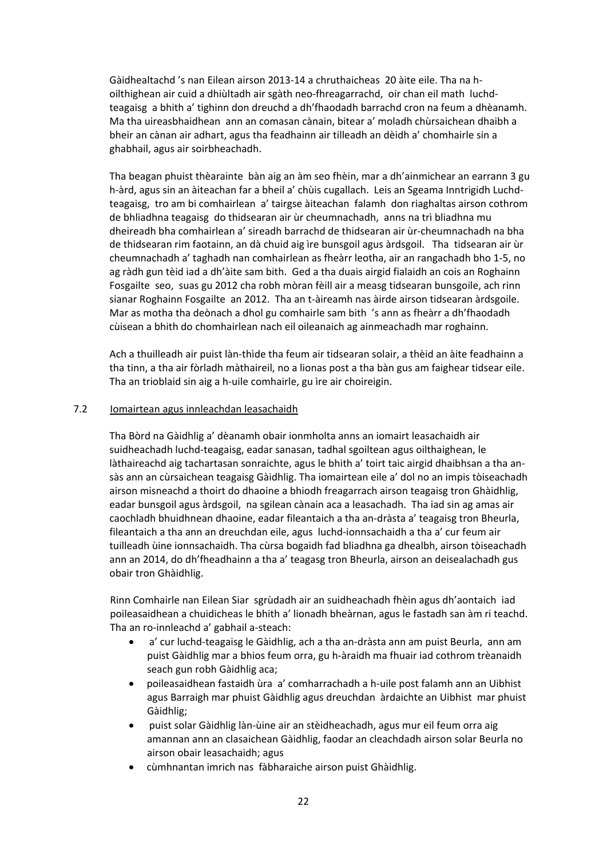Gàidhealtachd 's nan Eilean airson 2013‐14 a chruthaicheas 20 àite eile. Tha na h‐ oilthighean air cuid a dhiùltadh air sgàth neo‐fhreagarrachd, oir chan eil math luchd‐ teagaisg a bhith a' tighinn don dreuchd a dh'fhaodadh barrachd cron na feum a dhèanamh. Ma tha uireasbhaidhean ann an comasan cànain, bitear a' moladh chùrsaichean dhaibh a bheir an cànan air adhart, agus tha feadhainn air tilleadh an dèidh a' chomhairle sin a ghabhail, agus air soirbheachadh.

Tha beagan phuist thèarainte bàn aig an àm seo fhèin, mar a dh'ainmichear an earrann 3 gu h-àrd, agus sin an àiteachan far a bheil a' chùis cugallach. Leis an Sgeama Inntrigidh Luchdteagaisg, tro am bi comhairlean a' tairgse àiteachan falamh don riaghaltas airson cothrom de bhliadhna teagaisg do thidsearan air ùr cheumnachadh, anns na trì bliadhna mu dheireadh bha comhairlean a' sireadh barrachd de thidsearan air ùr‐cheumnachadh na bha de thidsearan rim faotainn, an dà chuid aig ìre bunsgoil agus àrdsgoil. Tha tidsearan air ùr cheumnachadh a' taghadh nan comhairlean as fheàrr leotha, air an rangachadh bho 1‐5, no ag ràdh gun tèid iad a dh'àite sam bith. Ged a tha duais airgid fialaidh an cois an Roghainn Fosgailte seo, suas gu 2012 cha robh mòran fèill air a measg tidsearan bunsgoile, ach rinn sianar Roghainn Fosgailte an 2012. Tha an t‐àireamh nas àirde airson tidsearan àrdsgoile. Mar as motha tha deònach a dhol gu comhairle sam bith 's ann as fheàrr a dh'fhaodadh cùisean a bhith do chomhairlean nach eil oileanaich ag ainmeachadh mar roghainn.

Ach a thuilleadh air puist làn‐thìde tha feum air tidsearan solair, a thèid an àite feadhainn a tha tinn, a tha air fòrladh màthaireil, no a lionas post a tha bàn gus am faighear tidsear eile. Tha an trioblaid sin aig a h‐uile comhairle, gu ìre air choireigin.

# 7.2 Iomairtean agus innleachdan leasachaidh

 Tha Bòrd na Gàidhlig a' dèanamh obair ionmholta anns an iomairt leasachaidh air suidheachadh luchd-teagaisg, eadar sanasan, tadhal sgoiltean agus oilthaighean, le làthaireachd aig tachartasan sonraichte, agus le bhith a' toirt taic airgid dhaibhsan a tha an‐ sàs ann an cùrsaichean teagaisg Gàidhlig. Tha iomairtean eile a' dol no an impis tòiseachadh airson misneachd a thoirt do dhaoine a bhiodh freagarrach airson teagaisg tron Ghàidhlig, eadar bunsgoil agus àrdsgoil, na sgilean cànain aca a leasachadh. Tha iad sin ag amas air caochladh bhuidhnean dhaoine, eadar fileantaich a tha an‐dràsta a' teagaisg tron Bheurla, fileantaich a tha ann an dreuchdan eile, agus luchd‐ionnsachaidh a tha a' cur feum air tuilleadh ùine ionnsachaidh. Tha cùrsa bogaidh fad bliadhna ga dhealbh, airson tòiseachadh ann an 2014, do dh'fheadhainn a tha a' teagasg tron Bheurla, airson an deisealachadh gus obair tron Ghàidhlig.

Rinn Comhairle nan Eilean Siar sgrùdadh air an suidheachadh fhèin agus dh'aontaich iad poileasaidhean a chuidicheas le bhith a' lionadh bheàrnan, agus le fastadh san àm ri teachd. Tha an ro‐innleachd a' gabhail a‐steach:

- a' cur luchd-teagaisg le Gàidhlig, ach a tha an-dràsta ann am puist Beurla, ann am puist Gàidhlig mar a bhios feum orra, gu h‐àraidh ma fhuair iad cothrom trèanaidh seach gun robh Gàidhlig aca;
- poileasaidhean fastaidh ùra a' comharrachadh a h‐uile post falamh ann an Uibhist agus Barraigh mar phuist Gàidhlig agus dreuchdan àrdaichte an Uibhist mar phuist Gàidhlig;
- puist solar Gàidhlig làn‐ùine air an stèidheachadh, agus mur eil feum orra aig amannan ann an clasaichean Gàidhlig, faodar an cleachdadh airson solar Beurla no airson obair leasachaidh; agus
- cùmhnantan imrich nas fàbharaiche airson puist Ghàidhlig.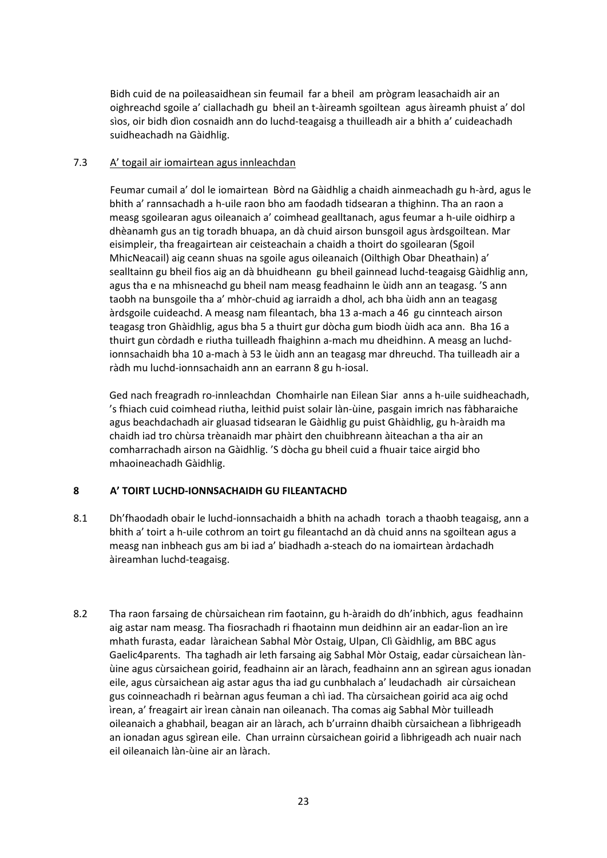Bidh cuid de na poileasaidhean sin feumail far a bheil am prògram leasachaidh air an oighreachd sgoile a' ciallachadh gu bheil an t‐àireamh sgoiltean agus àireamh phuist a' dol sìos, oir bidh dìon cosnaidh ann do luchd‐teagaisg a thuilleadh air a bhith a' cuideachadh suidheachadh na Gàidhlig.

# 7.3 A' togail air iomairtean agus innleachdan

 Feumar cumail a' dol le iomairtean Bòrd na Gàidhlig a chaidh ainmeachadh gu h‐àrd, agus le bhith a' rannsachadh a h‐uile raon bho am faodadh tidsearan a thighinn. Tha an raon a measg sgoilearan agus oileanaich a' coimhead gealltanach, agus feumar a h‐uile oidhirp a dhèanamh gus an tig toradh bhuapa, an dà chuid airson bunsgoil agus àrdsgoiltean. Mar eisimpleir, tha freagairtean air ceisteachain a chaidh a thoirt do sgoilearan (Sgoil MhicNeacail) aig ceann shuas na sgoile agus oileanaich (Oilthigh Obar Dheathain) a' sealltainn gu bheil fios aig an dà bhuidheann gu bheil gainnead luchd‐teagaisg Gàidhlig ann, agus tha e na mhisneachd gu bheil nam measg feadhainn le ùidh ann an teagasg. 'S ann taobh na bunsgoile tha a' mhòr‐chuid ag iarraidh a dhol, ach bha ùidh ann an teagasg àrdsgoile cuideachd. A measg nam fileantach, bha 13 a‐mach a 46 gu cinnteach airson teagasg tron Ghàidhlig, agus bha 5 a thuirt gur dòcha gum biodh ùidh aca ann. Bha 16 a thuirt gun còrdadh e riutha tuilleadh fhaighinn a‐mach mu dheidhinn. A measg an luchd‐ ionnsachaidh bha 10 a‐mach à 53 le ùidh ann an teagasg mar dhreuchd. Tha tuilleadh air a ràdh mu luchd‐ionnsachaidh ann an earrann 8 gu h‐iosal.

 Ged nach freagradh ro‐innleachdan Chomhairle nan Eilean Siar anns a h‐uile suidheachadh, 's fhiach cuid coimhead riutha, leithid puist solair làn‐ùine, pasgain imrich nas fàbharaiche agus beachdachadh air gluasad tidsearan le Gàidhlig gu puist Ghàidhlig, gu h‐àraidh ma chaidh iad tro chùrsa trèanaidh mar phàirt den chuibhreann àiteachan a tha air an comharrachadh airson na Gàidhlig. 'S dòcha gu bheil cuid a fhuair taice airgid bho mhaoineachadh Gàidhlig.

# **8 A' TOIRT LUCHD-IONNSACHAIDH GU FILEANTACHD**

- 8.1 Dh'fhaodadh obair le luchd-ionnsachaidh a bhith na achadh torach a thaobh teagaisg, ann a bhith a' toirt a h‐uile cothrom an toirt gu fileantachd an dà chuid anns na sgoiltean agus a measg nan inbheach gus am bi iad a' biadhadh a‐steach do na iomairtean àrdachadh àireamhan luchd‐teagaisg.
- 8.2 Tha raon farsaing de chùrsaichean rim faotainn, gu h‐àraidh do dh'inbhich, agus feadhainn aig astar nam measg. Tha fiosrachadh ri fhaotainn mun deidhinn air an eadar‐lìon an ìre mhath furasta, eadar làraichean Sabhal Mòr Ostaig, Ulpan, Clì Gàidhlig, am BBC agus Gaelic4parents. Tha taghadh air leth farsaing aig Sabhal Mòr Ostaig, eadar cùrsaichean làn‐ ùine agus cùrsaichean goirid, feadhainn air an làrach, feadhainn ann an sgìrean agus ionadan eile, agus cùrsaichean aig astar agus tha iad gu cunbhalach a' leudachadh air cùrsaichean gus coinneachadh ri beàrnan agus feuman a chì iad. Tha cùrsaichean goirid aca aig ochd ìrean, a' freagairt air ìrean cànain nan oileanach. Tha comas aig Sabhal Mòr tuilleadh oileanaich a ghabhail, beagan air an làrach, ach b'urrainn dhaibh cùrsaichean a lìbhrigeadh an ionadan agus sgìrean eile. Chan urrainn cùrsaichean goirid a lìbhrigeadh ach nuair nach eil oileanaich làn‐ùine air an làrach.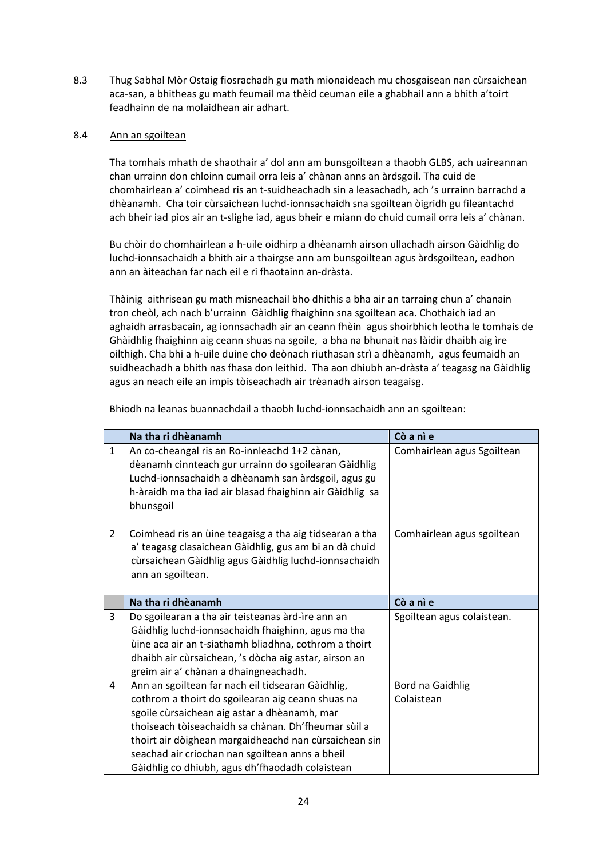8.3 Thug Sabhal Mòr Ostaig fiosrachadh gu math mionaideach mu chosgaisean nan cùrsaichean aca‐san, a bhitheas gu math feumail ma thèid ceuman eile a ghabhail ann a bhith a'toirt feadhainn de na molaidhean air adhart.

# 8.4 Ann an sgoiltean

Tha tomhais mhath de shaothair a' dol ann am bunsgoiltean a thaobh GLBS, ach uaireannan chan urrainn don chloinn cumail orra leis a' chànan anns an àrdsgoil. Tha cuid de chomhairlean a' coimhead ris an t‐suidheachadh sin a leasachadh, ach 's urrainn barrachd a dhèanamh. Cha toir cùrsaichean luchd‐ionnsachaidh sna sgoiltean òigridh gu fileantachd ach bheir iad pìos air an t-slighe iad, agus bheir e miann do chuid cumail orra leis a' chànan.

Bu chòir do chomhairlean a h‐uile oidhirp a dhèanamh airson ullachadh airson Gàidhlig do luchd-ionnsachaidh a bhith air a thairgse ann am bunsgoiltean agus àrdsgoiltean, eadhon ann an àiteachan far nach eil e ri fhaotainn an‐dràsta.

Thàinig aithrisean gu math misneachail bho dhithis a bha air an tarraing chun a' chanain tron cheòl, ach nach b'urrainn Gàidhlig fhaighinn sna sgoiltean aca. Chothaich iad an aghaidh arrasbacain, ag ionnsachadh air an ceann fhèin agus shoirbhich leotha le tomhais de Ghàidhlig fhaighinn aig ceann shuas na sgoile, a bha na bhunait nas làidir dhaibh aig ìre oilthigh. Cha bhi a h‐uile duine cho deònach riuthasan strì a dhèanamh, agus feumaidh an suidheachadh a bhith nas fhasa don leithid. Tha aon dhiubh an‐dràsta a' teagasg na Gàidhlig agus an neach eile an impis tòiseachadh air trèanadh airson teagaisg.

Bhiodh na leanas buannachdail a thaobh luchd‐ionnsachaidh ann an sgoiltean:

|                | Na tha ri dhèanamh                                                                                                                                                                                                                                                                                                                                                           | Cò a nì e                      |
|----------------|------------------------------------------------------------------------------------------------------------------------------------------------------------------------------------------------------------------------------------------------------------------------------------------------------------------------------------------------------------------------------|--------------------------------|
| $\mathbf{1}$   | An co-cheangal ris an Ro-innleachd 1+2 cànan,<br>dèanamh cinnteach gur urrainn do sgoilearan Gàidhlig<br>Luchd-ionnsachaidh a dhèanamh san àrdsgoil, agus gu<br>h-àraidh ma tha iad air blasad fhaighinn air Gàidhlig sa<br>bhunsgoil                                                                                                                                        | Comhairlean agus Sgoiltean     |
| $\overline{2}$ | Coimhead ris an ùine teagaisg a tha aig tidsearan a tha<br>a' teagasg clasaichean Gàidhlig, gus am bi an dà chuid<br>cùrsaichean Gàidhlig agus Gàidhlig luchd-ionnsachaidh<br>ann an sgoiltean.                                                                                                                                                                              | Comhairlean agus sgoiltean     |
|                | Na tha ri dhèanamh                                                                                                                                                                                                                                                                                                                                                           | Cò a nì e                      |
| 3              | Do sgoilearan a tha air teisteanas àrd-ìre ann an<br>Gàidhlig luchd-ionnsachaidh fhaighinn, agus ma tha<br>ùine aca air an t-siathamh bliadhna, cothrom a thoirt<br>dhaibh air cùrsaichean, 's dòcha aig astar, airson an<br>greim air a' chànan a dhaingneachadh.                                                                                                           | Sgoiltean agus colaistean.     |
| 4              | Ann an sgoiltean far nach eil tidsearan Gàidhlig,<br>cothrom a thoirt do sgoilearan aig ceann shuas na<br>sgoile cùrsaichean aig astar a dhèanamh, mar<br>thoiseach tòiseachaidh sa chànan. Dh'fheumar sùil a<br>thoirt air dòighean margaidheachd nan cùrsaichean sin<br>seachad air criochan nan sgoiltean anns a bheil<br>Gàidhlig co dhiubh, agus dh'fhaodadh colaistean | Bord na Gaidhlig<br>Colaistean |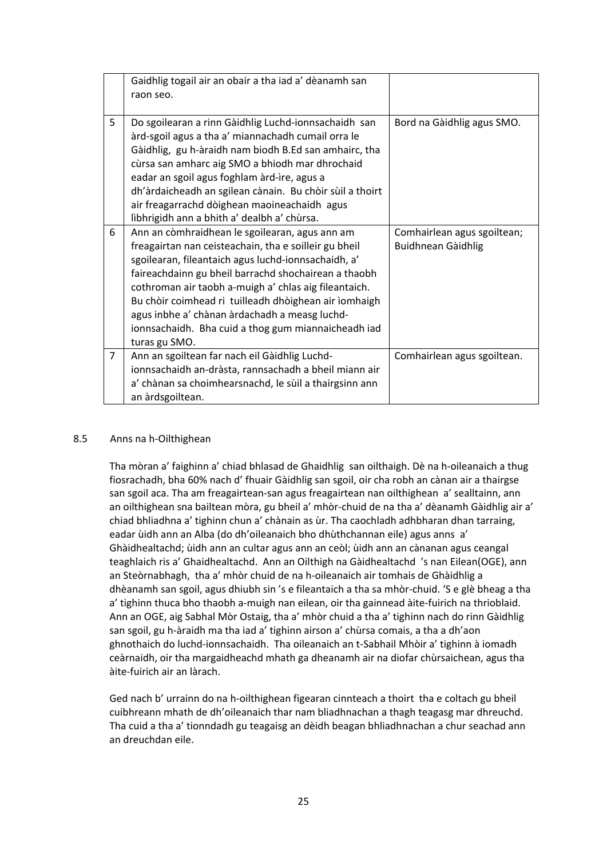|                | Gaidhlig togail air an obair a tha iad a' dèanamh san<br>raon seo.                                                                                                                                                                                                                                                                                                                                                                                                |                                                   |
|----------------|-------------------------------------------------------------------------------------------------------------------------------------------------------------------------------------------------------------------------------------------------------------------------------------------------------------------------------------------------------------------------------------------------------------------------------------------------------------------|---------------------------------------------------|
| 5              | Do sgoilearan a rinn Gàidhlig Luchd-ionnsachaidh san<br>àrd-sgoil agus a tha a' miannachadh cumail orra le<br>Gàidhlig, gu h-àraidh nam biodh B.Ed san amhairc, tha<br>cùrsa san amharc aig SMO a bhiodh mar dhrochaid<br>eadar an sgoil agus foghlam àrd-ìre, agus a<br>dh'àrdaicheadh an sgilean cànain. Bu chòir sùil a thoirt<br>air freagarrachd dòighean maoineachaidh agus<br>lìbhrigidh ann a bhith a' dealbh a' chùrsa.                                  | Bord na Gàidhlig agus SMO.                        |
| 6              | Ann an còmhraidhean le sgoilearan, agus ann am<br>freagairtan nan ceisteachain, tha e soilleir gu bheil<br>sgoilearan, fileantaich agus luchd-ionnsachaidh, a'<br>faireachdainn gu bheil barrachd shochairean a thaobh<br>cothroman air taobh a-muigh a' chlas aig fileantaich.<br>Bu chòir coimhead ri tuilleadh dhòighean air ìomhaigh<br>agus inbhe a' chànan àrdachadh a measg luchd-<br>ionnsachaidh. Bha cuid a thog gum miannaicheadh iad<br>turas gu SMO. | Comhairlean agus sgoiltean;<br>Buidhnean Gàidhlig |
| $\overline{7}$ | Ann an sgoiltean far nach eil Gàidhlig Luchd-<br>ionnsachaidh an-dràsta, rannsachadh a bheil miann air<br>a' chànan sa choimhearsnachd, le sùil a thairgsinn ann<br>an àrdsgoiltean.                                                                                                                                                                                                                                                                              | Comhairlean agus sgoiltean.                       |

# 8.5 Anns na h‐Oilthighean

 Tha mòran a' faighinn a' chiad bhlasad de Ghaidhlig san oilthaigh. Dè na h‐oileanaich a thug fiosrachadh, bha 60% nach d' fhuair Gàidhlig san sgoil, oir cha robh an cànan air a thairgse san sgoil aca. Tha am freagairtean‐san agus freagairtean nan oilthighean a' sealltainn, ann an oilthighean sna bailtean mòra, gu bheil a' mhòr‐chuid de na tha a' dèanamh Gàidhlig air a' chiad bhliadhna a' tighinn chun a' chànain as ùr. Tha caochladh adhbharan dhan tarraing, eadar ùidh ann an Alba (do dh'oileanaich bho dhùthchannan eile) agus anns a' Ghàidhealtachd; ùidh ann an cultar agus ann an ceòl; ùidh ann an cànanan agus ceangal teaghlaich ris a' Ghaidhealtachd. Ann an Oilthigh na Gàidhealtachd 's nan Eilean(OGE), ann an Steòrnabhagh, tha a' mhòr chuid de na h‐oileanaich air tomhais de Ghàidhlig a dhèanamh san sgoil, agus dhiubh sin 's e fileantaich a tha sa mhòr‐chuid. 'S e glè bheag a tha a' tighinn thuca bho thaobh a‐muigh nan eilean, oir tha gainnead àite‐fuirich na thrioblaid. Ann an OGE, aig Sabhal Mòr Ostaig, tha a' mhòr chuid a tha a' tighinn nach do rinn Gàidhlig san sgoil, gu h‐àraidh ma tha iad a' tighinn airson a' chùrsa comais, a tha a dh'aon ghnothaich do luchd‐ionnsachaidh. Tha oileanaich an t‐Sabhail Mhòir a' tighinn à iomadh ceàrnaidh, oir tha margaidheachd mhath ga dheanamh air na diofar chùrsaichean, agus tha àite‐fuirich air an làrach.

Ged nach b' urrainn do na h-oilthighean figearan cinnteach a thoirt tha e coltach gu bheil cuibhreann mhath de dh'oileanaich thar nam bliadhnachan a thagh teagasg mar dhreuchd. Tha cuid a tha a' tionndadh gu teagaisg an dèidh beagan bhliadhnachan a chur seachad ann an dreuchdan eile.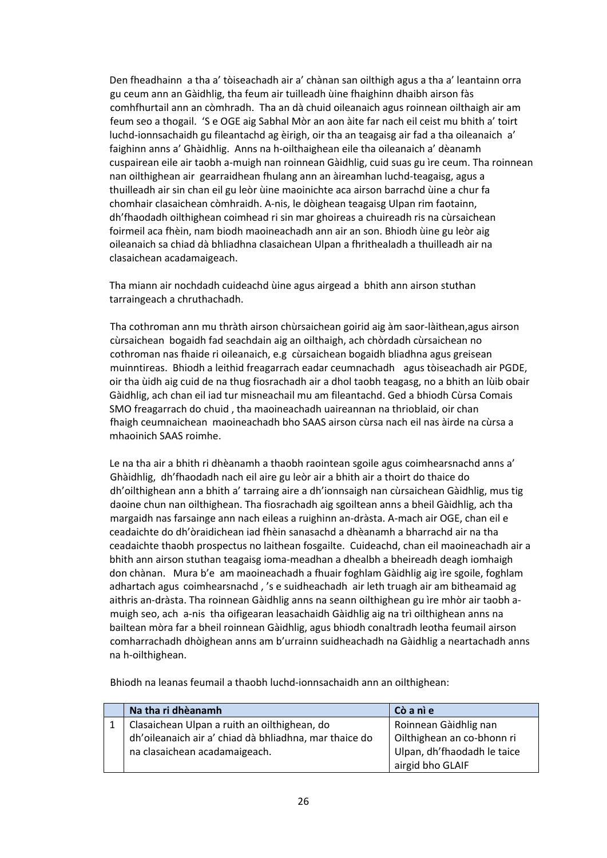Den fheadhainn a tha a' tòiseachadh air a' chànan san oilthigh agus a tha a' leantainn orra gu ceum ann an Gàidhlig, tha feum air tuilleadh ùine fhaighinn dhaibh airson fàs comhfhurtail ann an còmhradh. Tha an dà chuid oileanaich agus roinnean oilthaigh air am feum seo a thogail. 'S e OGE aig Sabhal Mòr an aon àite far nach eil ceist mu bhith a' toirt luchd-ionnsachaidh gu fileantachd ag èirigh, oir tha an teagaisg air fad a tha oileanaich a' faighinn anns a' Ghàidhlig. Anns na h‐oilthaighean eile tha oileanaich a' dèanamh cuspairean eile air taobh a‐muigh nan roinnean Gàidhlig, cuid suas gu ìre ceum. Tha roinnean nan oilthighean air gearraidhean fhulang ann an àireamhan luchd‐teagaisg, agus a thuilleadh air sin chan eil gu leòr ùine maoinichte aca airson barrachd ùine a chur fa chomhair clasaichean còmhraidh. A‐nis, le dòighean teagaisg Ulpan rim faotainn, dh'fhaodadh oilthighean coimhead ri sin mar ghoireas a chuireadh ris na cùrsaichean foirmeil aca fhèin, nam biodh maoineachadh ann air an son. Bhiodh ùine gu leòr aig oileanaich sa chiad dà bhliadhna clasaichean Ulpan a fhrithealadh a thuilleadh air na clasaichean acadamaigeach.

 Tha miann air nochdadh cuideachd ùine agus airgead a bhith ann airson stuthan tarraingeach a chruthachadh.

 Tha cothroman ann mu thràth airson chùrsaichean goirid aig àm saor‐làithean,agus airson cùrsaichean bogaidh fad seachdain aig an oilthaigh, ach chòrdadh cùrsaichean no cothroman nas fhaide ri oileanaich, e.g cùrsaichean bogaidh bliadhna agus greisean muinntireas. Bhiodh a leithid freagarrach eadar ceumnachadh agus tòiseachadh air PGDE, oir tha ùidh aig cuid de na thug fiosrachadh air a dhol taobh teagasg, no a bhith an lùib obair Gàidhlig, ach chan eil iad tur misneachail mu am fileantachd. Ged a bhiodh Cùrsa Comais SMO freagarrach do chuid , tha maoineachadh uaireannan na thrioblaid, oir chan fhaigh ceumnaichean maoineachadh bho SAAS airson cùrsa nach eil nas àirde na cùrsa a mhaoinich SAAS roimhe.

 Le na tha air a bhith ri dhèanamh a thaobh raointean sgoile agus coimhearsnachd anns a' Ghàidhlig, dh'fhaodadh nach eil aire gu leòr air a bhith air a thoirt do thaice do dh'oilthighean ann a bhith a' tarraing aire a dh'ionnsaigh nan cùrsaichean Gàidhlig, mus tig daoine chun nan oilthighean. Tha fiosrachadh aig sgoiltean anns a bheil Gàidhlig, ach tha margaidh nas farsainge ann nach eileas a ruighinn an‐dràsta. A‐mach air OGE, chan eil e ceadaichte do dh'òraidichean iad fhèin sanasachd a dhèanamh a bharrachd air na tha ceadaichte thaobh prospectus no laithean fosgailte. Cuideachd, chan eil maoineachadh air a bhith ann airson stuthan teagaisg ioma‐meadhan a dhealbh a bheireadh deagh iomhaigh don chànan. Mura b'e am maoineachadh a fhuair foghlam Gàidhlig aig ìre sgoile, foghlam adhartach agus coimhearsnachd , 's e suidheachadh air leth truagh air am bitheamaid ag aithris an‐dràsta. Tha roinnean Gàidhlig anns na seann oilthighean gu ìre mhòr air taobh a‐ muigh seo, ach a‐nis tha oifigearan leasachaidh Gàidhlig aig na trì oilthighean anns na bailtean mòra far a bheil roinnean Gàidhlig, agus bhiodh conaltradh leotha feumail airson comharrachadh dhòighean anns am b'urrainn suidheachadh na Gàidhlig a neartachadh anns na h‐oilthighean.

Bhiodh na leanas feumail a thaobh luchd‐ionnsachaidh ann an oilthighean:

| Na tha ri dhèanamh                                     | Cò a nì e                   |
|--------------------------------------------------------|-----------------------------|
| Clasaichean Ulpan a ruith an oilthighean, do           | Roinnean Gàidhlig nan       |
| dh'oileanaich air a' chiad dà bhliadhna, mar thaice do | Oilthighean an co-bhonn ri  |
| na clasaichean acadamaigeach.                          | Ulpan, dh'fhaodadh le taice |
|                                                        | airgid bho GLAIF            |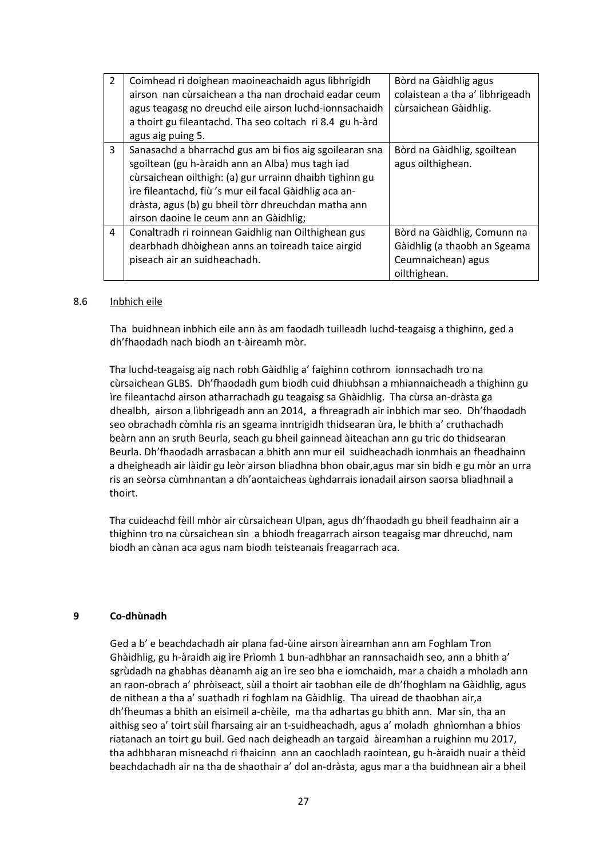| $\overline{2}$ | Coimhead ri doighean maoineachaidh agus lìbhrigidh<br>airson nan cùrsaichean a tha nan drochaid eadar ceum<br>agus teagasg no dreuchd eile airson luchd-ionnsachaidh<br>a thoirt gu fileantachd. Tha seo coltach ri 8.4 gu h-àrd<br>agus aig puing 5.                                                                             | Bòrd na Gàidhlig agus<br>colaistean a tha a' lìbhrigeadh<br>cùrsaichean Gàidhlig.                 |
|----------------|-----------------------------------------------------------------------------------------------------------------------------------------------------------------------------------------------------------------------------------------------------------------------------------------------------------------------------------|---------------------------------------------------------------------------------------------------|
| 3              | Sanasachd a bharrachd gus am bi fios aig sgoilearan sna<br>sgoiltean (gu h-àraidh ann an Alba) mus tagh iad<br>cùrsaichean oilthigh: (a) gur urrainn dhaibh tighinn gu<br>ìre fileantachd, fiù 's mur eil facal Gàidhlig aca an-<br>dràsta, agus (b) gu bheil tòrr dhreuchdan matha ann<br>airson daoine le ceum ann an Gàidhlig; | Bòrd na Gàidhlig, sgoiltean<br>agus oilthighean.                                                  |
| 4              | Conaltradh ri roinnean Gaidhlig nan Oilthighean gus<br>dearbhadh dhòighean anns an toireadh taice airgid<br>piseach air an suidheachadh.                                                                                                                                                                                          | Bòrd na Gàidhlig, Comunn na<br>Gàidhlig (a thaobh an Sgeama<br>Ceumnaichean) agus<br>oilthighean. |

#### 8.6 Inbhich eile

 Tha buidhnean inbhich eile ann às am faodadh tuilleadh luchd‐teagaisg a thighinn, ged a dh'fhaodadh nach biodh an t‐àireamh mòr.

 Tha luchd‐teagaisg aig nach robh Gàidhlig a' faighinn cothrom ionnsachadh tro na cùrsaichean GLBS. Dh'fhaodadh gum biodh cuid dhiubhsan a mhiannaicheadh a thighinn gu ìre fileantachd airson atharrachadh gu teagaisg sa Ghàidhlig. Tha cùrsa an‐dràsta ga dhealbh, airson a lìbhrigeadh ann an 2014, a fhreagradh air inbhich mar seo. Dh'fhaodadh seo obrachadh còmhla ris an sgeama inntrigidh thidsearan ùra, le bhith a' cruthachadh beàrn ann an sruth Beurla, seach gu bheil gainnead àiteachan ann gu tric do thidsearan Beurla. Dh'fhaodadh arrasbacan a bhith ann mur eil suidheachadh ionmhais an fheadhainn a dheigheadh air làidir gu leòr airson bliadhna bhon obair,agus mar sin bidh e gu mòr an urra ris an seòrsa cùmhnantan a dh'aontaicheas ùghdarrais ionadail airson saorsa bliadhnail a thoirt.

Tha cuideachd fèill mhòr air cùrsaichean Ulpan, agus dh'fhaodadh gu bheil feadhainn air a thighinn tro na cùrsaichean sin a bhiodh freagarrach airson teagaisg mar dhreuchd, nam biodh an cànan aca agus nam biodh teisteanais freagarrach aca.

#### **9 Co‐dhùnadh**

Ged a b' e beachdachadh air plana fad‐ùine airson àireamhan ann am Foghlam Tron Ghàidhlig, gu h‐àraidh aig ìre Prìomh 1 bun‐adhbhar an rannsachaidh seo, ann a bhith a' sgrùdadh na ghabhas dèanamh aig an ìre seo bha e iomchaidh, mar a chaidh a mholadh ann an raon‐obrach a' phròiseact, sùil a thoirt air taobhan eile de dh'fhoghlam na Gàidhlig, agus de nithean a tha a' suathadh ri foghlam na Gàidhlig. Tha uiread de thaobhan air,a dh'fheumas a bhith an eisimeil a‐chèile, ma tha adhartas gu bhith ann. Mar sin, tha an aithisg seo a' toirt sùil fharsaing air an t‐suidheachadh, agus a' moladh ghnìomhan a bhios riatanach an toirt gu buil. Ged nach deigheadh an targaid àireamhan a ruighinn mu 2017, tha adhbharan misneachd ri fhaicinn ann an caochladh raointean, gu h‐àraidh nuair a thèid beachdachadh air na tha de shaothair a' dol an‐dràsta, agus mar a tha buidhnean air a bheil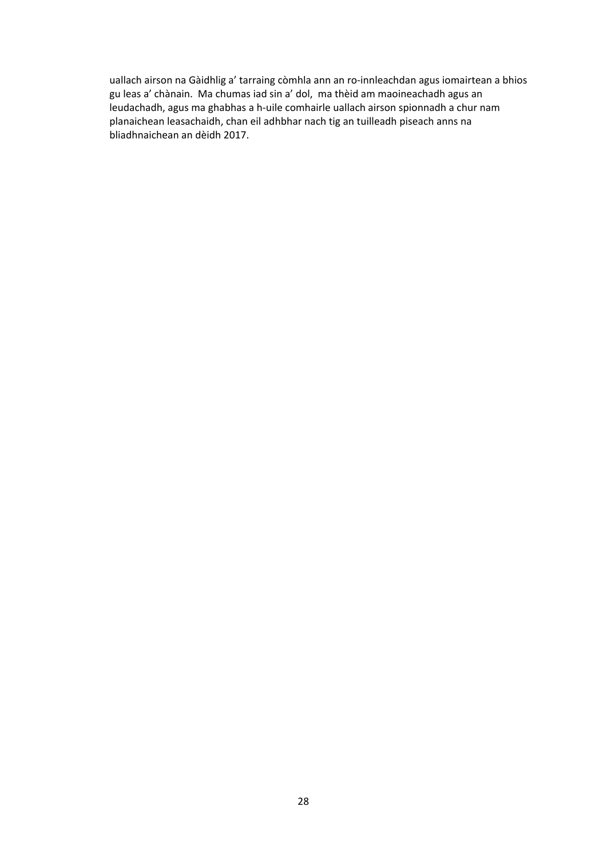uallach airson na Gàidhlig a' tarraing còmhla ann an ro-innleachdan agus iomairtean a bhios gu leas a' chànain. Ma chumas iad sin a' dol, ma thèid am maoineachadh agus an leudachadh, agus ma ghabhas a h‐uile comhairle uallach airson spionnadh a chur nam planaichean leasachaidh, chan eil adhbhar nach tig an tuilleadh piseach anns na bliadhnaichean an dèidh 2017.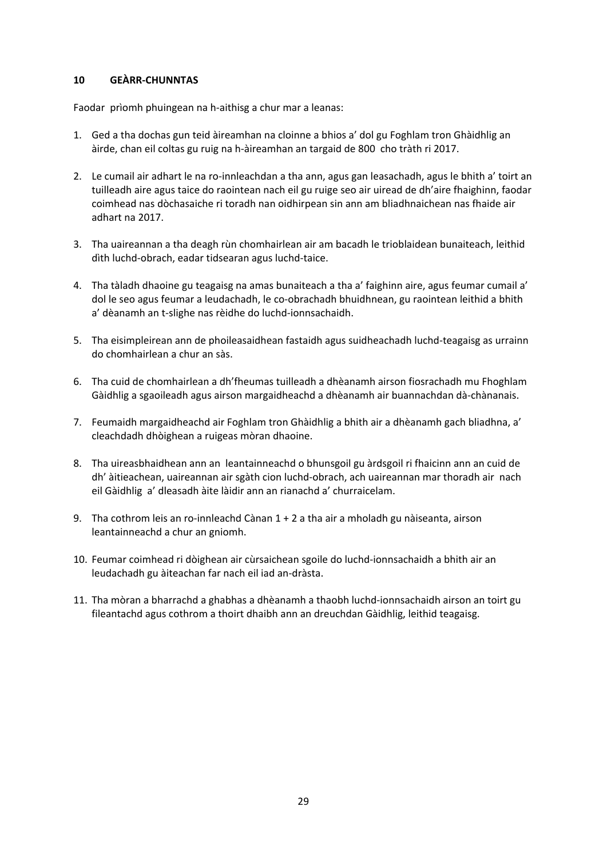# **10 GEÀRR‐CHUNNTAS**

Faodar prìomh phuingean na h‐aithisg a chur mar a leanas:

- 1. Ged a tha dochas gun teid àireamhan na cloinne a bhios a' dol gu Foghlam tron Ghàidhlig an àirde, chan eil coltas gu ruig na h‐àireamhan an targaid de 800 cho tràth ri 2017.
- 2. Le cumail air adhart le na ro-innleachdan a tha ann, agus gan leasachadh, agus le bhith a' toirt an tuilleadh aire agus taice do raointean nach eil gu ruige seo air uiread de dh'aire fhaighinn, faodar coimhead nas dòchasaiche ri toradh nan oidhirpean sin ann am bliadhnaichean nas fhaide air adhart na 2017.
- 3. Tha uaireannan a tha deagh rùn chomhairlean air am bacadh le trioblaidean bunaiteach, leithid dìth luchd‐obrach, eadar tidsearan agus luchd‐taice.
- 4. Tha tàladh dhaoine gu teagaisg na amas bunaiteach a tha a' faighinn aire, agus feumar cumail a' dol le seo agus feumar a leudachadh, le co‐obrachadh bhuidhnean, gu raointean leithid a bhith a' dèanamh an t‐slighe nas rèidhe do luchd‐ionnsachaidh.
- 5. Tha eisimpleirean ann de phoileasaidhean fastaidh agus suidheachadh luchd‐teagaisg as urrainn do chomhairlean a chur an sàs.
- 6. Tha cuid de chomhairlean a dh'fheumas tuilleadh a dhèanamh airson fiosrachadh mu Fhoghlam Gàidhlig a sgaoileadh agus airson margaidheachd a dhèanamh air buannachdan dà‐chànanais.
- 7. Feumaidh margaidheachd air Foghlam tron Ghàidhlig a bhith air a dhèanamh gach bliadhna, a' cleachdadh dhòighean a ruigeas mòran dhaoine.
- 8. Tha uireasbhaidhean ann an leantainneachd o bhunsgoil gu àrdsgoil ri fhaicinn ann an cuid de dh' àitieachean, uaireannan air sgàth cion luchd‐obrach, ach uaireannan mar thoradh air nach eil Gàidhlig a' dleasadh àite làidir ann an rianachd a' churraicelam.
- 9. Tha cothrom leis an ro-innleachd Cànan 1 + 2 a tha air a mholadh gu nàiseanta, airson leantainneachd a chur an gniomh.
- 10. Feumar coimhead ri dòighean air cùrsaichean sgoile do luchd‐ionnsachaidh a bhith air an leudachadh gu àiteachan far nach eil iad an‐dràsta.
- 11. Tha mòran a bharrachd a ghabhas a dhèanamh a thaobh luchd‐ionnsachaidh airson an toirt gu fileantachd agus cothrom a thoirt dhaibh ann an dreuchdan Gàidhlig, leithid teagaisg.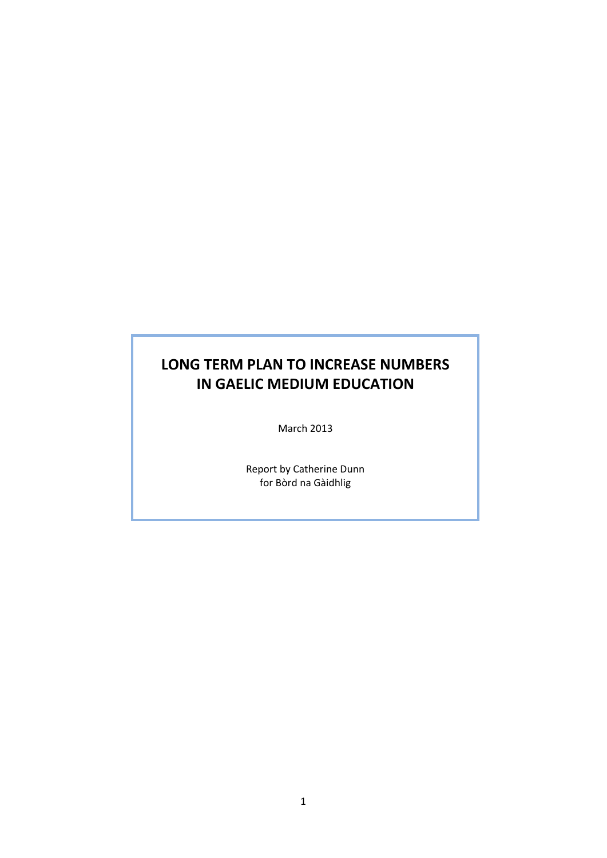# **LONG TERM PLAN TO INCREASE NUMBERS IN GAELIC MEDIUM EDUCATION**

March 2013

Report by Catherine Dunn for Bòrd na Gàidhlig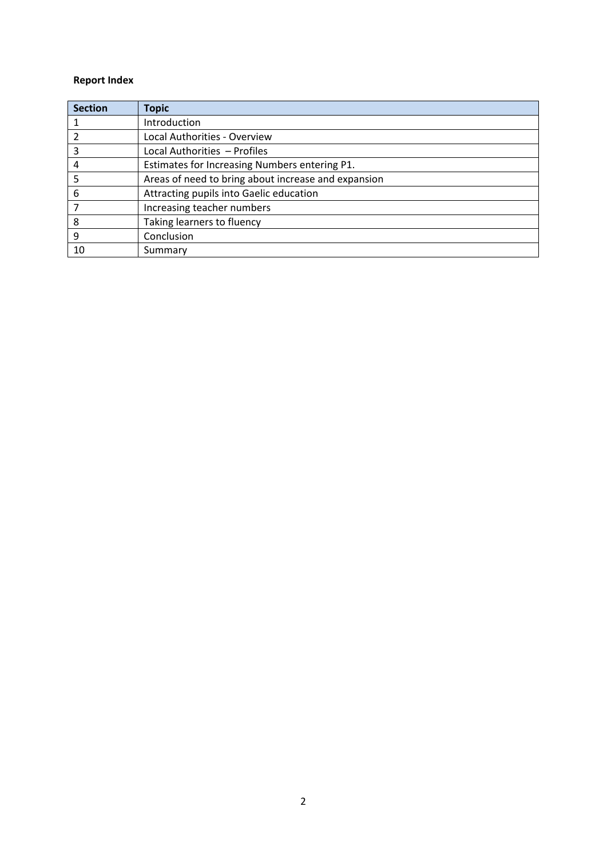# **Report Index**

| <b>Section</b> | <b>Topic</b>                                        |
|----------------|-----------------------------------------------------|
| 1              | Introduction                                        |
| 2              | Local Authorities - Overview                        |
| 3              | Local Authorities - Profiles                        |
| 4              | Estimates for Increasing Numbers entering P1.       |
| 5              | Areas of need to bring about increase and expansion |
| 6              | Attracting pupils into Gaelic education             |
|                | Increasing teacher numbers                          |
| 8              | Taking learners to fluency                          |
| 9              | Conclusion                                          |
| 10             | Summary                                             |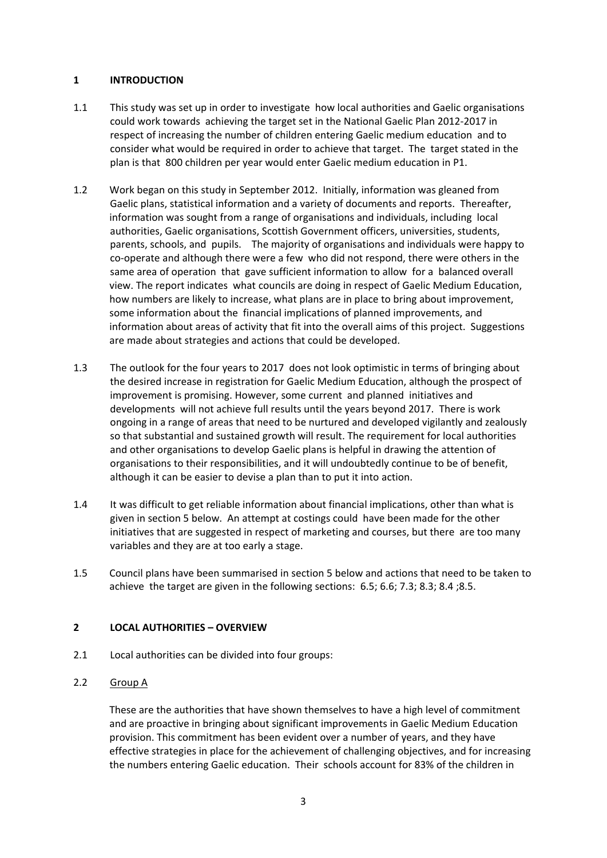# **1 INTRODUCTION**

- 1.1 This study was set up in order to investigate how local authorities and Gaelic organisations could work towards achieving the target set in the National Gaelic Plan 2012‐2017 in respect of increasing the number of children entering Gaelic medium education and to consider what would be required in order to achieve that target. The target stated in the plan is that 800 children per year would enter Gaelic medium education in P1.
- 1.2 Work began on this study in September 2012. Initially, information was gleaned from Gaelic plans, statistical information and a variety of documents and reports. Thereafter, information was sought from a range of organisations and individuals, including local authorities, Gaelic organisations, Scottish Government officers, universities, students, parents, schools, and pupils. The majority of organisations and individuals were happy to co-operate and although there were a few who did not respond, there were others in the same area of operation that gave sufficient information to allow for a balanced overall view. The report indicates what councils are doing in respect of Gaelic Medium Education, how numbers are likely to increase, what plans are in place to bring about improvement, some information about the financial implications of planned improvements, and information about areas of activity that fit into the overall aims of this project. Suggestions are made about strategies and actions that could be developed.
- 1.3 The outlook for the four years to 2017 does not look optimistic in terms of bringing about the desired increase in registration for Gaelic Medium Education, although the prospect of improvement is promising. However, some current and planned initiatives and developments will not achieve full results until the years beyond 2017. There is work ongoing in a range of areas that need to be nurtured and developed vigilantly and zealously so that substantial and sustained growth will result. The requirement for local authorities and other organisations to develop Gaelic plans is helpful in drawing the attention of organisations to their responsibilities, and it will undoubtedly continue to be of benefit, although it can be easier to devise a plan than to put it into action.
- 1.4 It was difficult to get reliable information about financial implications, other than what is given in section 5 below. An attempt at costings could have been made for the other initiatives that are suggested in respect of marketing and courses, but there are too many variables and they are at too early a stage.
- 1.5 Council plans have been summarised in section 5 below and actions that need to be taken to achieve the target are given in the following sections: 6.5; 6.6; 7.3; 8.3; 8.4 ;8.5.

# **2 LOCAL AUTHORITIES – OVERVIEW**

- 2.1 Local authorities can be divided into four groups:
- 2.2 Group A

These are the authorities that have shown themselves to have a high level of commitment and are proactive in bringing about significant improvements in Gaelic Medium Education provision. This commitment has been evident over a number of years, and they have effective strategies in place for the achievement of challenging objectives, and for increasing the numbers entering Gaelic education. Their schools account for 83% of the children in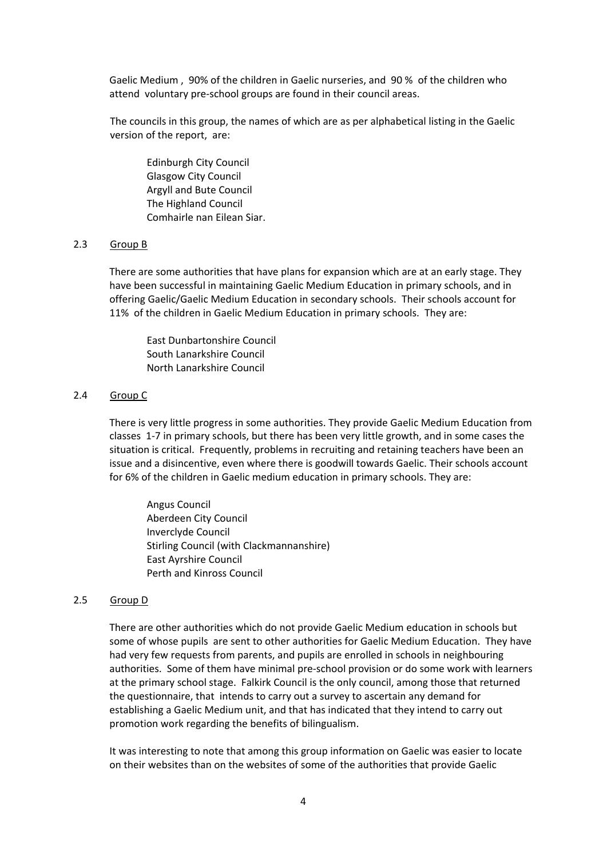Gaelic Medium , 90% of the children in Gaelic nurseries, and 90 % of the children who attend voluntary pre‐school groups are found in their council areas.

The councils in this group, the names of which are as per alphabetical listing in the Gaelic version of the report, are:

 Edinburgh City Council Glasgow City Council Argyll and Bute Council The Highland Council Comhairle nan Eilean Siar.

# 2.3 Group B

There are some authorities that have plans for expansion which are at an early stage. They have been successful in maintaining Gaelic Medium Education in primary schools, and in offering Gaelic/Gaelic Medium Education in secondary schools. Their schools account for 11% of the children in Gaelic Medium Education in primary schools. They are:

East Dunbartonshire Council South Lanarkshire Council North Lanarkshire Council

# 2.4 Group C

There is very little progress in some authorities. They provide Gaelic Medium Education from classes 1‐7 in primary schools, but there has been very little growth, and in some cases the situation is critical. Frequently, problems in recruiting and retaining teachers have been an issue and a disincentive, even where there is goodwill towards Gaelic. Their schools account for 6% of the children in Gaelic medium education in primary schools. They are:

Angus Council Aberdeen City Council Inverclyde Council Stirling Council (with Clackmannanshire) East Ayrshire Council Perth and Kinross Council

#### 2.5 Group D

There are other authorities which do not provide Gaelic Medium education in schools but some of whose pupils are sent to other authorities for Gaelic Medium Education. They have had very few requests from parents, and pupils are enrolled in schools in neighbouring authorities. Some of them have minimal pre‐school provision or do some work with learners at the primary school stage. Falkirk Council is the only council, among those that returned the questionnaire, that intends to carry out a survey to ascertain any demand for establishing a Gaelic Medium unit, and that has indicated that they intend to carry out promotion work regarding the benefits of bilingualism.

It was interesting to note that among this group information on Gaelic was easier to locate on their websites than on the websites of some of the authorities that provide Gaelic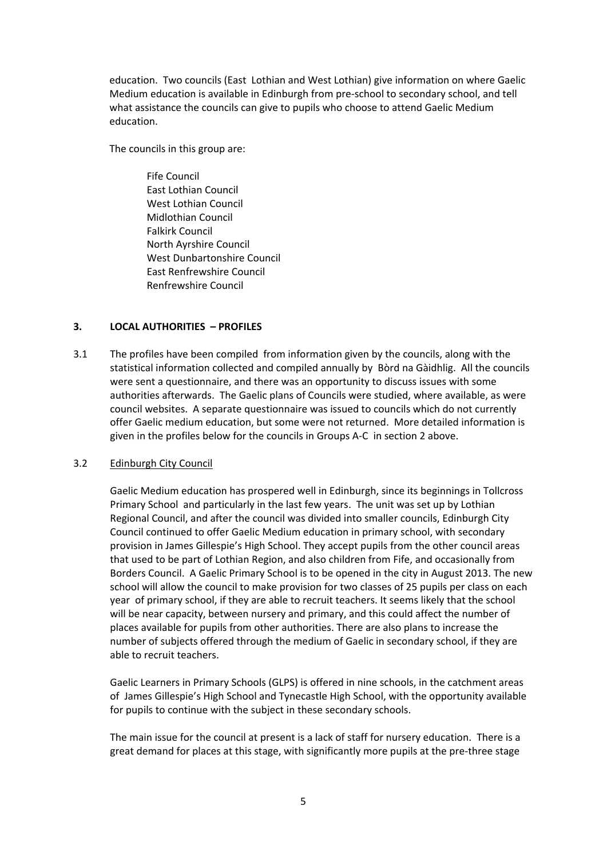education. Two councils (East Lothian and West Lothian) give information on where Gaelic Medium education is available in Edinburgh from pre‐school to secondary school, and tell what assistance the councils can give to pupils who choose to attend Gaelic Medium education.

The councils in this group are:

 Fife Council East Lothian Council West Lothian Council Midlothian Council Falkirk Council North Ayrshire Council West Dunbartonshire Council East Renfrewshire Council Renfrewshire Council

# **3. LOCAL AUTHORITIES – PROFILES**

3.1 The profiles have been compiledfrom information given by the councils, along with the statistical information collected and compiled annually by Bòrd na Gàidhlig. All the councils were sent a questionnaire, and there was an opportunity to discuss issues with some authorities afterwards. The Gaelic plans of Councils were studied, where available, as were council websites. A separate questionnaire was issued to councils which do not currently offer Gaelic medium education, but some were not returned. More detailed information is given in the profiles below for the councils in Groups A‐C in section 2 above.

# 3.2 Edinburgh City Council

Gaelic Medium education has prospered well in Edinburgh, since its beginnings in Tollcross Primary School and particularly in the last few years. The unit was set up by Lothian Regional Council, and after the council was divided into smaller councils, Edinburgh City Council continued to offer Gaelic Medium education in primary school, with secondary provision in James Gillespie's High School. They accept pupils from the other council areas that used to be part of Lothian Region, and also children from Fife, and occasionally from Borders Council. A Gaelic Primary School is to be opened in the city in August 2013. The new school will allow the council to make provision for two classes of 25 pupils per class on each year of primary school, if they are able to recruit teachers. It seems likely that the school will be near capacity, between nursery and primary, and this could affect the number of places available for pupils from other authorities. There are also plans to increase the number of subjects offered through the medium of Gaelic in secondary school, if they are able to recruit teachers.

Gaelic Learners in Primary Schools (GLPS) is offered in nine schools, in the catchment areas of James Gillespie's High School and Tynecastle High School, with the opportunity available for pupils to continue with the subject in these secondary schools.

The main issue for the council at present is a lack of staff for nursery education. There is a great demand for places at this stage, with significantly more pupils at the pre‐three stage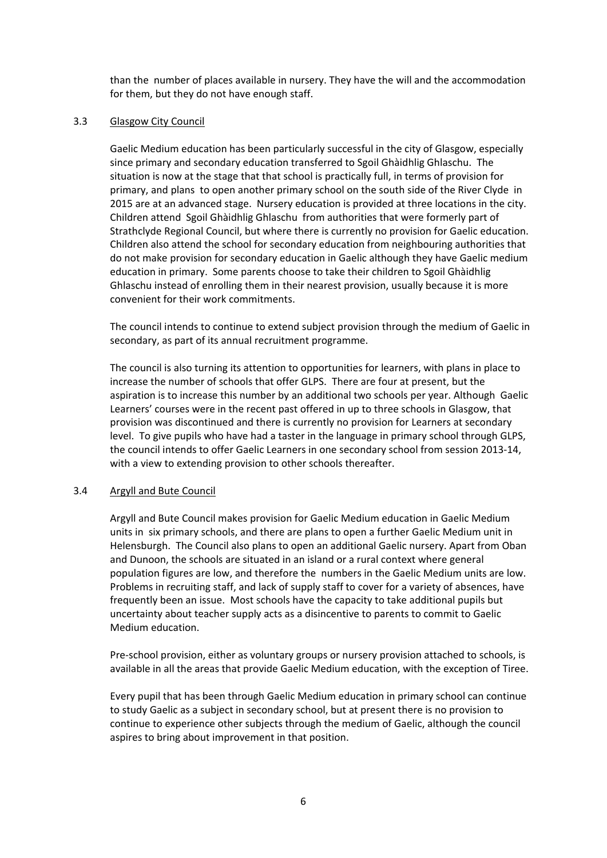than the number of places available in nursery. They have the will and the accommodation for them, but they do not have enough staff.

# 3.3 Glasgow City Council

Gaelic Medium education has been particularly successful in the city of Glasgow, especially since primary and secondary education transferred to Sgoil Ghàidhlig Ghlaschu. The situation is now at the stage that that school is practically full, in terms of provision for primary, and plans to open another primary school on the south side of the River Clyde in 2015 are at an advanced stage. Nursery education is provided at three locations in the city. Children attend Sgoil Ghàidhlig Ghlaschu from authorities that were formerly part of Strathclyde Regional Council, but where there is currently no provision for Gaelic education. Children also attend the school for secondary education from neighbouring authorities that do not make provision for secondary education in Gaelic although they have Gaelic medium education in primary. Some parents choose to take their children to Sgoil Ghàidhlig Ghlaschu instead of enrolling them in their nearest provision, usually because it is more convenient for their work commitments.

The council intends to continue to extend subject provision through the medium of Gaelic in secondary, as part of its annual recruitment programme.

The council is also turning its attention to opportunities for learners, with plans in place to increase the number of schools that offer GLPS. There are four at present, but the aspiration is to increase this number by an additional two schools per year. Although Gaelic Learners' courses were in the recent past offered in up to three schools in Glasgow, that provision was discontinued and there is currently no provision for Learners at secondary level. To give pupils who have had a taster in the language in primary school through GLPS, the council intends to offer Gaelic Learners in one secondary school from session 2013‐14, with a view to extending provision to other schools thereafter.

# 3.4 Argyll and Bute Council

Argyll and Bute Council makes provision for Gaelic Medium education in Gaelic Medium units in six primary schools, and there are plans to open a further Gaelic Medium unit in Helensburgh. The Council also plans to open an additional Gaelic nursery. Apart from Oban and Dunoon, the schools are situated in an island or a rural context where general population figures are low, and therefore the numbers in the Gaelic Medium units are low. Problems in recruiting staff, and lack of supply staff to cover for a variety of absences, have frequently been an issue. Most schools have the capacity to take additional pupils but uncertainty about teacher supply acts as a disincentive to parents to commit to Gaelic Medium education.

Pre‐school provision, either as voluntary groups or nursery provision attached to schools, is available in all the areas that provide Gaelic Medium education, with the exception of Tiree.

Every pupil that has been through Gaelic Medium education in primary school can continue to study Gaelic as a subject in secondary school, but at present there is no provision to continue to experience other subjects through the medium of Gaelic, although the council aspires to bring about improvement in that position.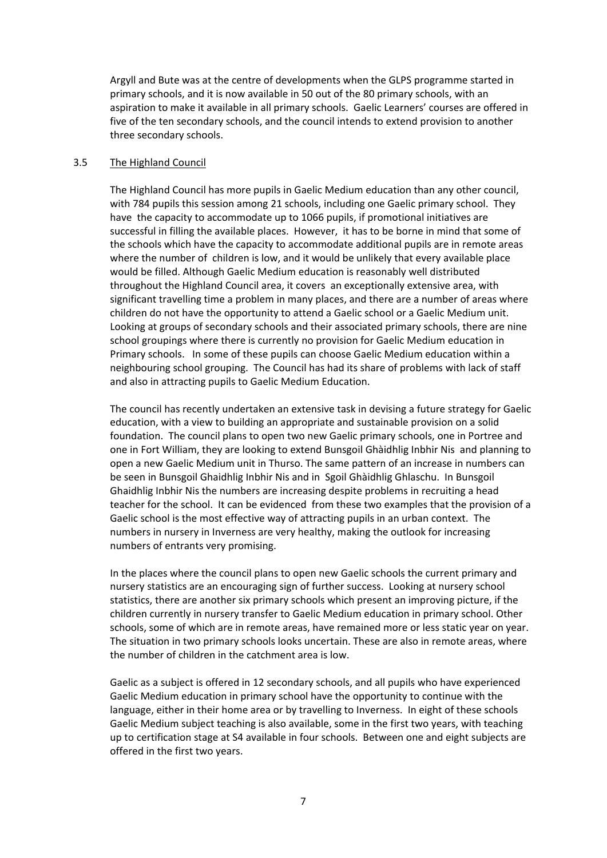Argyll and Bute was at the centre of developments when the GLPS programme started in primary schools, and it is now available in 50 out of the 80 primary schools, with an aspiration to make it available in all primary schools. Gaelic Learners' courses are offered in five of the ten secondary schools, and the council intends to extend provision to another three secondary schools.

#### 3.5 The Highland Council

The Highland Council has more pupils in Gaelic Medium education than any other council, with 784 pupils this session among 21 schools, including one Gaelic primary school. They have the capacity to accommodate up to 1066 pupils, if promotional initiatives are successful in filling the available places. However, it has to be borne in mind that some of the schools which have the capacity to accommodate additional pupils are in remote areas where the number of children is low, and it would be unlikely that every available place would be filled. Although Gaelic Medium education is reasonably well distributed throughout the Highland Council area, it covers an exceptionally extensive area, with significant travelling time a problem in many places, and there are a number of areas where children do not have the opportunity to attend a Gaelic school or a Gaelic Medium unit. Looking at groups of secondary schools and their associated primary schools, there are nine school groupings where there is currently no provision for Gaelic Medium education in Primary schools. In some of these pupils can choose Gaelic Medium education within a neighbouring school grouping. The Council has had its share of problems with lack of staff and also in attracting pupils to Gaelic Medium Education.

The council has recently undertaken an extensive task in devising a future strategy for Gaelic education, with a view to building an appropriate and sustainable provision on a solid foundation. The council plans to open two new Gaelic primary schools, one in Portree and one in Fort William, they are looking to extend Bunsgoil Ghàidhlig Inbhir Nis and planning to open a new Gaelic Medium unit in Thurso. The same pattern of an increase in numbers can be seen in Bunsgoil Ghaidhlig Inbhir Nis and in Sgoil Ghàidhlig Ghlaschu. In Bunsgoil Ghaidhlig Inbhir Nis the numbers are increasing despite problems in recruiting a head teacher for the school. It can be evidenced from these two examples that the provision of a Gaelic school is the most effective way of attracting pupils in an urban context. The numbers in nursery in Inverness are very healthy, making the outlook for increasing numbers of entrants very promising.

In the places where the council plans to open new Gaelic schools the current primary and nursery statistics are an encouraging sign of further success. Looking at nursery school statistics, there are another six primary schools which present an improving picture, if the children currently in nursery transfer to Gaelic Medium education in primary school. Other schools, some of which are in remote areas, have remained more or less static year on year. The situation in two primary schools looks uncertain. These are also in remote areas, where the number of children in the catchment area is low.

Gaelic as a subject is offered in 12 secondary schools, and all pupils who have experienced Gaelic Medium education in primary school have the opportunity to continue with the language, either in their home area or by travelling to Inverness. In eight of these schools Gaelic Medium subject teaching is also available, some in the first two years, with teaching up to certification stage at S4 available in four schools. Between one and eight subjects are offered in the first two years.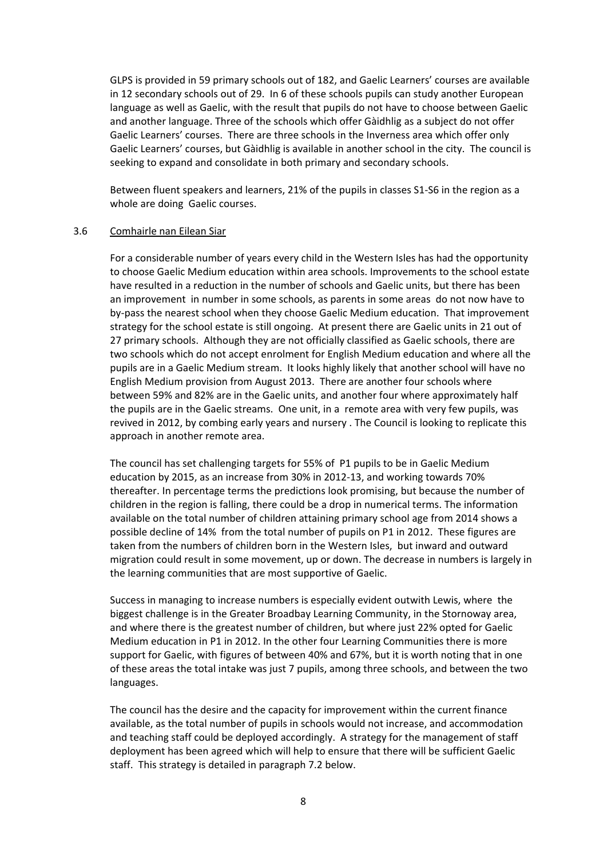GLPS is provided in 59 primary schools out of 182, and Gaelic Learners' courses are available in 12 secondary schools out of 29. In 6 of these schools pupils can study another European language as well as Gaelic, with the result that pupils do not have to choose between Gaelic and another language. Three of the schools which offer Gàidhlig as a subject do not offer Gaelic Learners' courses. There are three schools in the Inverness area which offer only Gaelic Learners' courses, but Gàidhlig is available in another school in the city. The council is seeking to expand and consolidate in both primary and secondary schools.

Between fluent speakers and learners, 21% of the pupils in classes S1‐S6 in the region as a whole are doing Gaelic courses.

#### 3.6 Comhairle nan Eilean Siar

For a considerable number of years every child in the Western Isles has had the opportunity to choose Gaelic Medium education within area schools. Improvements to the school estate have resulted in a reduction in the number of schools and Gaelic units, but there has been an improvement in number in some schools, as parents in some areas do not now have to by‐pass the nearest school when they choose Gaelic Medium education. That improvement strategy for the school estate is still ongoing. At present there are Gaelic units in 21 out of 27 primary schools. Although they are not officially classified as Gaelic schools, there are two schools which do not accept enrolment for English Medium education and where all the pupils are in a Gaelic Medium stream. It looks highly likely that another school will have no English Medium provision from August 2013. There are another four schools where between 59% and 82% are in the Gaelic units, and another four where approximately half the pupils are in the Gaelic streams. One unit, in a remote area with very few pupils, was revived in 2012, by combing early years and nursery . The Council is looking to replicate this approach in another remote area.

The council has set challenging targets for 55% of P1 pupils to be in Gaelic Medium education by 2015, as an increase from 30% in 2012‐13, and working towards 70% thereafter. In percentage terms the predictions look promising, but because the number of children in the region is falling, there could be a drop in numerical terms. The information available on the total number of children attaining primary school age from 2014 shows a possible decline of 14% from the total number of pupils on P1 in 2012. These figures are taken from the numbers of children born in the Western Isles, but inward and outward migration could result in some movement, up or down. The decrease in numbers is largely in the learning communities that are most supportive of Gaelic.

Success in managing to increase numbers is especially evident outwith Lewis, where the biggest challenge is in the Greater Broadbay Learning Community, in the Stornoway area, and where there is the greatest number of children, but where just 22% opted for Gaelic Medium education in P1 in 2012. In the other four Learning Communities there is more support for Gaelic, with figures of between 40% and 67%, but it is worth noting that in one of these areas the total intake was just 7 pupils, among three schools, and between the two languages.

The council has the desire and the capacity for improvement within the current finance available, as the total number of pupils in schools would not increase, and accommodation and teaching staff could be deployed accordingly. A strategy for the management of staff deployment has been agreed which will help to ensure that there will be sufficient Gaelic staff. This strategy is detailed in paragraph 7.2 below.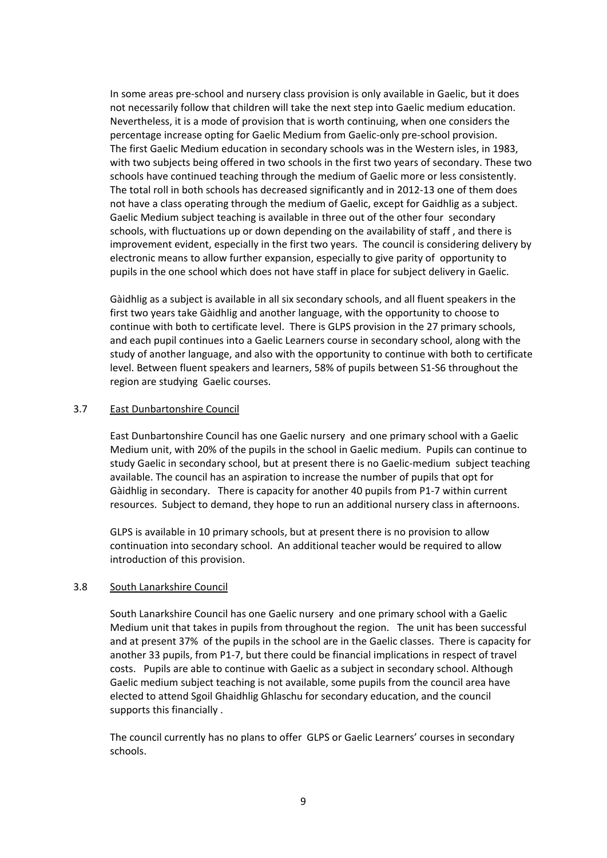In some areas pre‐school and nursery class provision is only available in Gaelic, but it does not necessarily follow that children will take the next step into Gaelic medium education. Nevertheless, it is a mode of provision that is worth continuing, when one considers the percentage increase opting for Gaelic Medium from Gaelic‐only pre‐school provision. The first Gaelic Medium education in secondary schools was in the Western isles, in 1983, with two subjects being offered in two schools in the first two years of secondary. These two schools have continued teaching through the medium of Gaelic more or less consistently. The total roll in both schools has decreased significantly and in 2012‐13 one of them does not have a class operating through the medium of Gaelic, except for Gaidhlig as a subject. Gaelic Medium subject teaching is available in three out of the other four secondary schools, with fluctuations up or down depending on the availability of staff , and there is improvement evident, especially in the first two years. The council is considering delivery by electronic means to allow further expansion, especially to give parity of opportunity to pupils in the one school which does not have staff in place for subject delivery in Gaelic.

Gàidhlig as a subject is available in all six secondary schools, and all fluent speakers in the first two years take Gàidhlig and another language, with the opportunity to choose to continue with both to certificate level. There is GLPS provision in the 27 primary schools, and each pupil continues into a Gaelic Learners course in secondary school, along with the study of another language, and also with the opportunity to continue with both to certificate level. Between fluent speakers and learners, 58% of pupils between S1‐S6 throughout the region are studying Gaelic courses.

## 3.7 East Dunbartonshire Council

East Dunbartonshire Council has one Gaelic nursery and one primary school with a Gaelic Medium unit, with 20% of the pupils in the school in Gaelic medium. Pupils can continue to study Gaelic in secondary school, but at present there is no Gaelic‐medium subject teaching available. The council has an aspiration to increase the number of pupils that opt for Gàidhlig in secondary. There is capacity for another 40 pupils from P1‐7 within current resources. Subject to demand, they hope to run an additional nursery class in afternoons.

GLPS is available in 10 primary schools, but at present there is no provision to allow continuation into secondary school. An additional teacher would be required to allow introduction of this provision.

#### 3.8 South Lanarkshire Council

South Lanarkshire Council has one Gaelic nursery and one primary school with a Gaelic Medium unit that takes in pupils from throughout the region. The unit has been successful and at present 37% of the pupils in the school are in the Gaelic classes. There is capacity for another 33 pupils, from P1‐7, but there could be financial implications in respect of travel costs. Pupils are able to continue with Gaelic as a subject in secondary school. Although Gaelic medium subject teaching is not available, some pupils from the council area have elected to attend Sgoil Ghaidhlig Ghlaschu for secondary education, and the council supports this financially .

The council currently has no plans to offer GLPS or Gaelic Learners' courses in secondary schools.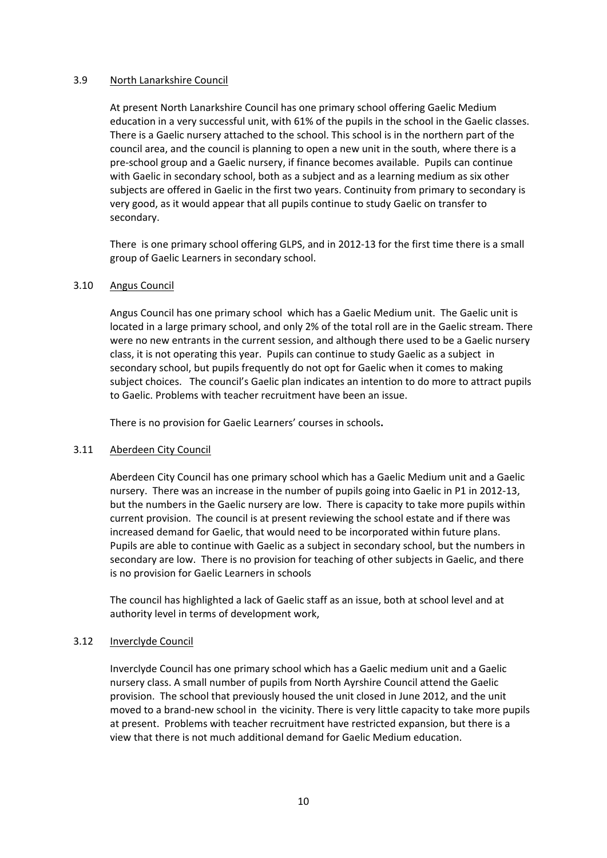# 3.9 North Lanarkshire Council

At present North Lanarkshire Council has one primary school offering Gaelic Medium education in a very successful unit, with 61% of the pupils in the school in the Gaelic classes. There is a Gaelic nursery attached to the school. This school is in the northern part of the council area, and the council is planning to open a new unit in the south, where there is a pre‐school group and a Gaelic nursery, if finance becomes available. Pupils can continue with Gaelic in secondary school, both as a subject and as a learning medium as six other subjects are offered in Gaelic in the first two years. Continuity from primary to secondary is very good, as it would appear that all pupils continue to study Gaelic on transfer to secondary.

There is one primary school offering GLPS, and in 2012‐13 for the first time there is a small group of Gaelic Learners in secondary school.

## 3.10 Angus Council

Angus Council has one primary school which has a Gaelic Medium unit. The Gaelic unit is located in a large primary school, and only 2% of the total roll are in the Gaelic stream. There were no new entrants in the current session, and although there used to be a Gaelic nursery class, it is not operating this year. Pupils can continue to study Gaelic as a subject in secondary school, but pupils frequently do not opt for Gaelic when it comes to making subject choices. The council's Gaelic plan indicates an intention to do more to attract pupils to Gaelic. Problems with teacher recruitment have been an issue.

There is no provision for Gaelic Learners' courses in schools**.** 

# 3.11 Aberdeen City Council

Aberdeen City Council has one primary school which has a Gaelic Medium unit and a Gaelic nursery. There was an increase in the number of pupils going into Gaelic in P1 in 2012‐13, but the numbers in the Gaelic nursery are low. There is capacity to take more pupils within current provision. The council is at present reviewing the school estate and if there was increased demand for Gaelic, that would need to be incorporated within future plans. Pupils are able to continue with Gaelic as a subject in secondary school, but the numbers in secondary are low. There is no provision for teaching of other subjects in Gaelic, and there is no provision for Gaelic Learners in schools

The council has highlighted a lack of Gaelic staff as an issue, both at school level and at authority level in terms of development work,

# 3.12 Inverclyde Council

Inverclyde Council has one primary school which has a Gaelic medium unit and a Gaelic nursery class. A small number of pupils from North Ayrshire Council attend the Gaelic provision. The school that previously housed the unit closed in June 2012, and the unit moved to a brand-new school in the vicinity. There is very little capacity to take more pupils at present. Problems with teacher recruitment have restricted expansion, but there is a view that there is not much additional demand for Gaelic Medium education.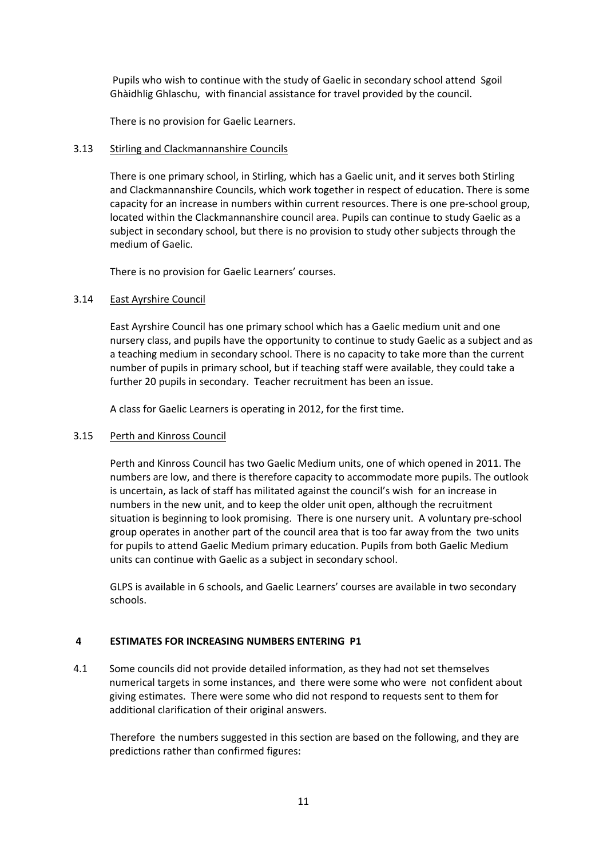Pupils who wish to continue with the study of Gaelic in secondary school attend Sgoil Ghàidhlig Ghlaschu, with financial assistance for travel provided by the council.

There is no provision for Gaelic Learners.

## 3.13 Stirling and Clackmannanshire Councils

There is one primary school, in Stirling, which has a Gaelic unit, and it serves both Stirling and Clackmannanshire Councils, which work together in respect of education. There is some capacity for an increase in numbers within current resources. There is one pre‐school group, located within the Clackmannanshire council area. Pupils can continue to study Gaelic as a subject in secondary school, but there is no provision to study other subjects through the medium of Gaelic.

There is no provision for Gaelic Learners' courses.

## 3.14 East Ayrshire Council

East Ayrshire Council has one primary school which has a Gaelic medium unit and one nursery class, and pupils have the opportunity to continue to study Gaelic as a subject and as a teaching medium in secondary school. There is no capacity to take more than the current number of pupils in primary school, but if teaching staff were available, they could take a further 20 pupils in secondary. Teacher recruitment has been an issue.

A class for Gaelic Learners is operating in 2012, for the first time.

#### 3.15 Perth and Kinross Council

Perth and Kinross Council has two Gaelic Medium units, one of which opened in 2011. The numbers are low, and there is therefore capacity to accommodate more pupils. The outlook is uncertain, as lack of staff has militated against the council's wish for an increase in numbers in the new unit, and to keep the older unit open, although the recruitment situation is beginning to look promising. There is one nursery unit. A voluntary pre‐school group operates in another part of the council area that is too far away from the two units for pupils to attend Gaelic Medium primary education. Pupils from both Gaelic Medium units can continue with Gaelic as a subject in secondary school.

GLPS is available in 6 schools, and Gaelic Learners' courses are available in two secondary schools.

#### **4 ESTIMATES FOR INCREASING NUMBERS ENTERING P1**

4.1 Some councils did not provide detailed information, as they had not set themselves numerical targets in some instances, and there were some who were not confident about giving estimates. There were some who did not respond to requests sent to them for additional clarification of their original answers.

 Therefore the numbers suggested in this section are based on the following, and they are predictions rather than confirmed figures: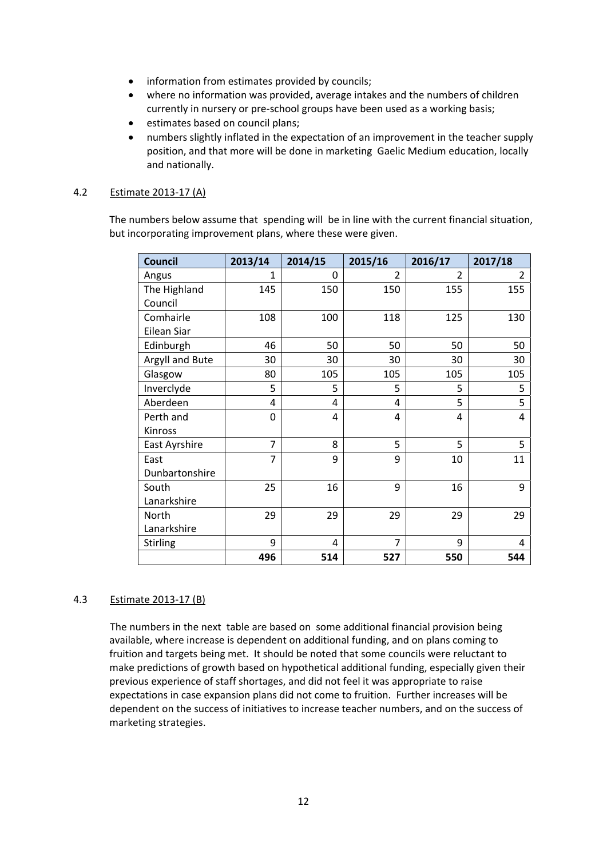- information from estimates provided by councils;
- where no information was provided, average intakes and the numbers of children currently in nursery or pre-school groups have been used as a working basis;
- estimates based on council plans;
- numbers slightly inflated in the expectation of an improvement in the teacher supply position, and that more will be done in marketing Gaelic Medium education, locally and nationally.

## 4.2 Estimate 2013‐17 (A)

 The numbers below assume that spending will be in line with the current financial situation, but incorporating improvement plans, where these were given.

| <b>Council</b>  | 2013/14 | 2014/15 | 2015/16        | 2016/17        | 2017/18 |
|-----------------|---------|---------|----------------|----------------|---------|
| Angus           | 1       | 0       | $\mathfrak{p}$ | $\mathfrak{p}$ | 2       |
| The Highland    | 145     | 150     | 150            | 155            | 155     |
| Council         |         |         |                |                |         |
| Comhairle       | 108     | 100     | 118            | 125            | 130     |
| Eilean Siar     |         |         |                |                |         |
| Edinburgh       | 46      | 50      | 50             | 50             | 50      |
| Argyll and Bute | 30      | 30      | 30             | 30             | 30      |
| Glasgow         | 80      | 105     | 105            | 105            | 105     |
| Inverclyde      | 5       | 5       | 5              | 5              | 5       |
| Aberdeen        | 4       | 4       | 4              | 5              | 5       |
| Perth and       | 0       | 4       | 4              | 4              | 4       |
| Kinross         |         |         |                |                |         |
| East Ayrshire   | 7       | 8       | 5              | 5              | 5       |
| East            | 7       | 9       | 9              | 10             | 11      |
| Dunbartonshire  |         |         |                |                |         |
| South           | 25      | 16      | 9              | 16             | 9       |
| Lanarkshire     |         |         |                |                |         |
| North           | 29      | 29      | 29             | 29             | 29      |
| Lanarkshire     |         |         |                |                |         |
| <b>Stirling</b> | 9       | 4       | 7              | 9              | 4       |
|                 | 496     | 514     | 527            | 550            | 544     |

# 4.3 Estimate 2013‐17 (B)

 The numbers in the next table are based on some additional financial provision being available, where increase is dependent on additional funding, and on plans coming to fruition and targets being met. It should be noted that some councils were reluctant to make predictions of growth based on hypothetical additional funding, especially given their previous experience of staff shortages, and did not feel it was appropriate to raise expectations in case expansion plans did not come to fruition. Further increases will be dependent on the success of initiatives to increase teacher numbers, and on the success of marketing strategies.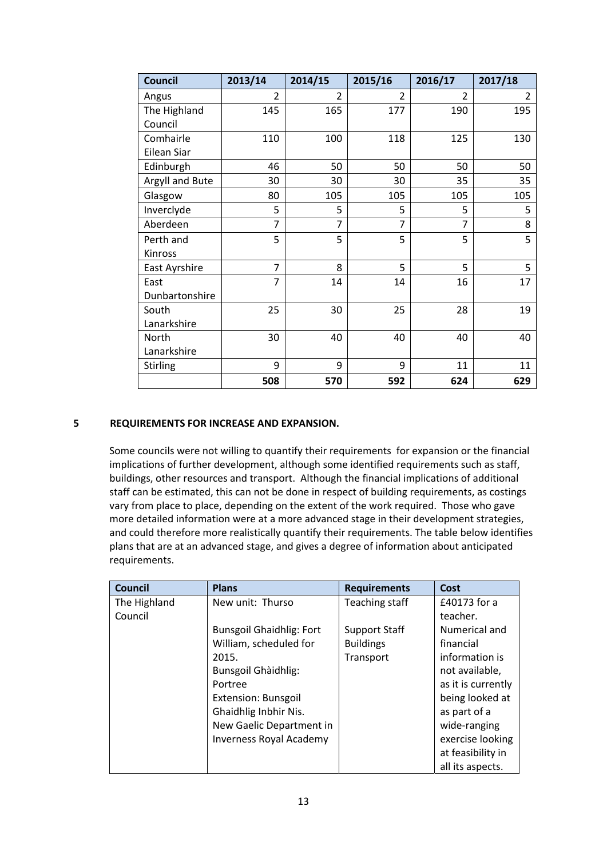| <b>Council</b>  | 2013/14        | 2014/15        | 2015/16        | 2016/17        | 2017/18        |
|-----------------|----------------|----------------|----------------|----------------|----------------|
| Angus           | 2              | $\overline{2}$ | $\mathcal{P}$  | $\mathfrak{p}$ | $\overline{2}$ |
| The Highland    | 145            | 165            | 177            | 190            | 195            |
| Council         |                |                |                |                |                |
| Comhairle       | 110            | 100            | 118            | 125            | 130            |
| Eilean Siar     |                |                |                |                |                |
| Edinburgh       | 46             | 50             | 50             | 50             | 50             |
| Argyll and Bute | 30             | 30             | 30             | 35             | 35             |
| Glasgow         | 80             | 105            | 105            | 105            | 105            |
| Inverclyde      | 5              | 5              | 5              | 5              | 5              |
| Aberdeen        | $\overline{7}$ | $\overline{7}$ | $\overline{7}$ | $\overline{7}$ | 8              |
| Perth and       | 5              | 5              | 5              | 5              | 5              |
| Kinross         |                |                |                |                |                |
| East Ayrshire   | $\overline{7}$ | 8              | 5              | 5              | 5              |
| East            | $\overline{7}$ | 14             | 14             | 16             | 17             |
| Dunbartonshire  |                |                |                |                |                |
| South           | 25             | 30             | 25             | 28             | 19             |
| Lanarkshire     |                |                |                |                |                |
| North           | 30             | 40             | 40             | 40             | 40             |
| Lanarkshire     |                |                |                |                |                |
| Stirling        | 9              | 9              | 9              | 11             | 11             |
|                 | 508            | 570            | 592            | 624            | 629            |

# **5 REQUIREMENTS FOR INCREASE AND EXPANSION.**

 Some councils were not willing to quantify their requirements for expansion or the financial implications of further development, although some identified requirements such as staff, buildings, other resources and transport. Although the financial implications of additional staff can be estimated, this can not be done in respect of building requirements, as costings vary from place to place, depending on the extent of the work required. Those who gave more detailed information were at a more advanced stage in their development strategies, and could therefore more realistically quantify their requirements. The table below identifies plans that are at an advanced stage, and gives a degree of information about anticipated requirements.

| <b>Council</b> | <b>Plans</b>                    | <b>Requirements</b>  | Cost               |
|----------------|---------------------------------|----------------------|--------------------|
| The Highland   | New unit: Thurso                | Teaching staff       | £40173 for a       |
| Council        |                                 |                      | teacher.           |
|                | <b>Bunsgoil Ghaidhlig: Fort</b> | <b>Support Staff</b> | Numerical and      |
|                | William, scheduled for          | <b>Buildings</b>     | financial          |
|                | 2015.                           | Transport            | information is     |
|                | Bunsgoil Ghàidhlig:             |                      | not available,     |
|                | Portree                         |                      | as it is currently |
|                | Extension: Bunsgoil             |                      | being looked at    |
|                | Ghaidhlig Inbhir Nis.           |                      | as part of a       |
|                | New Gaelic Department in        |                      | wide-ranging       |
|                | <b>Inverness Royal Academy</b>  |                      | exercise looking   |
|                |                                 |                      | at feasibility in  |
|                |                                 |                      | all its aspects.   |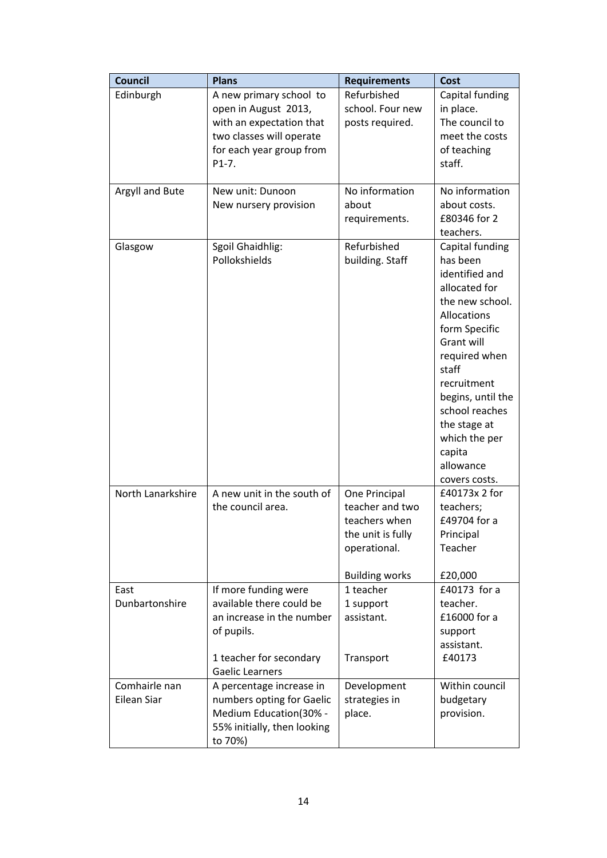| <b>Council</b>               | <b>Plans</b>                                                                                                                                     | <b>Requirements</b>                                                                                             | Cost                                                                                                                                                                                                                                                                                            |
|------------------------------|--------------------------------------------------------------------------------------------------------------------------------------------------|-----------------------------------------------------------------------------------------------------------------|-------------------------------------------------------------------------------------------------------------------------------------------------------------------------------------------------------------------------------------------------------------------------------------------------|
| Edinburgh                    | A new primary school to<br>open in August 2013,<br>with an expectation that<br>two classes will operate<br>for each year group from<br>$P1-7.$   | Refurbished<br>school. Four new<br>posts required.                                                              | Capital funding<br>in place.<br>The council to<br>meet the costs<br>of teaching<br>staff.                                                                                                                                                                                                       |
| Argyll and Bute              | New unit: Dunoon<br>New nursery provision                                                                                                        | No information<br>about<br>requirements.                                                                        | No information<br>about costs.<br>£80346 for 2<br>teachers.                                                                                                                                                                                                                                     |
| Glasgow                      | Sgoil Ghaidhlig:<br>Pollokshields                                                                                                                | Refurbished<br>building. Staff                                                                                  | Capital funding<br>has been<br>identified and<br>allocated for<br>the new school.<br><b>Allocations</b><br>form Specific<br>Grant will<br>required when<br>staff<br>recruitment<br>begins, until the<br>school reaches<br>the stage at<br>which the per<br>capita<br>allowance<br>covers costs. |
| North Lanarkshire            | A new unit in the south of<br>the council area.                                                                                                  | One Principal<br>teacher and two<br>teachers when<br>the unit is fully<br>operational.<br><b>Building works</b> | £40173x 2 for<br>teachers;<br>£49704 for a<br>Principal<br>Teacher<br>£20,000                                                                                                                                                                                                                   |
| East<br>Dunbartonshire       | If more funding were<br>available there could be<br>an increase in the number<br>of pupils.<br>1 teacher for secondary<br><b>Gaelic Learners</b> | 1 teacher<br>1 support<br>assistant.<br>Transport                                                               | £40173 for a<br>teacher.<br>£16000 for a<br>support<br>assistant.<br>£40173                                                                                                                                                                                                                     |
| Comhairle nan<br>Eilean Siar | A percentage increase in<br>numbers opting for Gaelic<br>Medium Education(30% -<br>55% initially, then looking<br>to 70%)                        | Development<br>strategies in<br>place.                                                                          | Within council<br>budgetary<br>provision.                                                                                                                                                                                                                                                       |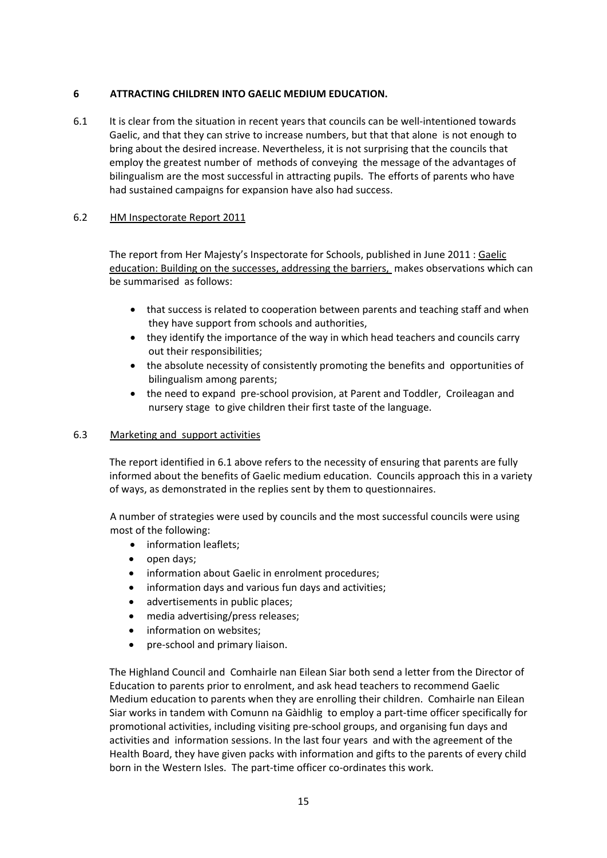# **6 ATTRACTING CHILDREN INTO GAELIC MEDIUM EDUCATION.**

6.1 It is clear from the situation in recent years that councils can be well-intentioned towards Gaelic, and that they can strive to increase numbers, but that that alone is not enough to bring about the desired increase. Nevertheless, it is not surprising that the councils that employ the greatest number of methods of conveying the message of the advantages of bilingualism are the most successful in attracting pupils. The efforts of parents who have had sustained campaigns for expansion have also had success.

# 6.2 HM Inspectorate Report 2011

The report from Her Majesty's Inspectorate for Schools, published in June 2011 : Gaelic education: Building on the successes, addressing the barriers, makes observations which can be summarised as follows:

- that success is related to cooperation between parents and teaching staff and when they have support from schools and authorities,
- they identify the importance of the way in which head teachers and councils carry out their responsibilities;
- the absolute necessity of consistently promoting the benefits and opportunities of bilingualism among parents;
- the need to expand pre-school provision, at Parent and Toddler, Croileagan and nursery stage to give children their first taste of the language.

# 6.3 Marketing and support activities

The report identified in 6.1 above refers to the necessity of ensuring that parents are fully informed about the benefits of Gaelic medium education. Councils approach this in a variety of ways, as demonstrated in the replies sent by them to questionnaires.

A number of strategies were used by councils and the most successful councils were using most of the following:

- information leaflets;
- open days;
- information about Gaelic in enrolment procedures;
- information days and various fun days and activities;
- advertisements in public places;
- media advertising/press releases;
- information on websites;
- pre-school and primary liaison.

 The Highland Council and Comhairle nan Eilean Siar both send a letter from the Director of Education to parents prior to enrolment, and ask head teachers to recommend Gaelic Medium education to parents when they are enrolling their children. Comhairle nan Eilean Siar works in tandem with Comunn na Gàidhlig to employ a part‐time officer specifically for promotional activities, including visiting pre‐school groups, and organising fun days and activities and information sessions. In the last four years and with the agreement of the Health Board, they have given packs with information and gifts to the parents of every child born in the Western Isles. The part-time officer co-ordinates this work.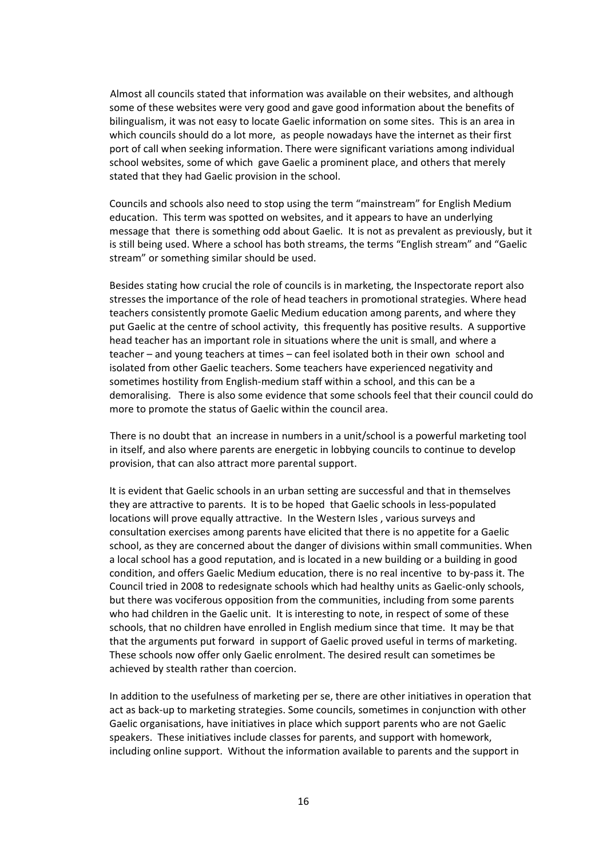Almost all councils stated that information was available on their websites, and although some of these websites were very good and gave good information about the benefits of bilingualism, it was not easy to locate Gaelic information on some sites. This is an area in which councils should do a lot more, as people nowadays have the internet as their first port of call when seeking information. There were significant variations among individual school websites, some of which gave Gaelic a prominent place, and others that merely stated that they had Gaelic provision in the school.

Councils and schools also need to stop using the term "mainstream" for English Medium education. This term was spotted on websites, and it appears to have an underlying message that there is something odd about Gaelic. It is not as prevalent as previously, but it is still being used. Where a school has both streams, the terms "English stream" and "Gaelic stream" or something similar should be used.

 Besides stating how crucial the role of councils is in marketing, the Inspectorate report also stresses the importance of the role of head teachers in promotional strategies. Where head teachers consistently promote Gaelic Medium education among parents, and where they put Gaelic at the centre of school activity, this frequently has positive results. A supportive head teacher has an important role in situations where the unit is small, and where a teacher – and young teachers at times – can feel isolated both in their own school and isolated from other Gaelic teachers. Some teachers have experienced negativity and sometimes hostility from English-medium staff within a school, and this can be a demoralising. There is also some evidence that some schools feel that their council could do more to promote the status of Gaelic within the council area.

 There is no doubt that an increase in numbers in a unit/school is a powerful marketing tool in itself, and also where parents are energetic in lobbying councils to continue to develop provision, that can also attract more parental support.

 It is evident that Gaelic schools in an urban setting are successful and that in themselves they are attractive to parents. It is to be hoped that Gaelic schools in less-populated locations will prove equally attractive. In the Western Isles , various surveys and consultation exercises among parents have elicited that there is no appetite for a Gaelic school, as they are concerned about the danger of divisions within small communities. When a local school has a good reputation, and is located in a new building or a building in good condition, and offers Gaelic Medium education, there is no real incentive to by-pass it. The Council tried in 2008 to redesignate schools which had healthy units as Gaelic‐only schools, but there was vociferous opposition from the communities, including from some parents who had children in the Gaelic unit. It is interesting to note, in respect of some of these schools, that no children have enrolled in English medium since that time. It may be that that the arguments put forward in support of Gaelic proved useful in terms of marketing. These schools now offer only Gaelic enrolment. The desired result can sometimes be achieved by stealth rather than coercion.

 In addition to the usefulness of marketing per se, there are other initiatives in operation that act as back‐up to marketing strategies. Some councils, sometimes in conjunction with other Gaelic organisations, have initiatives in place which support parents who are not Gaelic speakers. These initiatives include classes for parents, and support with homework, including online support. Without the information available to parents and the support in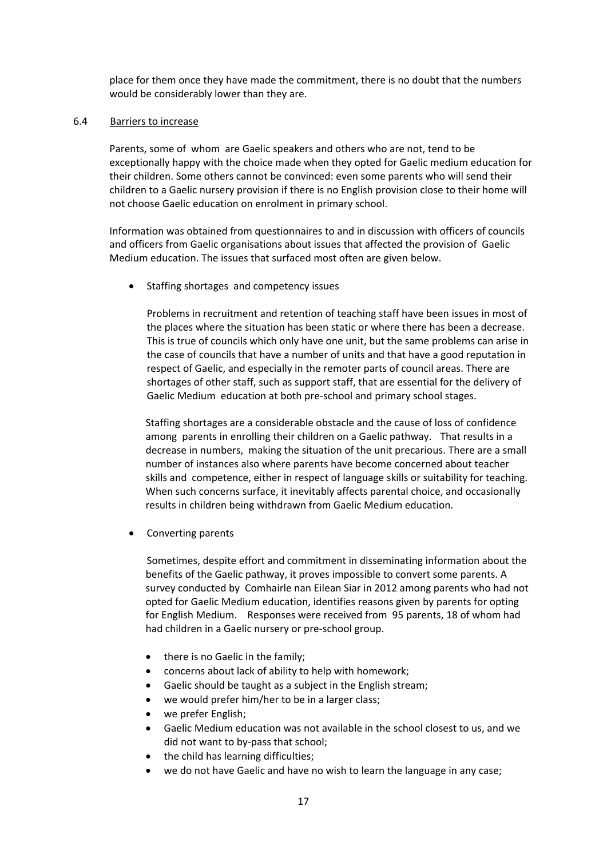place for them once they have made the commitment, there is no doubt that the numbers would be considerably lower than they are.

## 6.4 Barriers to increase

Parents, some of whom are Gaelic speakers and others who are not, tend to be exceptionally happy with the choice made when they opted for Gaelic medium education for their children. Some others cannot be convinced: even some parents who will send their children to a Gaelic nursery provision if there is no English provision close to their home will not choose Gaelic education on enrolment in primary school.

Information was obtained from questionnaires to and in discussion with officers of councils and officers from Gaelic organisations about issues that affected the provision of Gaelic Medium education. The issues that surfaced most often are given below.

Staffing shortages and competency issues

Problems in recruitment and retention of teaching staff have been issues in most of the places where the situation has been static or where there has been a decrease. This is true of councils which only have one unit, but the same problems can arise in the case of councils that have a number of units and that have a good reputation in respect of Gaelic, and especially in the remoter parts of council areas. There are shortages of other staff, such as support staff, that are essential for the delivery of Gaelic Medium education at both pre‐school and primary school stages.

Staffing shortages are a considerable obstacle and the cause of loss of confidence among parents in enrolling their children on a Gaelic pathway. That results in a decrease in numbers, making the situation of the unit precarious. There are a small number of instances also where parents have become concerned about teacher skills and competence, either in respect of language skills or suitability for teaching. When such concerns surface, it inevitably affects parental choice, and occasionally results in children being withdrawn from Gaelic Medium education.

Converting parents

 Sometimes, despite effort and commitment in disseminating information about the benefits of the Gaelic pathway, it proves impossible to convert some parents. A survey conducted by Comhairle nan Eilean Siar in 2012 among parents who had not opted for Gaelic Medium education, identifies reasons given by parents for opting for English Medium. Responses were received from 95 parents, 18 of whom had had children in a Gaelic nursery or pre‐school group.

- there is no Gaelic in the family;
- concerns about lack of ability to help with homework;
- Gaelic should be taught as a subject in the English stream;
- we would prefer him/her to be in a larger class;
- we prefer English;
- Gaelic Medium education was not available in the school closest to us, and we did not want to by‐pass that school;
- the child has learning difficulties;
- we do not have Gaelic and have no wish to learn the language in any case;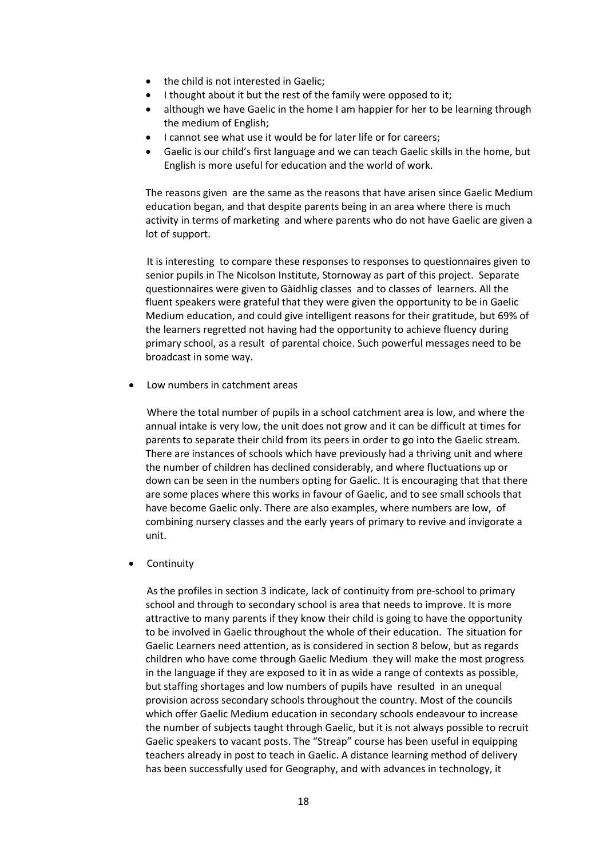- the child is not interested in Gaelic;
- I thought about it but the rest of the family were opposed to it;
- although we have Gaelic in the home I am happier for her to be learning through the medium of English;
- I cannot see what use it would be for later life or for careers;
- Gaelic is our child's first language and we can teach Gaelic skills in the home, but English is more useful for education and the world of work.

 The reasons given are the same as the reasons that have arisen since Gaelic Medium education began, and that despite parents being in an area where there is much activity in terms of marketing and where parents who do not have Gaelic are given a lot of support.

 It is interesting to compare these responses to responses to questionnaires given to senior pupils in The Nicolson Institute, Stornoway as part of this project. Separate questionnaires were given to Gàidhlig classes and to classes of learners. All the fluent speakers were grateful that they were given the opportunity to be in Gaelic Medium education, and could give intelligent reasons for their gratitude, but 69% of the learners regretted not having had the opportunity to achieve fluency during primary school, as a result of parental choice. Such powerful messages need to be broadcast in some way.

Low numbers in catchment areas

 Where the total number of pupils in a school catchment area is low, and where the annual intake is very low, the unit does not grow and it can be difficult at times for parents to separate their child from its peers in order to go into the Gaelic stream. There are instances of schools which have previously had a thriving unit and where the number of children has declined considerably, and where fluctuations up or down can be seen in the numbers opting for Gaelic. It is encouraging that that there are some places where this works in favour of Gaelic, and to see small schools that have become Gaelic only. There are also examples, where numbers are low, of combining nursery classes and the early years of primary to revive and invigorate a unit.

Continuity

 As the profiles in section 3 indicate, lack of continuity from pre‐school to primary school and through to secondary school is area that needs to improve. It is more attractive to many parents if they know their child is going to have the opportunity to be involved in Gaelic throughout the whole of their education. The situation for Gaelic Learners need attention, as is considered in section 8 below, but as regards children who have come through Gaelic Medium they will make the most progress in the language if they are exposed to it in as wide a range of contexts as possible, but staffing shortages and low numbers of pupils have resulted in an unequal provision across secondary schools throughout the country. Most of the councils which offer Gaelic Medium education in secondary schools endeavour to increase the number of subjects taught through Gaelic, but it is not always possible to recruit Gaelic speakers to vacant posts. The "Streap" course has been useful in equipping teachers already in post to teach in Gaelic. A distance learning method of delivery has been successfully used for Geography, and with advances in technology, it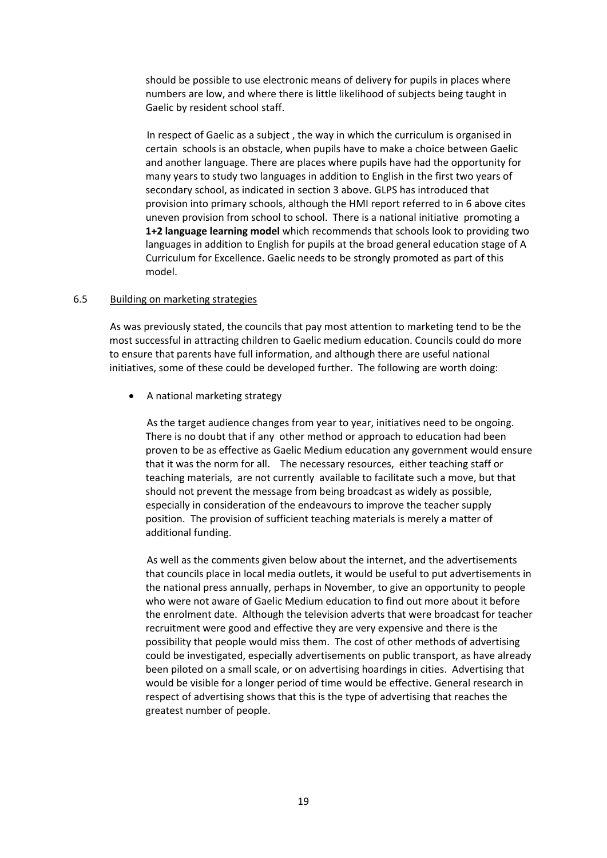should be possible to use electronic means of delivery for pupils in places where numbers are low, and where there is little likelihood of subjects being taught in Gaelic by resident school staff.

 In respect of Gaelic as a subject , the way in which the curriculum is organised in certain schools is an obstacle, when pupils have to make a choice between Gaelic and another language. There are places where pupils have had the opportunity for many years to study two languages in addition to English in the first two years of secondary school, as indicated in section 3 above. GLPS has introduced that provision into primary schools, although the HMI report referred to in 6 above cites uneven provision from school to school. There is a national initiative promoting a **1+2 language learning model** which recommends that schools look to providing two languages in addition to English for pupils at the broad general education stage of A Curriculum for Excellence. Gaelic needs to be strongly promoted as part of this model.

## 6.5 Building on marketing strategies

 As was previously stated, the councils that pay most attention to marketing tend to be the most successful in attracting children to Gaelic medium education. Councils could do more to ensure that parents have full information, and although there are useful national initiatives, some of these could be developed further. The following are worth doing:

A national marketing strategy

 As the target audience changes from year to year, initiatives need to be ongoing. There is no doubt that if any other method or approach to education had been proven to be as effective as Gaelic Medium education any government would ensure that it was the norm for all. The necessary resources, either teaching staff or teaching materials, are not currently available to facilitate such a move, but that should not prevent the message from being broadcast as widely as possible, especially in consideration of the endeavours to improve the teacher supply position. The provision of sufficient teaching materials is merely a matter of additional funding.

 As well as the comments given below about the internet, and the advertisements that councils place in local media outlets, it would be useful to put advertisements in the national press annually, perhaps in November, to give an opportunity to people who were not aware of Gaelic Medium education to find out more about it before the enrolment date. Although the television adverts that were broadcast for teacher recruitment were good and effective they are very expensive and there is the possibility that people would miss them. The cost of other methods of advertising could be investigated, especially advertisements on public transport, as have already been piloted on a small scale, or on advertising hoardings in cities. Advertising that would be visible for a longer period of time would be effective. General research in respect of advertising shows that this is the type of advertising that reaches the greatest number of people.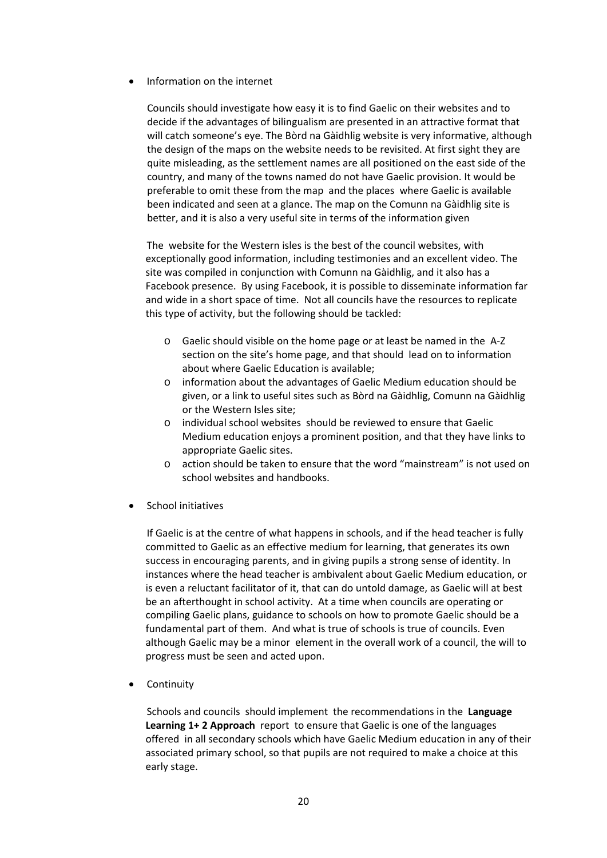# Information on the internet

Councils should investigate how easy it is to find Gaelic on their websites and to decide if the advantages of bilingualism are presented in an attractive format that will catch someone's eye. The Bòrd na Gàidhlig website is very informative, although the design of the maps on the website needs to be revisited. At first sight they are quite misleading, as the settlement names are all positioned on the east side of the country, and many of the towns named do not have Gaelic provision. It would be preferable to omit these from the map and the places where Gaelic is available been indicated and seen at a glance. The map on the Comunn na Gàidhlig site is better, and it is also a very useful site in terms of the information given

 The website for the Western isles is the best of the council websites, with exceptionally good information, including testimonies and an excellent video. The site was compiled in conjunction with Comunn na Gàidhlig, and it also has a Facebook presence. By using Facebook, it is possible to disseminate information far and wide in a short space of time. Not all councils have the resources to replicate this type of activity, but the following should be tackled:

- o Gaelic should visible on the home page or at least be named in the A‐Z section on the site's home page, and that should lead on to information about where Gaelic Education is available;
- o information about the advantages of Gaelic Medium education should be given, or a link to useful sites such as Bòrd na Gàidhlig, Comunn na Gàidhlig or the Western Isles site;
- o individual school websites should be reviewed to ensure that Gaelic Medium education enjoys a prominent position, and that they have links to appropriate Gaelic sites.
- o action should be taken to ensure that the word "mainstream" is not used on school websites and handbooks.
- School initiatives

 If Gaelic is at the centre of what happens in schools, and if the head teacher is fully committed to Gaelic as an effective medium for learning, that generates its own success in encouraging parents, and in giving pupils a strong sense of identity. In instances where the head teacher is ambivalent about Gaelic Medium education, or is even a reluctant facilitator of it, that can do untold damage, as Gaelic will at best be an afterthought in school activity. At a time when councils are operating or compiling Gaelic plans, guidance to schools on how to promote Gaelic should be a fundamental part of them. And what is true of schools is true of councils. Even although Gaelic may be a minor element in the overall work of a council, the will to progress must be seen and acted upon.

• Continuity

 Schools and councils should implement the recommendations in the **Language Learning 1+ 2 Approach** report to ensure that Gaelic is one of the languages offered in all secondary schools which have Gaelic Medium education in any of their associated primary school, so that pupils are not required to make a choice at this early stage.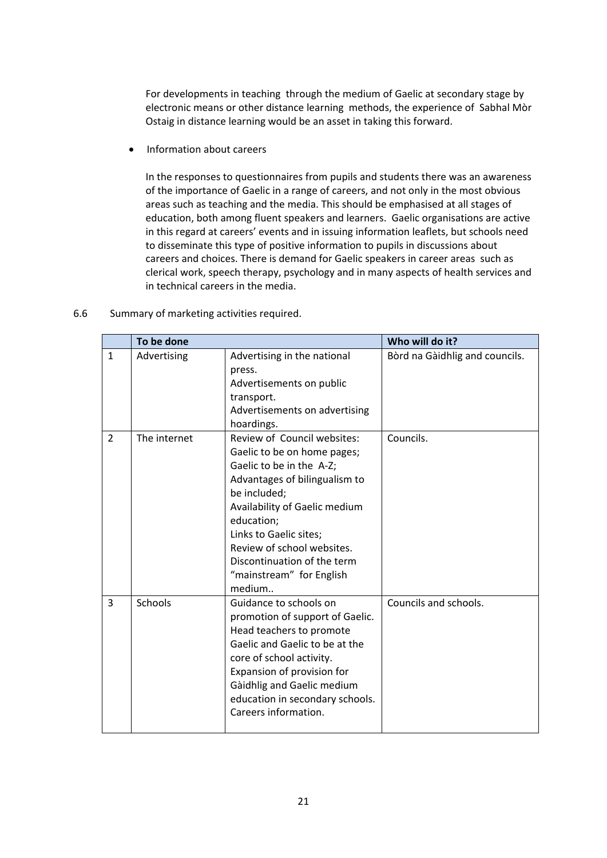For developments in teaching through the medium of Gaelic at secondary stage by electronic means or other distance learning methods, the experience of Sabhal Mòr Ostaig in distance learning would be an asset in taking this forward.

• Information about careers

 In the responses to questionnaires from pupils and students there was an awareness of the importance of Gaelic in a range of careers, and not only in the most obvious areas such as teaching and the media. This should be emphasised at all stages of education, both among fluent speakers and learners. Gaelic organisations are active in this regard at careers' events and in issuing information leaflets, but schools need to disseminate this type of positive information to pupils in discussions about careers and choices. There is demand for Gaelic speakers in career areas such as clerical work, speech therapy, psychology and in many aspects of health services and in technical careers in the media.

|               | To be done   |                                                                                                                                                                                                                                                                                                                     | Who will do it?                |
|---------------|--------------|---------------------------------------------------------------------------------------------------------------------------------------------------------------------------------------------------------------------------------------------------------------------------------------------------------------------|--------------------------------|
| $\mathbf{1}$  | Advertising  | Advertising in the national<br>press.<br>Advertisements on public<br>transport.<br>Advertisements on advertising<br>hoardings.                                                                                                                                                                                      | Bòrd na Gàidhlig and councils. |
| $\mathcal{P}$ | The internet | Review of Council websites:<br>Gaelic to be on home pages;<br>Gaelic to be in the A-Z;<br>Advantages of bilingualism to<br>be included;<br>Availability of Gaelic medium<br>education;<br>Links to Gaelic sites;<br>Review of school websites.<br>Discontinuation of the term<br>"mainstream" for English<br>medium | Councils.                      |
| 3             | Schools      | Guidance to schools on<br>promotion of support of Gaelic.<br>Head teachers to promote<br>Gaelic and Gaelic to be at the<br>core of school activity.<br>Expansion of provision for<br>Gàidhlig and Gaelic medium<br>education in secondary schools.<br>Careers information.                                          | Councils and schools.          |

# 6.6 Summary of marketing activities required.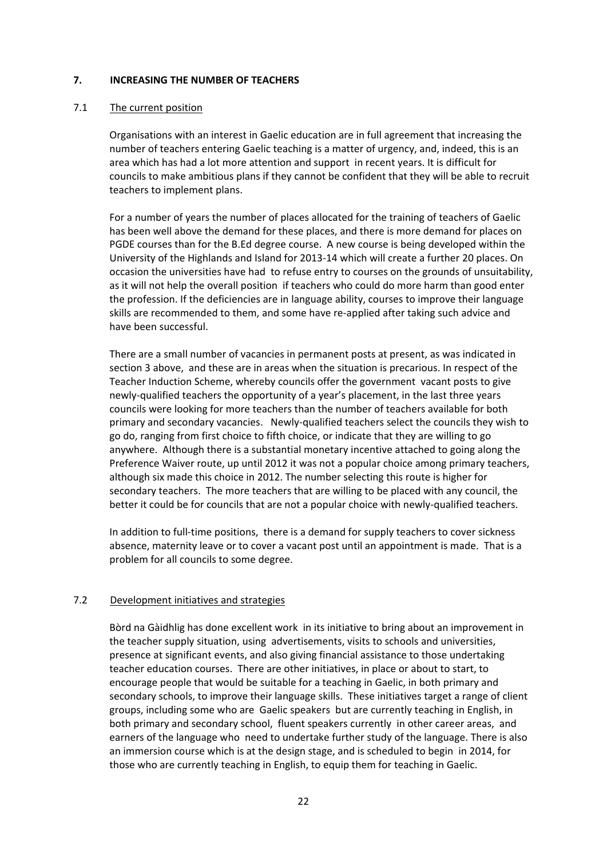## **7. INCREASING THE NUMBER OF TEACHERS**

## 7.1 The current position

 Organisations with an interest in Gaelic education are in full agreement that increasing the number of teachers entering Gaelic teaching is a matter of urgency, and, indeed, this is an area which has had a lot more attention and support in recent years. It is difficult for councils to make ambitious plans if they cannot be confident that they will be able to recruit teachers to implement plans.

For a number of years the number of places allocated for the training of teachers of Gaelic has been well above the demand for these places, and there is more demand for places on PGDE courses than for the B.Ed degree course. A new course is being developed within the University of the Highlands and Island for 2013‐14 which will create a further 20 places. On occasion the universities have had to refuse entry to courses on the grounds of unsuitability, as it will not help the overall position if teachers who could do more harm than good enter the profession. If the deficiencies are in language ability, courses to improve their language skills are recommended to them, and some have re‐applied after taking such advice and have been successful.

There are a small number of vacancies in permanent posts at present, as was indicated in section 3 above, and these are in areas when the situation is precarious. In respect of the Teacher Induction Scheme, whereby councils offer the government vacant posts to give newly-qualified teachers the opportunity of a year's placement, in the last three years councils were looking for more teachers than the number of teachers available for both primary and secondary vacancies. Newly‐qualified teachers select the councils they wish to go do, ranging from first choice to fifth choice, or indicate that they are willing to go anywhere. Although there is a substantial monetary incentive attached to going along the Preference Waiver route, up until 2012 it was not a popular choice among primary teachers, although six made this choice in 2012. The number selecting this route is higher for secondary teachers. The more teachers that are willing to be placed with any council, the better it could be for councils that are not a popular choice with newly-qualified teachers.

In addition to full‐time positions, there is a demand for supply teachers to cover sickness absence, maternity leave or to cover a vacant post until an appointment is made. That is a problem for all councils to some degree.

# 7.2 **Development initiatives and strategies**

 Bòrd na Gàidhlig has done excellent work in its initiative to bring about an improvement in the teacher supply situation, using advertisements, visits to schools and universities, presence at significant events, and also giving financial assistance to those undertaking teacher education courses. There are other initiatives, in place or about to start, to encourage people that would be suitable for a teaching in Gaelic, in both primary and secondary schools, to improve their language skills. These initiatives target a range of client groups, including some who are Gaelic speakers but are currently teaching in English, in both primary and secondary school, fluent speakers currently in other career areas, and earners of the language who need to undertake further study of the language. There is also an immersion course which is at the design stage, and is scheduled to begin in 2014, for those who are currently teaching in English, to equip them for teaching in Gaelic.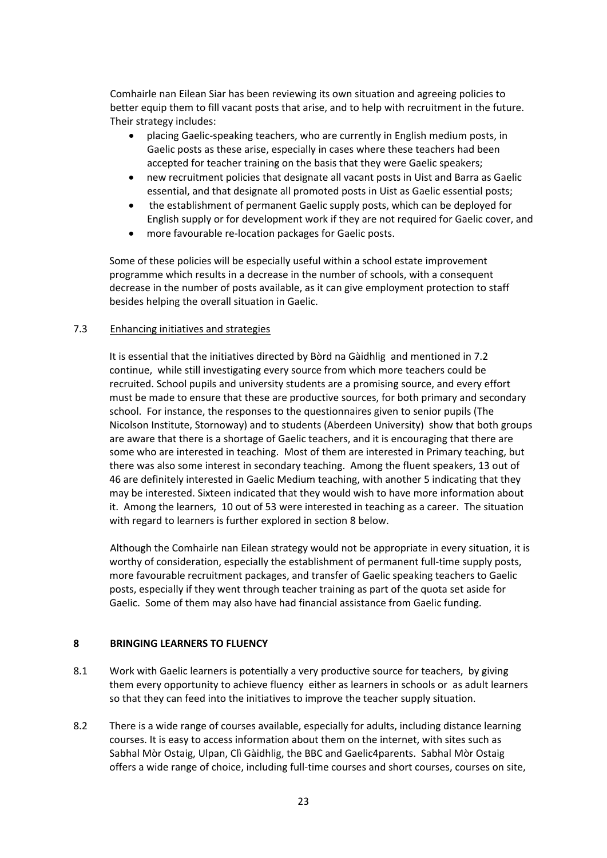Comhairle nan Eilean Siar has been reviewing its own situation and agreeing policies to better equip them to fill vacant posts that arise, and to help with recruitment in the future. Their strategy includes:

- placing Gaelic‐speaking teachers, who are currently in English medium posts, in Gaelic posts as these arise, especially in cases where these teachers had been accepted for teacher training on the basis that they were Gaelic speakers;
- new recruitment policies that designate all vacant posts in Uist and Barra as Gaelic essential, and that designate all promoted posts in Uist as Gaelic essential posts;
- the establishment of permanent Gaelic supply posts, which can be deployed for English supply or for development work if they are not required for Gaelic cover, and
- more favourable re‐location packages for Gaelic posts.

 Some of these policies will be especially useful within a school estate improvement programme which results in a decrease in the number of schools, with a consequent decrease in the number of posts available, as it can give employment protection to staff besides helping the overall situation in Gaelic.

# 7.3 Enhancing initiatives and strategies

 It is essential that the initiatives directed by Bòrd na Gàidhlig and mentioned in 7.2 continue, while still investigating every source from which more teachers could be recruited. School pupils and university students are a promising source, and every effort must be made to ensure that these are productive sources, for both primary and secondary school. For instance, the responses to the questionnaires given to senior pupils (The Nicolson Institute, Stornoway) and to students (Aberdeen University) show that both groups are aware that there is a shortage of Gaelic teachers, and it is encouraging that there are some who are interested in teaching. Most of them are interested in Primary teaching, but there was also some interest in secondary teaching. Among the fluent speakers, 13 out of 46 are definitely interested in Gaelic Medium teaching, with another 5 indicating that they may be interested. Sixteen indicated that they would wish to have more information about it. Among the learners, 10 out of 53 were interested in teaching as a career. The situation with regard to learners is further explored in section 8 below.

 Although the Comhairle nan Eilean strategy would not be appropriate in every situation, it is worthy of consideration, especially the establishment of permanent full-time supply posts, more favourable recruitment packages, and transfer of Gaelic speaking teachers to Gaelic posts, especially if they went through teacher training as part of the quota set aside for Gaelic. Some of them may also have had financial assistance from Gaelic funding.

# **8 BRINGING LEARNERS TO FLUENCY**

- 8.1 Work with Gaelic learners is potentially a very productive source for teachers, by giving them every opportunity to achieve fluency either as learners in schools or as adult learners so that they can feed into the initiatives to improve the teacher supply situation.
- 8.2 There is a wide range of courses available, especially for adults, including distance learning courses. It is easy to access information about them on the internet, with sites such as Sabhal Mòr Ostaig, Ulpan, Clì Gàidhlig, the BBC and Gaelic4parents. Sabhal Mòr Ostaig offers a wide range of choice, including full‐time courses and short courses, courses on site,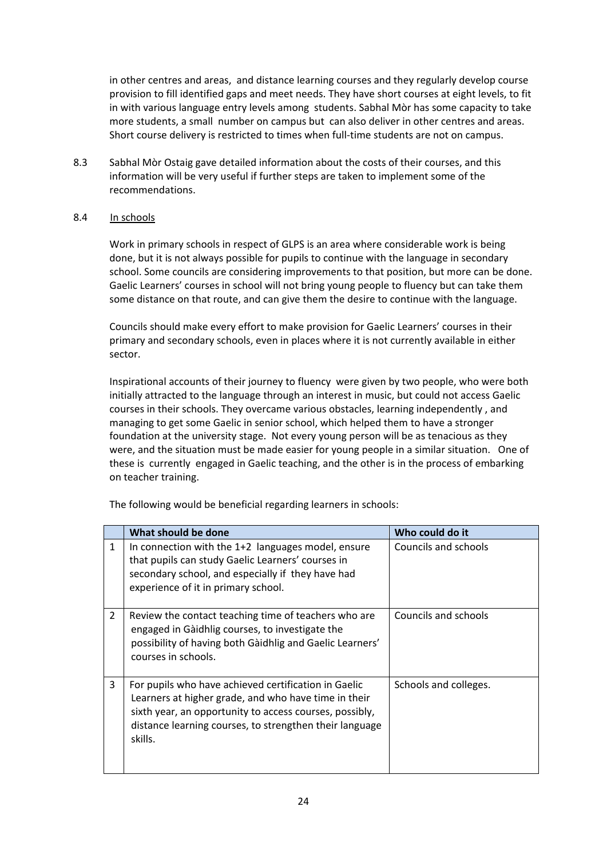in other centres and areas, and distance learning courses and they regularly develop course provision to fill identified gaps and meet needs. They have short courses at eight levels, to fit in with various language entry levels among students. Sabhal Mòr has some capacity to take more students, a small number on campus but can also deliver in other centres and areas. Short course delivery is restricted to times when full‐time students are not on campus.

8.3 Sabhal Mòr Ostaig gave detailed information about the costs of their courses, and this information will be very useful if further steps are taken to implement some of the recommendations.

# 8.4 In schools

Work in primary schools in respect of GLPS is an area where considerable work is being done, but it is not always possible for pupils to continue with the language in secondary school. Some councils are considering improvements to that position, but more can be done. Gaelic Learners' courses in school will not bring young people to fluency but can take them some distance on that route, and can give them the desire to continue with the language.

Councils should make every effort to make provision for Gaelic Learners' courses in their primary and secondary schools, even in places where it is not currently available in either sector.

Inspirational accounts of their journey to fluency were given by two people, who were both initially attracted to the language through an interest in music, but could not access Gaelic courses in their schools. They overcame various obstacles, learning independently , and managing to get some Gaelic in senior school, which helped them to have a stronger foundation at the university stage. Not every young person will be as tenacious as they were, and the situation must be made easier for young people in a similar situation. One of these is currently engaged in Gaelic teaching, and the other is in the process of embarking on teacher training.

The following would be beneficial regarding learners in schools:

|                | What should be done                                                                                                                                                                                                                           | Who could do it       |
|----------------|-----------------------------------------------------------------------------------------------------------------------------------------------------------------------------------------------------------------------------------------------|-----------------------|
| $\mathbf{1}$   | In connection with the 1+2 languages model, ensure<br>that pupils can study Gaelic Learners' courses in<br>secondary school, and especially if they have had<br>experience of it in primary school.                                           | Councils and schools  |
| $\overline{2}$ | Review the contact teaching time of teachers who are<br>engaged in Gàidhlig courses, to investigate the<br>possibility of having both Gàidhlig and Gaelic Learners'<br>courses in schools.                                                    | Councils and schools  |
| 3              | For pupils who have achieved certification in Gaelic<br>Learners at higher grade, and who have time in their<br>sixth year, an opportunity to access courses, possibly,<br>distance learning courses, to strengthen their language<br>skills. | Schools and colleges. |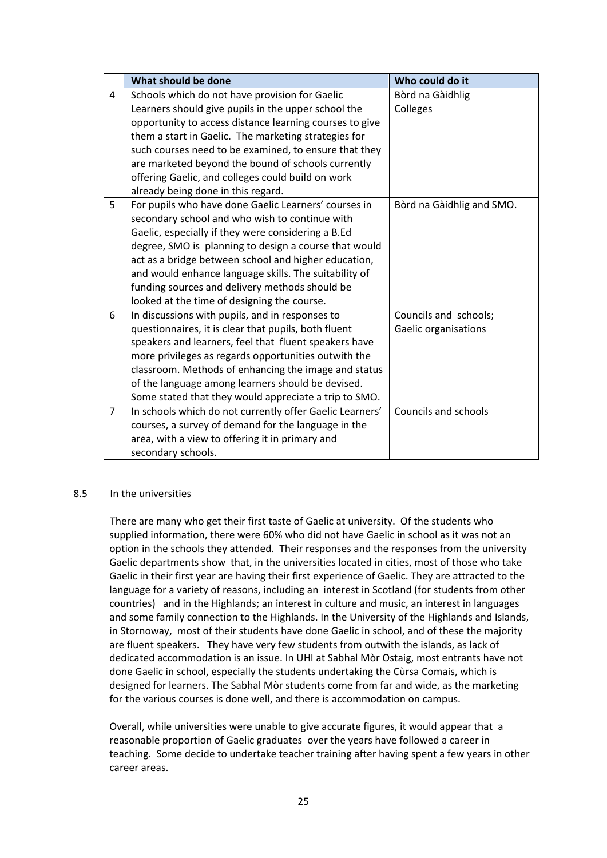|                | What should be done                                      | Who could do it           |
|----------------|----------------------------------------------------------|---------------------------|
| 4              | Schools which do not have provision for Gaelic           | Bòrd na Gàidhlig          |
|                | Learners should give pupils in the upper school the      | Colleges                  |
|                | opportunity to access distance learning courses to give  |                           |
|                | them a start in Gaelic. The marketing strategies for     |                           |
|                | such courses need to be examined, to ensure that they    |                           |
|                | are marketed beyond the bound of schools currently       |                           |
|                | offering Gaelic, and colleges could build on work        |                           |
|                | already being done in this regard.                       |                           |
| 5              | For pupils who have done Gaelic Learners' courses in     | Bòrd na Gàidhlig and SMO. |
|                | secondary school and who wish to continue with           |                           |
|                | Gaelic, especially if they were considering a B.Ed       |                           |
|                | degree, SMO is planning to design a course that would    |                           |
|                | act as a bridge between school and higher education,     |                           |
|                | and would enhance language skills. The suitability of    |                           |
|                | funding sources and delivery methods should be           |                           |
|                | looked at the time of designing the course.              |                           |
| 6              | In discussions with pupils, and in responses to          | Councils and schools;     |
|                | questionnaires, it is clear that pupils, both fluent     | Gaelic organisations      |
|                | speakers and learners, feel that fluent speakers have    |                           |
|                | more privileges as regards opportunities outwith the     |                           |
|                | classroom. Methods of enhancing the image and status     |                           |
|                | of the language among learners should be devised.        |                           |
|                | Some stated that they would appreciate a trip to SMO.    |                           |
| $\overline{7}$ | In schools which do not currently offer Gaelic Learners' | Councils and schools      |
|                | courses, a survey of demand for the language in the      |                           |
|                | area, with a view to offering it in primary and          |                           |
|                | secondary schools.                                       |                           |

# 8.5 In the universities

 There are many who get their first taste of Gaelic at university. Of the students who supplied information, there were 60% who did not have Gaelic in school as it was not an option in the schools they attended. Their responses and the responses from the university Gaelic departments show that, in the universities located in cities, most of those who take Gaelic in their first year are having their first experience of Gaelic. They are attracted to the language for a variety of reasons, including an interest in Scotland (for students from other countries) and in the Highlands; an interest in culture and music, an interest in languages and some family connection to the Highlands. In the University of the Highlands and Islands, in Stornoway, most of their students have done Gaelic in school, and of these the majority are fluent speakers. They have very few students from outwith the islands, as lack of dedicated accommodation is an issue. In UHI at Sabhal Mòr Ostaig, most entrants have not done Gaelic in school, especially the students undertaking the Cùrsa Comais, which is designed for learners. The Sabhal Mòr students come from far and wide, as the marketing for the various courses is done well, and there is accommodation on campus.

 Overall, while universities were unable to give accurate figures, it would appear that a reasonable proportion of Gaelic graduates over the years have followed a career in teaching. Some decide to undertake teacher training after having spent a few years in other career areas.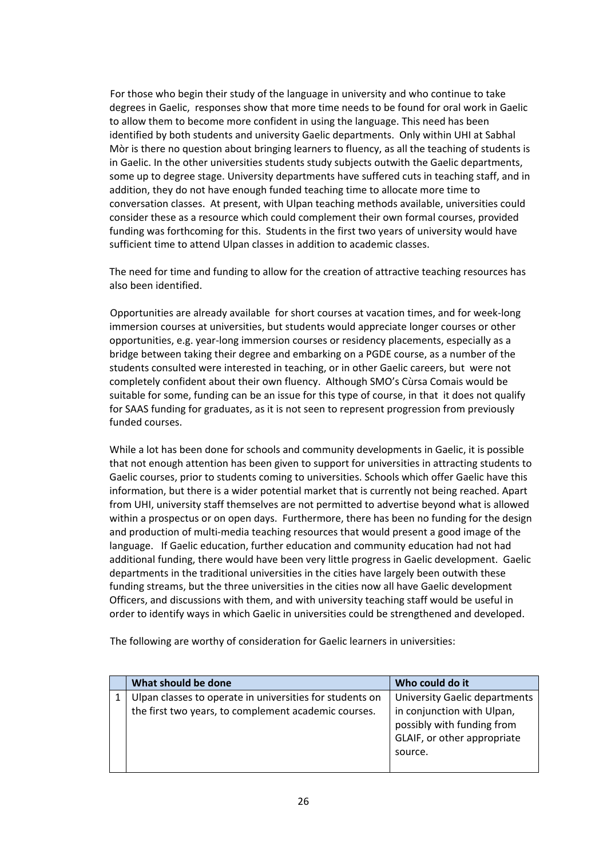For those who begin their study of the language in university and who continue to take degrees in Gaelic, responses show that more time needs to be found for oral work in Gaelic to allow them to become more confident in using the language. This need has been identified by both students and university Gaelic departments. Only within UHI at Sabhal Mòr is there no question about bringing learners to fluency, as all the teaching of students is in Gaelic. In the other universities students study subjects outwith the Gaelic departments, some up to degree stage. University departments have suffered cuts in teaching staff, and in addition, they do not have enough funded teaching time to allocate more time to conversation classes. At present, with Ulpan teaching methods available, universities could consider these as a resource which could complement their own formal courses, provided funding was forthcoming for this. Students in the first two years of university would have sufficient time to attend Ulpan classes in addition to academic classes.

 The need for time and funding to allow for the creation of attractive teaching resources has also been identified.

 Opportunities are already available for short courses at vacation times, and for week‐long immersion courses at universities, but students would appreciate longer courses or other opportunities, e.g. year‐long immersion courses or residency placements, especially as a bridge between taking their degree and embarking on a PGDE course, as a number of the students consulted were interested in teaching, or in other Gaelic careers, but were not completely confident about their own fluency. Although SMO's Cùrsa Comais would be suitable for some, funding can be an issue for this type of course, in that it does not qualify for SAAS funding for graduates, as it is not seen to represent progression from previously funded courses.

 While a lot has been done for schools and community developments in Gaelic, it is possible that not enough attention has been given to support for universities in attracting students to Gaelic courses, prior to students coming to universities. Schools which offer Gaelic have this information, but there is a wider potential market that is currently not being reached. Apart from UHI, university staff themselves are not permitted to advertise beyond what is allowed within a prospectus or on open days. Furthermore, there has been no funding for the design and production of multi‐media teaching resources that would present a good image of the language. If Gaelic education, further education and community education had not had additional funding, there would have been very little progress in Gaelic development. Gaelic departments in the traditional universities in the cities have largely been outwith these funding streams, but the three universities in the cities now all have Gaelic development Officers, and discussions with them, and with university teaching staff would be useful in order to identify ways in which Gaelic in universities could be strengthened and developed.

The following are worthy of consideration for Gaelic learners in universities:

| What should be done                                      | Who could do it                                                                                    |
|----------------------------------------------------------|----------------------------------------------------------------------------------------------------|
| Ulpan classes to operate in universities for students on | <b>University Gaelic departments</b>                                                               |
| the first two years, to complement academic courses.     | in conjunction with Ulpan,<br>possibly with funding from<br>GLAIF, or other appropriate<br>source. |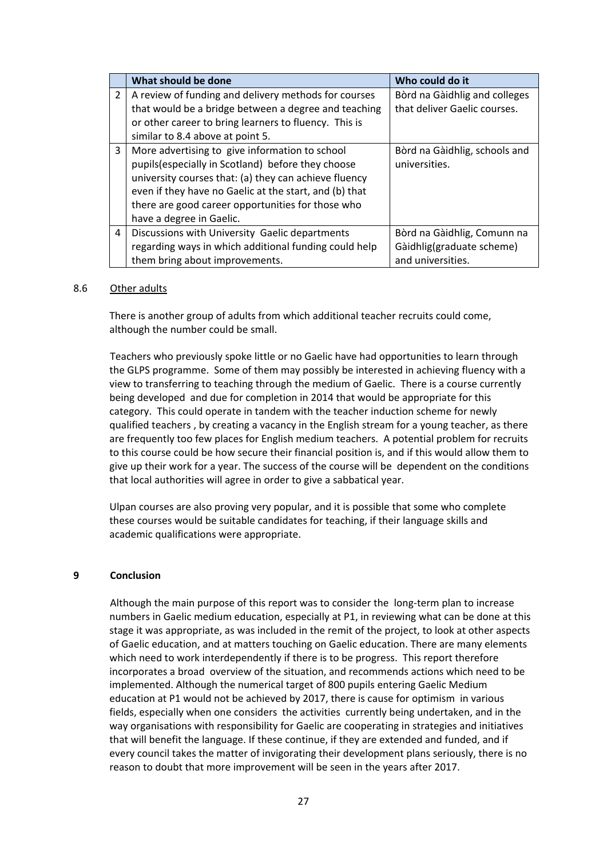|                | What should be done                                    | Who could do it               |
|----------------|--------------------------------------------------------|-------------------------------|
| $\overline{2}$ | A review of funding and delivery methods for courses   | Bòrd na Gàidhlig and colleges |
|                | that would be a bridge between a degree and teaching   | that deliver Gaelic courses.  |
|                | or other career to bring learners to fluency. This is  |                               |
|                | similar to 8.4 above at point 5.                       |                               |
| 3              | More advertising to give information to school         | Bòrd na Gàidhlig, schools and |
|                | pupils (especially in Scotland) before they choose     | universities.                 |
|                | university courses that: (a) they can achieve fluency  |                               |
|                | even if they have no Gaelic at the start, and (b) that |                               |
|                | there are good career opportunities for those who      |                               |
|                | have a degree in Gaelic.                               |                               |
| $\overline{4}$ | Discussions with University Gaelic departments         | Bòrd na Gàidhlig, Comunn na   |
|                | regarding ways in which additional funding could help  | Gàidhlig(graduate scheme)     |
|                | them bring about improvements.                         | and universities.             |

#### 8.6 Other adults

 There is another group of adults from which additional teacher recruits could come, although the number could be small.

 Teachers who previously spoke little or no Gaelic have had opportunities to learn through the GLPS programme. Some of them may possibly be interested in achieving fluency with a view to transferring to teaching through the medium of Gaelic. There is a course currently being developed and due for completion in 2014 that would be appropriate for this category. This could operate in tandem with the teacher induction scheme for newly qualified teachers , by creating a vacancy in the English stream for a young teacher, as there are frequently too few places for English medium teachers. A potential problem for recruits to this course could be how secure their financial position is, and if this would allow them to give up their work for a year. The success of the course will be dependent on the conditions that local authorities will agree in order to give a sabbatical year.

Ulpan courses are also proving very popular, and it is possible that some who complete these courses would be suitable candidates for teaching, if their language skills and academic qualifications were appropriate.

#### **9 Conclusion**

Although the main purpose of this report was to consider the long‐term plan to increase numbers in Gaelic medium education, especially at P1, in reviewing what can be done at this stage it was appropriate, as was included in the remit of the project, to look at other aspects of Gaelic education, and at matters touching on Gaelic education. There are many elements which need to work interdependently if there is to be progress. This report therefore incorporates a broad overview of the situation, and recommends actions which need to be implemented. Although the numerical target of 800 pupils entering Gaelic Medium education at P1 would not be achieved by 2017, there is cause for optimism in various fields, especially when one considers the activities currently being undertaken, and in the way organisations with responsibility for Gaelic are cooperating in strategies and initiatives that will benefit the language. If these continue, if they are extended and funded, and if every council takes the matter of invigorating their development plans seriously, there is no reason to doubt that more improvement will be seen in the years after 2017.